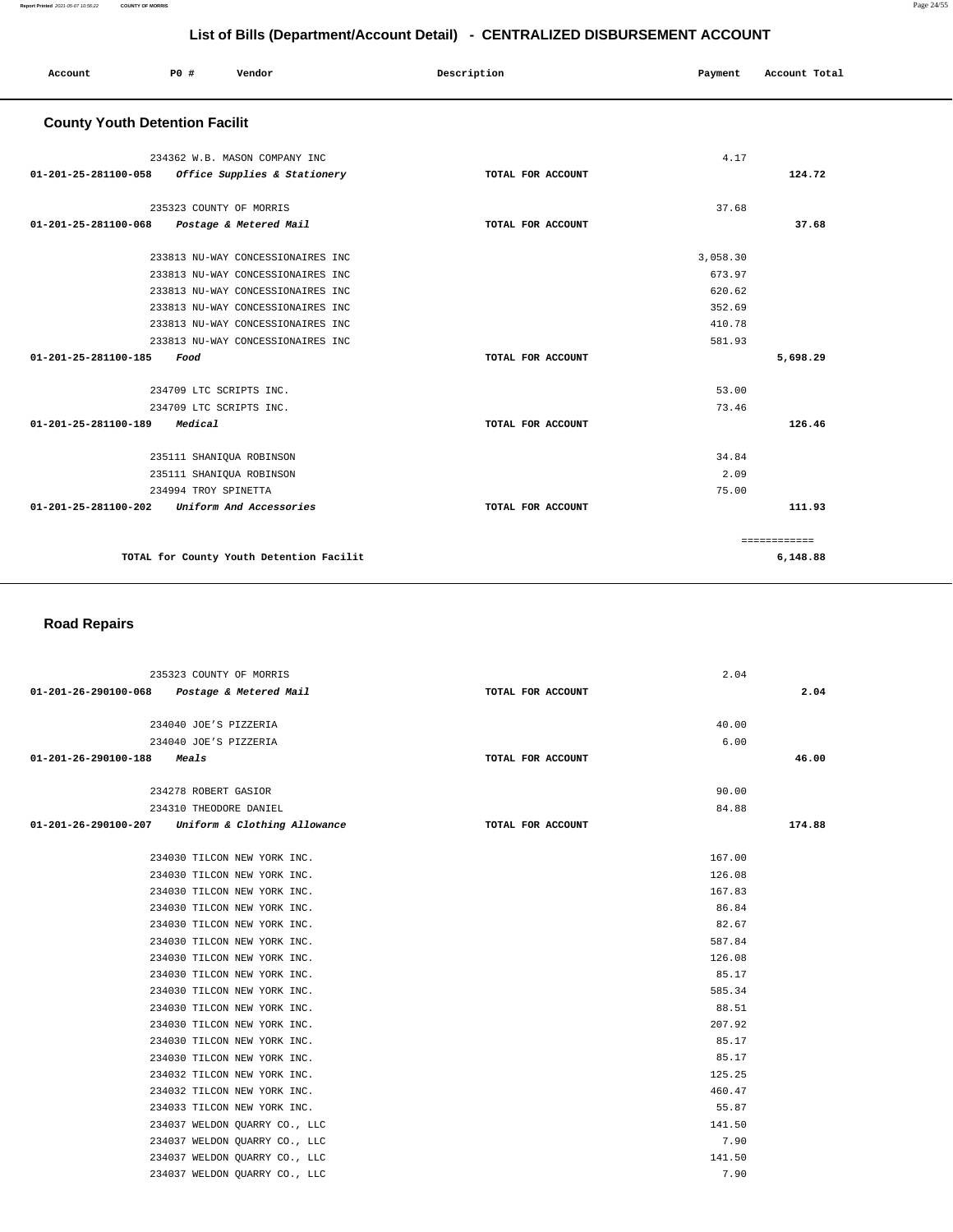|                                       | List of Bills (Department/Account Detail) - CENTRALIZED DISBURSEMENT ACCOUNT |                                          |                   |          |               |  |  |
|---------------------------------------|------------------------------------------------------------------------------|------------------------------------------|-------------------|----------|---------------|--|--|
| Account                               | P0 #                                                                         | Vendor                                   | Description       | Payment  | Account Total |  |  |
| <b>County Youth Detention Facilit</b> |                                                                              |                                          |                   |          |               |  |  |
|                                       |                                                                              | 234362 W.B. MASON COMPANY INC            |                   | 4.17     |               |  |  |
| 01-201-25-281100-058                  |                                                                              | Office Supplies & Stationery             | TOTAL FOR ACCOUNT |          | 124.72        |  |  |
|                                       |                                                                              | 235323 COUNTY OF MORRIS                  |                   | 37.68    |               |  |  |
| 01-201-25-281100-068                  |                                                                              | Postage & Metered Mail                   | TOTAL FOR ACCOUNT |          | 37.68         |  |  |
|                                       |                                                                              | 233813 NU-WAY CONCESSIONAIRES INC        |                   | 3,058.30 |               |  |  |
|                                       |                                                                              | 233813 NU-WAY CONCESSIONAIRES INC        |                   | 673.97   |               |  |  |
|                                       |                                                                              | 233813 NU-WAY CONCESSIONAIRES INC        |                   | 620.62   |               |  |  |
|                                       |                                                                              | 233813 NU-WAY CONCESSIONAIRES INC        |                   | 352.69   |               |  |  |
|                                       |                                                                              | 233813 NU-WAY CONCESSIONAIRES INC        |                   | 410.78   |               |  |  |
|                                       |                                                                              | 233813 NU-WAY CONCESSIONAIRES INC        |                   | 581.93   |               |  |  |
| 01-201-25-281100-185                  | Food                                                                         |                                          | TOTAL FOR ACCOUNT |          | 5,698.29      |  |  |
|                                       |                                                                              | 234709 LTC SCRIPTS INC.                  |                   | 53.00    |               |  |  |
|                                       |                                                                              | 234709 LTC SCRIPTS INC.                  |                   | 73.46    |               |  |  |
| 01-201-25-281100-189                  | Medical                                                                      |                                          | TOTAL FOR ACCOUNT |          | 126.46        |  |  |
|                                       |                                                                              | 235111 SHANIQUA ROBINSON                 |                   | 34.84    |               |  |  |
|                                       |                                                                              | 235111 SHANIQUA ROBINSON                 |                   | 2.09     |               |  |  |
|                                       | 234994 TROY SPINETTA                                                         |                                          |                   | 75.00    |               |  |  |
| 01-201-25-281100-202                  |                                                                              | Uniform And Accessories                  | TOTAL FOR ACCOUNT |          | 111.93        |  |  |
|                                       |                                                                              |                                          |                   |          | ============  |  |  |
|                                       |                                                                              | TOTAL for County Youth Detention Facilit |                   |          | 6,148.88      |  |  |

**TOTAL for County Youth Detention Facilit** 

## **Road Repairs**

|                      | 235323 COUNTY OF MORRIS                           |                   | 2.04   |        |
|----------------------|---------------------------------------------------|-------------------|--------|--------|
|                      | 01-201-26-290100-068 Postage & Metered Mail       | TOTAL FOR ACCOUNT |        | 2.04   |
|                      |                                                   |                   |        |        |
|                      | 234040 JOE'S PIZZERIA                             |                   | 40.00  |        |
|                      | 234040 JOE'S PIZZERIA                             |                   | 6.00   |        |
| 01-201-26-290100-188 | <i>Meals</i>                                      | TOTAL FOR ACCOUNT |        | 46.00  |
|                      |                                                   |                   |        |        |
|                      | 234278 ROBERT GASIOR                              |                   | 90.00  |        |
|                      | 234310 THEODORE DANIEL                            |                   | 84.88  |        |
|                      | 01-201-26-290100-207 Uniform & Clothing Allowance | TOTAL FOR ACCOUNT |        | 174.88 |
|                      |                                                   |                   |        |        |
|                      | 234030 TILCON NEW YORK INC.                       |                   | 167.00 |        |
|                      | 234030 TILCON NEW YORK INC.                       |                   | 126.08 |        |
|                      | 234030 TILCON NEW YORK INC.                       |                   | 167.83 |        |
|                      | 234030 TILCON NEW YORK INC.                       |                   | 86.84  |        |
|                      | 234030 TILCON NEW YORK INC.                       |                   | 82.67  |        |
|                      | 234030 TILCON NEW YORK INC.                       |                   | 587.84 |        |
|                      | 234030 TILCON NEW YORK INC.                       |                   | 126.08 |        |
|                      | 234030 TILCON NEW YORK INC.                       |                   | 85.17  |        |
|                      | 234030 TILCON NEW YORK INC.                       |                   | 585.34 |        |
|                      | 234030 TILCON NEW YORK INC.                       |                   | 88.51  |        |
|                      | 234030 TILCON NEW YORK INC.                       |                   | 207.92 |        |
|                      | 234030 TILCON NEW YORK INC.                       |                   | 85.17  |        |
|                      | 234030 TILCON NEW YORK INC.                       |                   | 85.17  |        |
|                      | 234032 TILCON NEW YORK INC.                       |                   | 125.25 |        |
|                      | 234032 TILCON NEW YORK INC.                       |                   | 460.47 |        |
|                      | 234033 TILCON NEW YORK INC.                       |                   | 55.87  |        |
|                      | 234037 WELDON QUARRY CO., LLC                     |                   | 141.50 |        |
|                      | 234037 WELDON OUARRY CO., LLC                     |                   | 7.90   |        |
|                      | 234037 WELDON QUARRY CO., LLC                     |                   | 141.50 |        |
|                      | 234037 WELDON QUARRY CO., LLC                     |                   | 7.90   |        |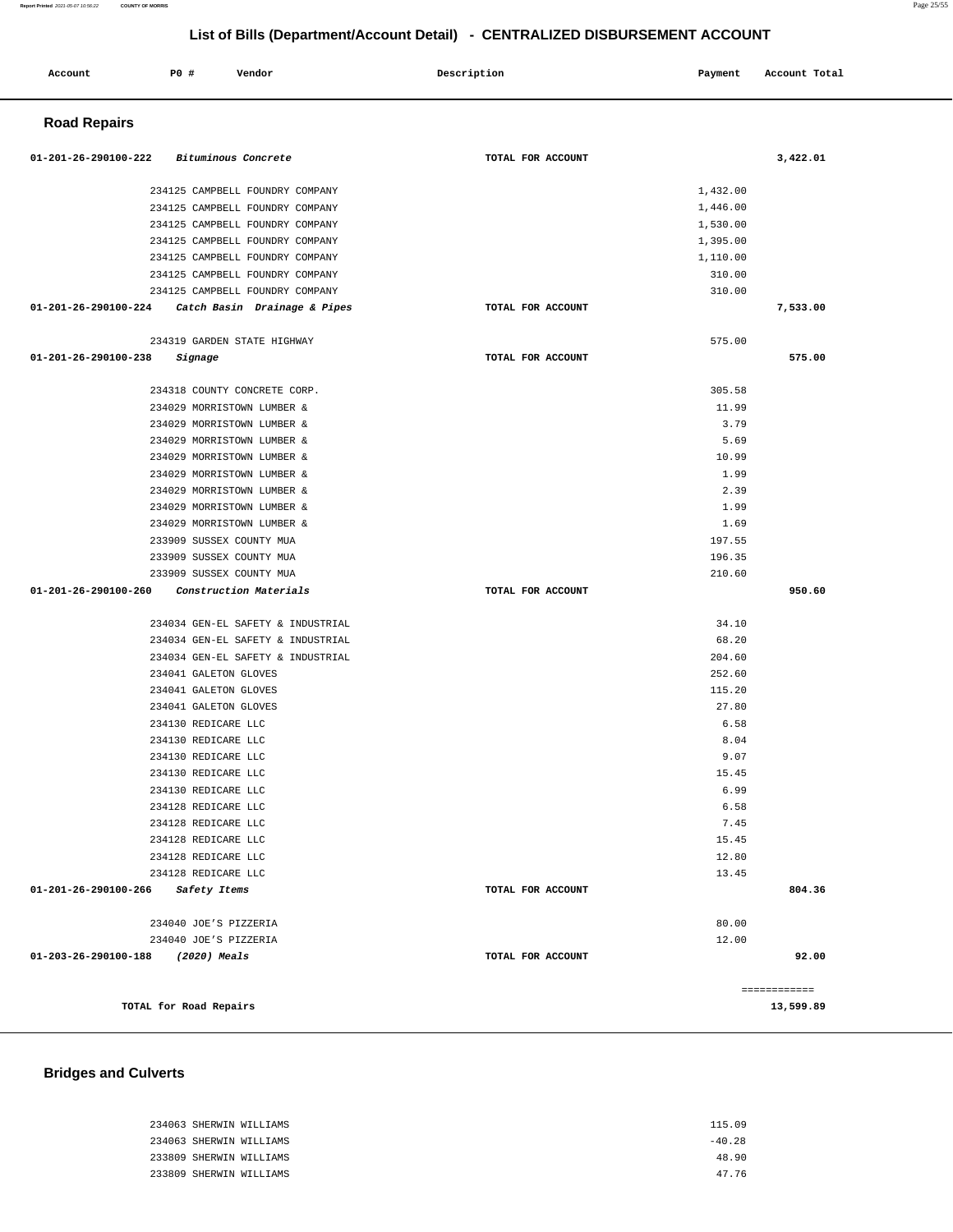|                                   | 234125 CAMPBELL FOUNDRY COMPANY                   |                   | 1,110.00 |              |
|-----------------------------------|---------------------------------------------------|-------------------|----------|--------------|
|                                   | 234125 CAMPBELL FOUNDRY COMPANY                   |                   | 310.00   |              |
|                                   | 234125 CAMPBELL FOUNDRY COMPANY                   |                   | 310.00   |              |
|                                   | 01-201-26-290100-224 Catch Basin Drainage & Pipes | TOTAL FOR ACCOUNT |          | 7,533.00     |
|                                   | 234319 GARDEN STATE HIGHWAY                       |                   | 575.00   |              |
| 01-201-26-290100-238 Signage      |                                                   | TOTAL FOR ACCOUNT |          | 575.00       |
|                                   | 234318 COUNTY CONCRETE CORP.                      |                   | 305.58   |              |
|                                   | 234029 MORRISTOWN LUMBER &                        |                   | 11.99    |              |
|                                   | 234029 MORRISTOWN LUMBER &                        |                   | 3.79     |              |
|                                   | 234029 MORRISTOWN LUMBER &                        |                   | 5.69     |              |
|                                   | 234029 MORRISTOWN LUMBER &                        |                   | 10.99    |              |
|                                   | 234029 MORRISTOWN LUMBER &                        |                   | 1.99     |              |
|                                   | 234029 MORRISTOWN LUMBER &                        |                   | 2.39     |              |
|                                   | 234029 MORRISTOWN LUMBER &                        |                   | 1.99     |              |
|                                   | 234029 MORRISTOWN LUMBER &                        |                   | 1.69     |              |
|                                   | 233909 SUSSEX COUNTY MUA                          |                   | 197.55   |              |
|                                   | 233909 SUSSEX COUNTY MUA                          |                   | 196.35   |              |
|                                   | 233909 SUSSEX COUNTY MUA                          |                   | 210.60   |              |
|                                   | 01-201-26-290100-260 Construction Materials       | TOTAL FOR ACCOUNT |          | 950.60       |
|                                   | 234034 GEN-EL SAFETY & INDUSTRIAL                 |                   | 34.10    |              |
|                                   | 234034 GEN-EL SAFETY & INDUSTRIAL                 |                   | 68.20    |              |
|                                   | 234034 GEN-EL SAFETY & INDUSTRIAL                 |                   | 204.60   |              |
|                                   | 234041 GALETON GLOVES                             |                   | 252.60   |              |
|                                   | 234041 GALETON GLOVES                             |                   | 115.20   |              |
|                                   | 234041 GALETON GLOVES                             |                   | 27.80    |              |
|                                   | 234130 REDICARE LLC                               |                   | 6.58     |              |
|                                   | 234130 REDICARE LLC                               |                   | 8.04     |              |
|                                   | 234130 REDICARE LLC                               |                   | 9.07     |              |
|                                   | 234130 REDICARE LLC                               |                   | 15.45    |              |
|                                   | 234130 REDICARE LLC                               |                   | 6.99     |              |
|                                   | 234128 REDICARE LLC                               |                   | 6.58     |              |
|                                   | 234128 REDICARE LLC                               |                   | 7.45     |              |
|                                   | 234128 REDICARE LLC                               |                   | 15.45    |              |
|                                   | 234128 REDICARE LLC                               |                   | 12.80    |              |
|                                   | 234128 REDICARE LLC                               |                   | 13.45    |              |
| 01-201-26-290100-266 Safety Items |                                                   | TOTAL FOR ACCOUNT |          | 804.36       |
|                                   | 234040 JOE'S PIZZERIA                             |                   | 80.00    |              |
|                                   | 234040 JOE'S PIZZERIA                             |                   | 12.00    |              |
| 01-203-26-290100-188              | (2020) Meals                                      | TOTAL FOR ACCOUNT |          | 92.00        |
|                                   |                                                   |                   |          | ------------ |
|                                   |                                                   |                   |          |              |

## **Road Repairs**

 234125 CAMPBELL FOUNDRY COMPANY 234125 CAMPBELL FOUNDRY COMPANY 234125 CAMPBELL FOUNDRY COMPANY 234125 CAMPBELL FOUNDRY COMPANY

| TOTAL for Road Repairs      | 13,599.89 |
|-----------------------------|-----------|
| <b>Bridges and Culverts</b> |           |
| 234063 SHERWIN WILLIAMS     | 115.09    |
| 234063 SHERWIN WILLIAMS     | $-40.28$  |
| 233809 SHERWIN WILLIAMS     | 48.90     |
| 233809 SHERWIN WILLIAMS     | 47.76     |
|                             |           |

 **Account** 20 **P P**  $\uparrow$  **Payment** Payment Account Total

**01-201-26-290100-222 Bituminous Concrete TOTAL FOR ACCOUNT 3,422.01**

1,432.00 1,446.00 1,530.00 1,395.00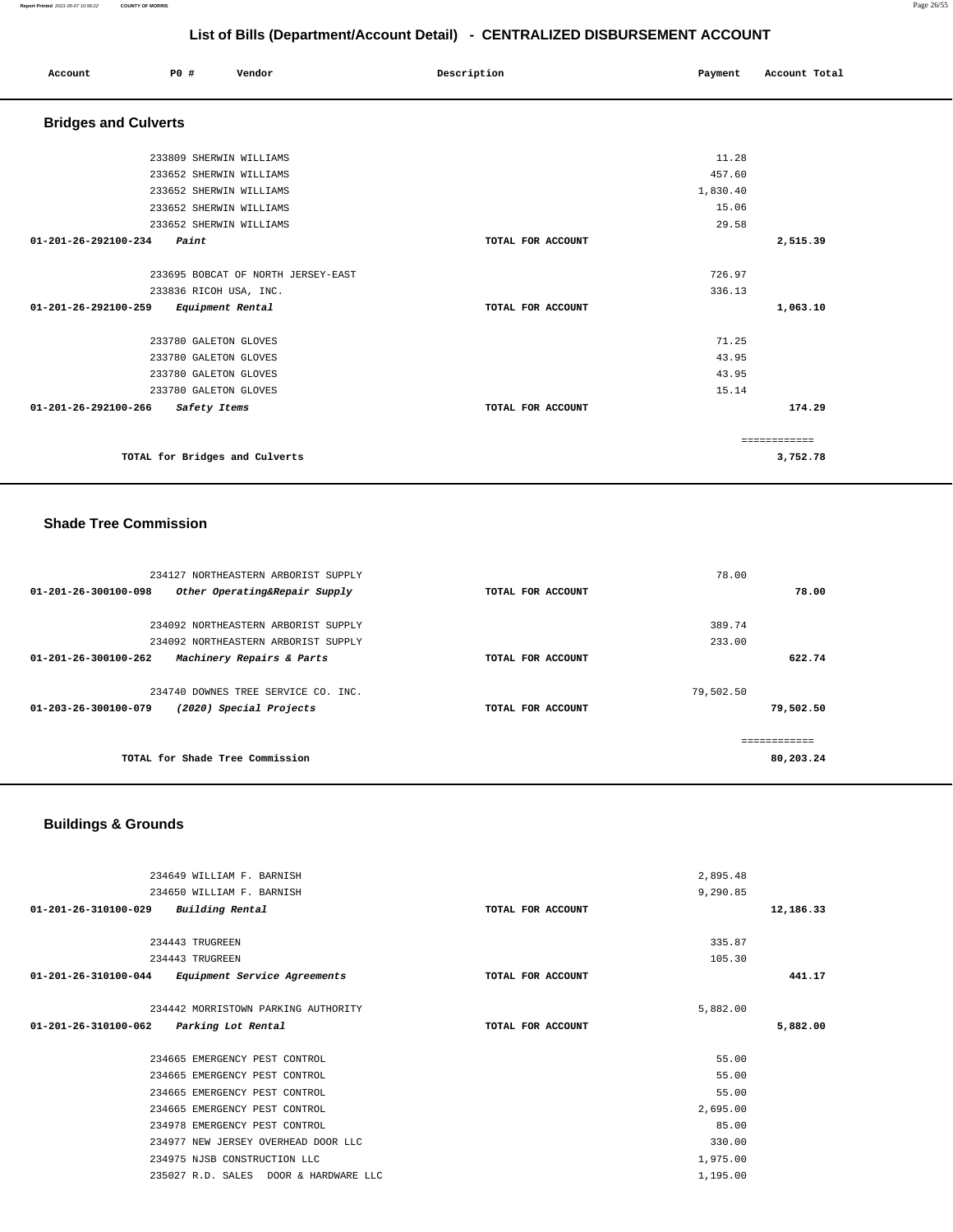#### **Report Printed** 2021-05-07 10:56:22 **COUNTY OF MORRIS** Page 26/55

#### **List of Bills (Department/Account Detail) - CENTRALIZED DISBURSEMENT ACCOUNT**

| List of Bills (Department/Account Detail) - CENTRALIZED DISBURSEMENT ACCOUNT |      |                        |                                    |  |                   |  |          |               |
|------------------------------------------------------------------------------|------|------------------------|------------------------------------|--|-------------------|--|----------|---------------|
| Account                                                                      | P0 # |                        | Vendor                             |  | Description       |  | Payment  | Account Total |
| <b>Bridges and Culverts</b>                                                  |      |                        |                                    |  |                   |  |          |               |
|                                                                              |      |                        | 233809 SHERWIN WILLIAMS            |  |                   |  | 11.28    |               |
|                                                                              |      |                        | 233652 SHERWIN WILLIAMS            |  |                   |  | 457.60   |               |
|                                                                              |      |                        | 233652 SHERWIN WILLIAMS            |  |                   |  | 1,830.40 |               |
|                                                                              |      |                        | 233652 SHERWIN WILLIAMS            |  |                   |  | 15.06    |               |
|                                                                              |      |                        | 233652 SHERWIN WILLIAMS            |  |                   |  | 29.58    |               |
| 01-201-26-292100-234                                                         |      | Paint                  |                                    |  | TOTAL FOR ACCOUNT |  |          | 2,515.39      |
|                                                                              |      |                        | 233695 BOBCAT OF NORTH JERSEY-EAST |  |                   |  | 726.97   |               |
|                                                                              |      | 233836 RICOH USA, INC. |                                    |  |                   |  | 336.13   |               |
| 01-201-26-292100-259                                                         |      | Equipment Rental       |                                    |  | TOTAL FOR ACCOUNT |  |          | 1,063.10      |
|                                                                              |      | 233780 GALETON GLOVES  |                                    |  |                   |  | 71.25    |               |
|                                                                              |      | 233780 GALETON GLOVES  |                                    |  |                   |  | 43.95    |               |
|                                                                              |      | 233780 GALETON GLOVES  |                                    |  |                   |  | 43.95    |               |
|                                                                              |      | 233780 GALETON GLOVES  |                                    |  |                   |  | 15.14    |               |
| 01-201-26-292100-266                                                         |      | Safety Items           |                                    |  | TOTAL FOR ACCOUNT |  |          | 174.29        |
|                                                                              |      |                        |                                    |  |                   |  |          | ============  |
|                                                                              |      |                        | TOTAL for Bridges and Culverts     |  |                   |  |          | 3,752.78      |

## **Shade Tree Commission**

| 234127 NORTHEASTERN ARBORIST SUPPLY                             |                   | 78.00     |
|-----------------------------------------------------------------|-------------------|-----------|
| Other Operating&Repair Supply<br>$01 - 201 - 26 - 300100 - 098$ | TOTAL FOR ACCOUNT | 78.00     |
|                                                                 |                   |           |
| 234092 NORTHEASTERN ARBORIST SUPPLY                             |                   | 389.74    |
| 234092 NORTHEASTERN ARBORIST SUPPLY                             |                   | 233.00    |
| Machinery Repairs & Parts<br>$01 - 201 - 26 - 300100 - 262$     | TOTAL FOR ACCOUNT | 622.74    |
|                                                                 |                   |           |
| 234740 DOWNES TREE SERVICE CO. INC.                             |                   | 79,502.50 |
| $01 - 203 - 26 - 300100 - 079$<br>(2020) Special Projects       | TOTAL FOR ACCOUNT | 79,502.50 |
|                                                                 |                   |           |
|                                                                 |                   |           |
| TOTAL for Shade Tree Commission                                 |                   | 80,203.24 |
|                                                                 |                   |           |

# **Buildings & Grounds**

| 234649 WILLIAM F. BARNISH                            |                   | 2,895.48 |           |
|------------------------------------------------------|-------------------|----------|-----------|
| 234650 WILLIAM F. BARNISH                            |                   | 9,290.85 |           |
| Building Rental<br>01-201-26-310100-029              | TOTAL FOR ACCOUNT |          | 12,186.33 |
|                                                      |                   |          |           |
| 234443 TRUGREEN                                      |                   | 335.87   |           |
| 234443 TRUGREEN                                      |                   | 105.30   |           |
| 01-201-26-310100-044<br>Equipment Service Agreements | TOTAL FOR ACCOUNT |          | 441.17    |
|                                                      |                   |          |           |
| 234442 MORRISTOWN PARKING AUTHORITY                  |                   | 5,882.00 |           |
| 01-201-26-310100-062<br>Parking Lot Rental           | TOTAL FOR ACCOUNT |          | 5,882.00  |
|                                                      |                   |          |           |
| 234665 EMERGENCY PEST CONTROL                        |                   | 55.00    |           |
| 234665 EMERGENCY PEST CONTROL                        |                   |          |           |
|                                                      |                   | 55.00    |           |
| 234665 EMERGENCY PEST CONTROL                        |                   | 55.00    |           |
| 234665 EMERGENCY PEST CONTROL                        |                   | 2,695.00 |           |
| 234978 EMERGENCY PEST CONTROL                        |                   | 85.00    |           |
| 234977 NEW JERSEY OVERHEAD DOOR LLC                  |                   | 330.00   |           |
| 234975 NJSB CONSTRUCTION LLC                         |                   | 1,975.00 |           |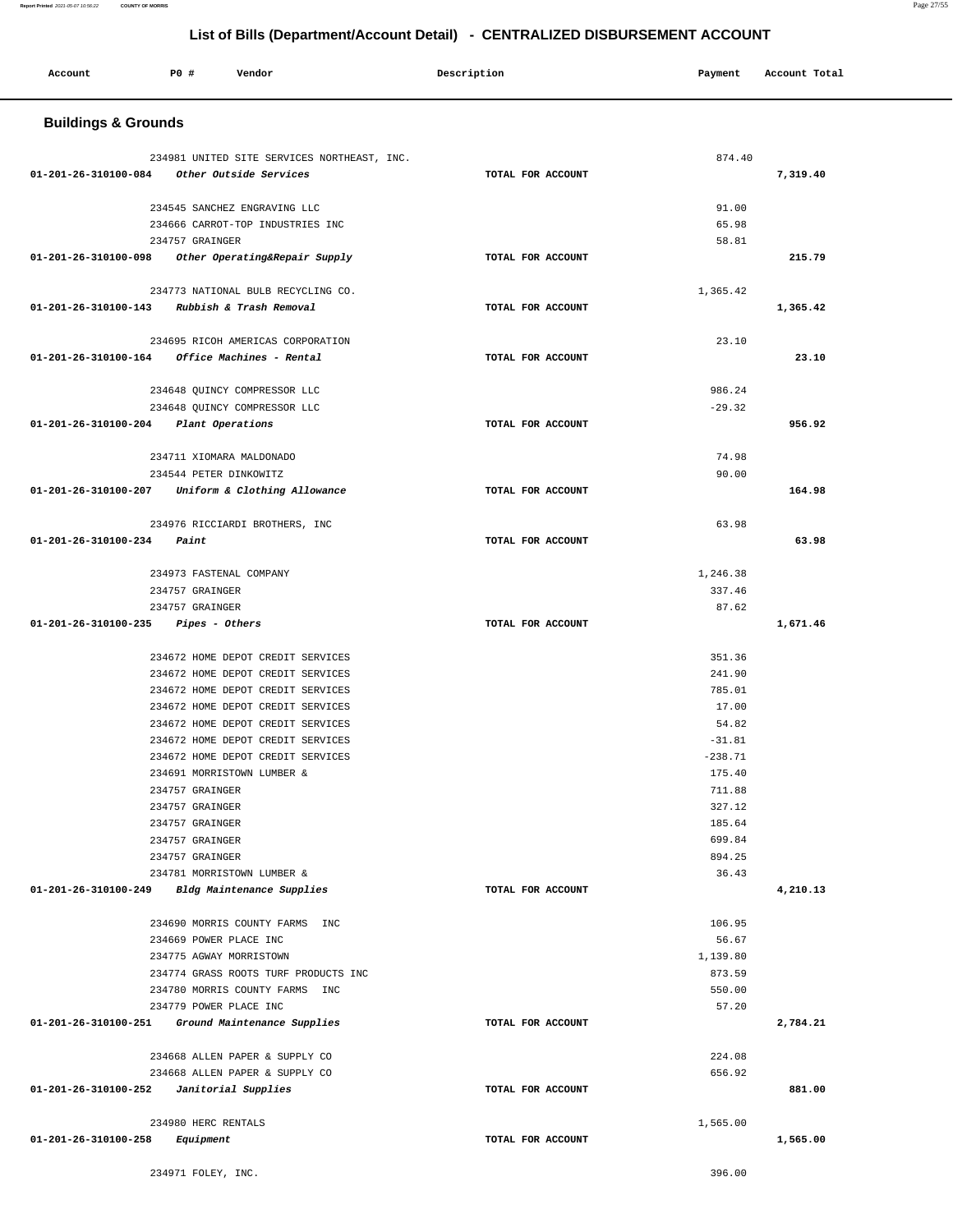| Account                                       | P0 #                     | Vendor                                                                 | Description       | Payment          | Account Total |  |  |
|-----------------------------------------------|--------------------------|------------------------------------------------------------------------|-------------------|------------------|---------------|--|--|
| <b>Buildings &amp; Grounds</b>                |                          |                                                                        |                   |                  |               |  |  |
|                                               |                          |                                                                        |                   |                  |               |  |  |
| 01-201-26-310100-084 Other Outside Services   |                          | 234981 UNITED SITE SERVICES NORTHEAST, INC.                            | TOTAL FOR ACCOUNT | 874.40           | 7,319.40      |  |  |
|                                               |                          |                                                                        |                   |                  |               |  |  |
|                                               |                          | 234545 SANCHEZ ENGRAVING LLC                                           |                   | 91.00            |               |  |  |
|                                               |                          | 234666 CARROT-TOP INDUSTRIES INC                                       |                   | 65.98            |               |  |  |
|                                               | 234757 GRAINGER          |                                                                        |                   | 58.81            |               |  |  |
| 01-201-26-310100-098                          |                          | Other Operating&Repair Supply                                          | TOTAL FOR ACCOUNT |                  | 215.79        |  |  |
|                                               |                          | 234773 NATIONAL BULB RECYCLING CO.                                     |                   | 1,365.42         |               |  |  |
| 01-201-26-310100-143 Rubbish & Trash Removal  |                          |                                                                        | TOTAL FOR ACCOUNT |                  | 1,365.42      |  |  |
|                                               |                          | 234695 RICOH AMERICAS CORPORATION                                      |                   | 23.10            |               |  |  |
| 01-201-26-310100-164 Office Machines - Rental |                          |                                                                        | TOTAL FOR ACCOUNT |                  | 23.10         |  |  |
|                                               |                          |                                                                        |                   |                  |               |  |  |
|                                               |                          | 234648 QUINCY COMPRESSOR LLC                                           |                   | 986.24           |               |  |  |
|                                               |                          | 234648 QUINCY COMPRESSOR LLC                                           |                   | $-29.32$         |               |  |  |
| 01-201-26-310100-204                          | Plant Operations         |                                                                        | TOTAL FOR ACCOUNT |                  | 956.92        |  |  |
|                                               | 234711 XIOMARA MALDONADO |                                                                        |                   | 74.98            |               |  |  |
|                                               | 234544 PETER DINKOWITZ   |                                                                        |                   | 90.00            |               |  |  |
| 01-201-26-310100-207                          |                          | Uniform & Clothing Allowance                                           | TOTAL FOR ACCOUNT |                  | 164.98        |  |  |
|                                               |                          |                                                                        |                   | 63.98            |               |  |  |
| 01-201-26-310100-234                          | Paint                    | 234976 RICCIARDI BROTHERS, INC                                         | TOTAL FOR ACCOUNT |                  | 63.98         |  |  |
|                                               |                          |                                                                        |                   |                  |               |  |  |
|                                               | 234973 FASTENAL COMPANY  |                                                                        |                   | 1,246.38         |               |  |  |
|                                               | 234757 GRAINGER          |                                                                        |                   | 337.46           |               |  |  |
|                                               | 234757 GRAINGER          |                                                                        |                   | 87.62            |               |  |  |
| 01-201-26-310100-235                          | Pipes - Others           |                                                                        | TOTAL FOR ACCOUNT |                  | 1,671.46      |  |  |
|                                               |                          |                                                                        |                   |                  |               |  |  |
|                                               |                          | 234672 HOME DEPOT CREDIT SERVICES<br>234672 HOME DEPOT CREDIT SERVICES |                   | 351.36<br>241.90 |               |  |  |
|                                               |                          | 234672 HOME DEPOT CREDIT SERVICES                                      |                   | 785.01           |               |  |  |
|                                               |                          | 234672 HOME DEPOT CREDIT SERVICES                                      |                   | 17.00            |               |  |  |
|                                               |                          | 234672 HOME DEPOT CREDIT SERVICES                                      |                   | 54.82            |               |  |  |
|                                               |                          | 234672 HOME DEPOT CREDIT SERVICES                                      |                   | $-31.81$         |               |  |  |
|                                               |                          | 234672 HOME DEPOT CREDIT SERVICES                                      |                   | $-238.71$        |               |  |  |
|                                               |                          | 234691 MORRISTOWN LUMBER &                                             |                   | 175.40           |               |  |  |
|                                               | 234757 GRAINGER          |                                                                        |                   | 711.88           |               |  |  |
|                                               | 234757 GRAINGER          |                                                                        |                   | 327.12           |               |  |  |
|                                               | 234757 GRAINGER          |                                                                        |                   | 185.64           |               |  |  |
|                                               | 234757 GRAINGER          |                                                                        |                   | 699.84           |               |  |  |
|                                               | 234757 GRAINGER          |                                                                        |                   | 894.25           |               |  |  |
|                                               |                          | 234781 MORRISTOWN LUMBER &                                             |                   | 36.43            |               |  |  |
| 01-201-26-310100-249                          |                          | Bldg Maintenance Supplies                                              | TOTAL FOR ACCOUNT |                  | 4,210.13      |  |  |
|                                               |                          | 234690 MORRIS COUNTY FARMS INC                                         |                   | 106.95           |               |  |  |
|                                               | 234669 POWER PLACE INC   |                                                                        |                   | 56.67            |               |  |  |
|                                               | 234775 AGWAY MORRISTOWN  |                                                                        |                   | 1,139.80         |               |  |  |
|                                               |                          | 234774 GRASS ROOTS TURF PRODUCTS INC                                   |                   | 873.59           |               |  |  |
|                                               |                          | 234780 MORRIS COUNTY FARMS INC                                         |                   | 550.00           |               |  |  |
|                                               | 234779 POWER PLACE INC   |                                                                        |                   | 57.20            |               |  |  |
| 01-201-26-310100-251                          |                          | Ground Maintenance Supplies                                            | TOTAL FOR ACCOUNT |                  | 2,784.21      |  |  |
|                                               |                          | 234668 ALLEN PAPER & SUPPLY CO                                         |                   | 224.08           |               |  |  |
|                                               |                          | 234668 ALLEN PAPER & SUPPLY CO                                         |                   | 656.92           |               |  |  |
| $01-201-26-310100-252$ Janitorial Supplies    |                          |                                                                        | TOTAL FOR ACCOUNT |                  | 881.00        |  |  |
|                                               |                          |                                                                        |                   |                  |               |  |  |
|                                               | 234980 HERC RENTALS      |                                                                        |                   | 1,565.00         |               |  |  |
| 01-201-26-310100-258                          | Equipment                |                                                                        | TOTAL FOR ACCOUNT |                  | 1,565.00      |  |  |
|                                               | 234971 FOLEY, INC.       |                                                                        |                   | 396.00           |               |  |  |

**Report Printed** 2021-05-07 10:56:22 **COUNTY OF MORRIS** Page 27/55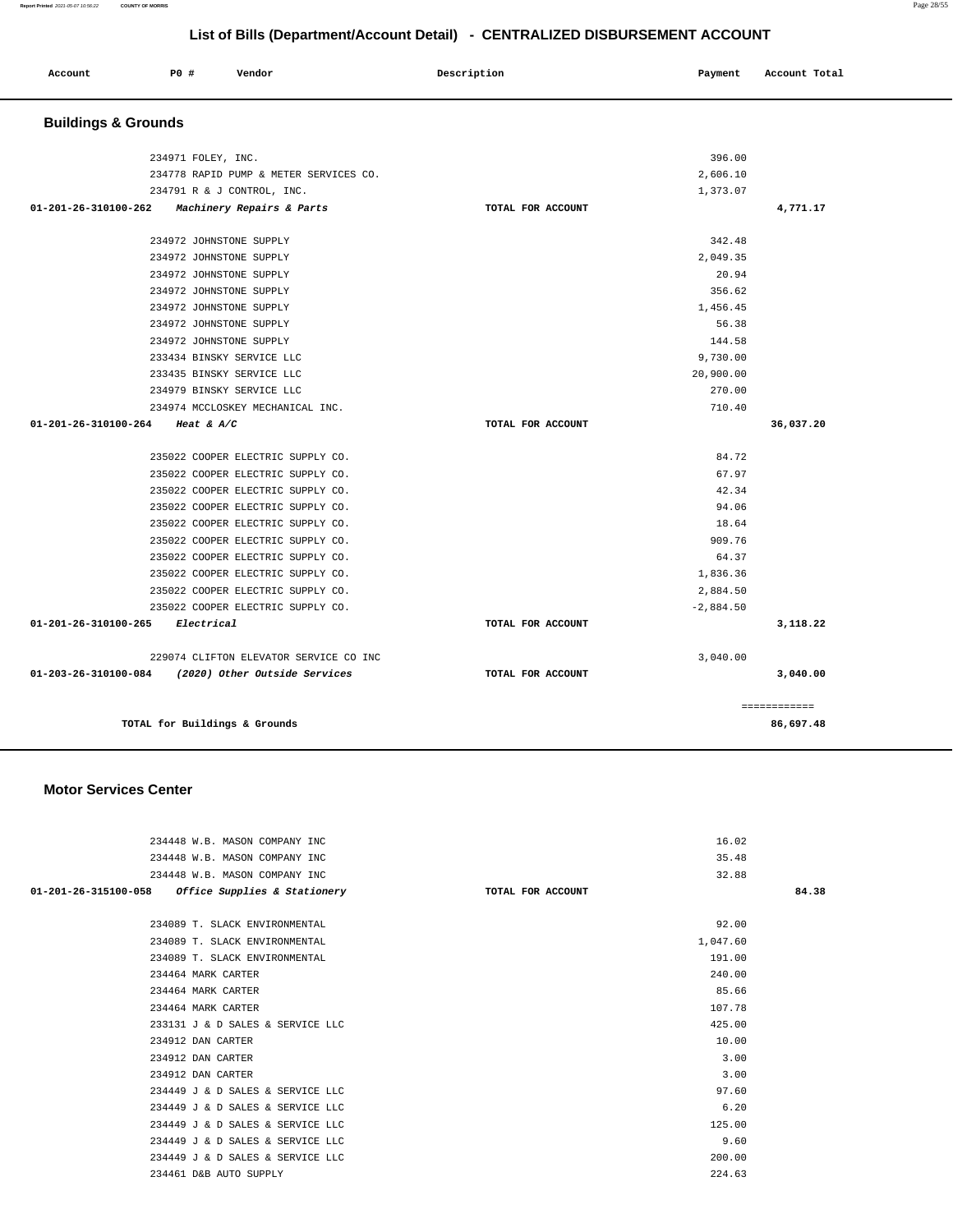| Account | PO# | Vendor | Description | Payment | Account Total |
|---------|-----|--------|-------------|---------|---------------|
|         |     |        |             |         |               |

# **Buildings & Grounds**

| 234971 FOLEY, INC.<br>234778 RAPID PUMP & METER SERVICES CO. |                   | 396.00<br>2,606.10 |              |
|--------------------------------------------------------------|-------------------|--------------------|--------------|
| 234791 R & J CONTROL, INC.                                   |                   | 1,373.07           |              |
| 01-201-26-310100-262<br><i>Machinery Repairs &amp; Parts</i> | TOTAL FOR ACCOUNT |                    | 4,771.17     |
|                                                              |                   |                    |              |
| 234972 JOHNSTONE SUPPLY                                      |                   | 342.48             |              |
| 234972 JOHNSTONE SUPPLY                                      |                   | 2.049.35           |              |
| 234972 JOHNSTONE SUPPLY                                      |                   | 20.94              |              |
| 234972 JOHNSTONE SUPPLY                                      |                   | 356.62             |              |
| 234972 JOHNSTONE SUPPLY                                      |                   | 1,456.45           |              |
| 234972 JOHNSTONE SUPPLY                                      |                   | 56.38              |              |
| 234972 JOHNSTONE SUPPLY                                      |                   | 144.58             |              |
| 233434 BINSKY SERVICE LLC                                    |                   | 9,730.00           |              |
| 233435 BINSKY SERVICE LLC                                    |                   | 20,900.00          |              |
| 234979 BINSKY SERVICE LLC                                    |                   | 270.00             |              |
| 234974 MCCLOSKEY MECHANICAL INC.                             |                   | 710.40             |              |
| 01-201-26-310100-264<br>Heat & $A/C$                         | TOTAL FOR ACCOUNT |                    | 36,037.20    |
|                                                              |                   |                    |              |
| 235022 COOPER ELECTRIC SUPPLY CO.                            |                   | 84.72              |              |
| 235022 COOPER ELECTRIC SUPPLY CO.                            |                   | 67.97              |              |
| 235022 COOPER ELECTRIC SUPPLY CO.                            |                   | 42.34              |              |
| 235022 COOPER ELECTRIC SUPPLY CO.                            |                   | 94.06              |              |
| 235022 COOPER ELECTRIC SUPPLY CO.                            |                   | 18.64              |              |
| 235022 COOPER ELECTRIC SUPPLY CO.                            |                   | 909.76             |              |
| 235022 COOPER ELECTRIC SUPPLY CO.                            |                   | 64.37              |              |
| 235022 COOPER ELECTRIC SUPPLY CO.                            |                   | 1,836.36           |              |
| 235022 COOPER ELECTRIC SUPPLY CO.                            |                   | 2,884.50           |              |
| 235022 COOPER ELECTRIC SUPPLY CO.                            |                   | $-2,884.50$        |              |
| 01-201-26-310100-265<br>Electrical                           | TOTAL FOR ACCOUNT |                    | 3,118.22     |
| 229074 CLIFTON ELEVATOR SERVICE CO INC                       |                   | 3,040.00           |              |
| 01-203-26-310100-084 (2020) Other Outside Services           | TOTAL FOR ACCOUNT |                    | 3,040.00     |
|                                                              |                   |                    | ============ |
| TOTAL for Buildings & Grounds                                |                   |                    | 86,697.48    |
|                                                              |                   |                    |              |

#### **Motor Services Center**

| 234448 W.B. MASON COMPANY INC                       | 16.02             |       |
|-----------------------------------------------------|-------------------|-------|
| 234448 W.B. MASON COMPANY INC                       | 35.48             |       |
| 234448 W.B. MASON COMPANY INC                       | 32.88             |       |
| $01-201-26-315100-058$ Office Supplies & Stationery | TOTAL FOR ACCOUNT | 84.38 |
|                                                     |                   |       |
| 234089 T. SLACK ENVIRONMENTAL                       | 92.00             |       |
| 234089 T. SLACK ENVIRONMENTAL                       | 1,047.60          |       |
| 234089 T. SLACK ENVIRONMENTAL                       | 191.00            |       |
| 234464 MARK CARTER                                  | 240.00            |       |
| 234464 MARK CARTER                                  | 85.66             |       |
| 234464 MARK CARTER                                  | 107.78            |       |
| 233131 J & D SALES & SERVICE LLC                    | 425.00            |       |
| 234912 DAN CARTER                                   | 10.00             |       |
| 234912 DAN CARTER                                   | 3.00              |       |
| 234912 DAN CARTER                                   | 3.00              |       |
| 234449 J & D SALES & SERVICE LLC                    | 97.60             |       |
| 234449 J & D SALES & SERVICE LLC                    | 6.20              |       |
| 234449 J & D SALES & SERVICE LLC                    | 125.00            |       |
| 234449 J & D SALES & SERVICE LLC                    | 9.60              |       |
| 234449 J & D SALES & SERVICE LLC                    | 200.00            |       |
| 234461 D&B AUTO SUPPLY                              | 224.63            |       |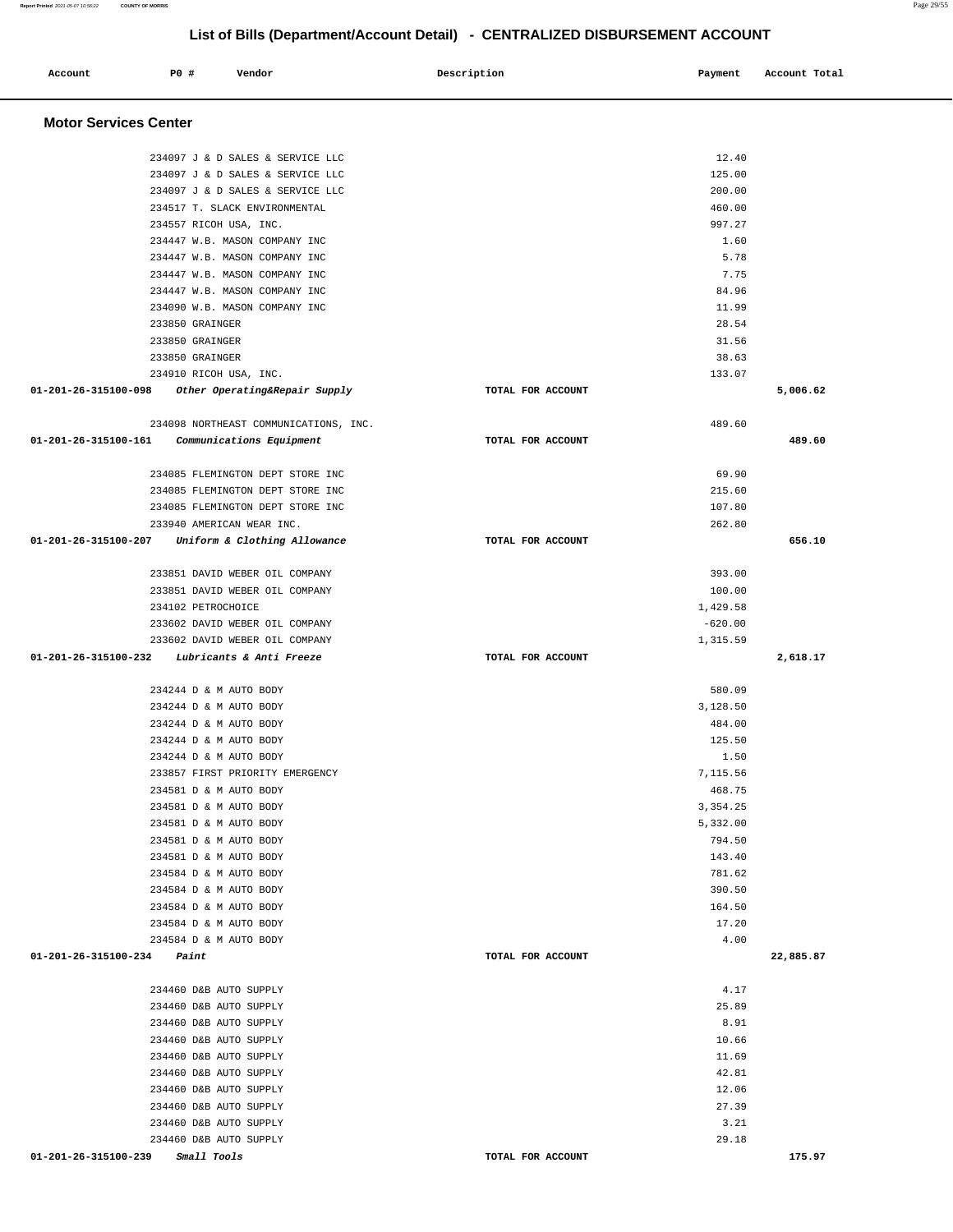## **Account P0 # Vendor Description Payment Account Total Motor Services Center**  234097 J & D SALES & SERVICE LLC 12.40 234097 J & D SALES & SERVICE LLC 125.00 234097 J & D SALES & SERVICE LLC 200.00 234517 T. SLACK ENVIRONMENTAL 460.00 234557 RICOH USA, INC. 997.27 234447 W.B. MASON COMPANY INC 1.60 234447 W.B. MASON COMPANY INC 5.78 234447 W.B. MASON COMPANY INC 7.75 234447 W.B. MASON COMPANY INC 84.96 234090 W.B. MASON COMPANY INC 11.99 233850 GRAINGER 28.54 233850 GRAINGER 31.56 233850 GRAINGER 38.63 234910 RICOH USA, INC. 133.07  **01-201-26-315100-098 Other Operating&Repair Supply TOTAL FOR ACCOUNT 5,006.62** 234098 NORTHEAST COMMUNICATIONS, INC. 489.60  **01-201-26-315100-161 Communications Equipment TOTAL FOR ACCOUNT 489.60** 234085 FLEMINGTON DEPT STORE INC 69.90 234085 FLEMINGTON DEPT STORE INC 215.60 234085 FLEMINGTON DEPT STORE INC 107.80 233940 AMERICAN WEAR INC. 262.80  **01-201-26-315100-207 Uniform & Clothing Allowance TOTAL FOR ACCOUNT 656.10** 233851 DAVID WEBER OIL COMPANY 393.00 233851 DAVID WEBER OIL COMPANY 100.00 234102 PETROCHOICE 1,429.58 233602 DAVID WEBER OIL COMPANY  $-620.00$ 233602 DAVID WEBER OIL COMPANY 1,315.59  **01-201-26-315100-232 Lubricants & Anti Freeze TOTAL FOR ACCOUNT 2,618.17** 234244 D & M AUTO BODY 580.09 234244 D & M AUTO BODY 3,128.50 234244 D & M AUTO BODY 484.00 234244 D & M AUTO BODY 125.50 234244 D & M AUTO BODY 1.50 233857 FIRST PRIORITY EMERGENCY 7,115.56 234581 D & M AUTO BODY 468.75 234581 D & M AUTO BODY 3,354.25 234581 D & M AUTO BODY 5,332.00 234581 D & M AUTO BODY 794.50 234581 D & M AUTO BODY 143.40 234584 D & M AUTO BODY 781.62 234584 D & M AUTO BODY 390.50 234584 D & M AUTO BODY 164.50 234584 D & M AUTO BODY 17.20 234584 D & M AUTO BODY 4.00  **01-201-26-315100-234 Paint TOTAL FOR ACCOUNT 22,885.87** 234460 D&B AUTO SUPPLY 4.17 234460 D&B AUTO SUPPLY 25.89 234460 D&B AUTO SUPPLY 8.91 234460 D&B AUTO SUPPLY 10.66 234460 D&B AUTO SUPPLY 11.69 234460 D&B AUTO SUPPLY 42.81 234460 D&B AUTO SUPPLY 12.06 234460 D&B AUTO SUPPLY 27.39 234460 D&B AUTO SUPPLY 3.21 234460 D&B AUTO SUPPLY 29.18  **01-201-26-315100-239 Small Tools TOTAL FOR ACCOUNT 175.97**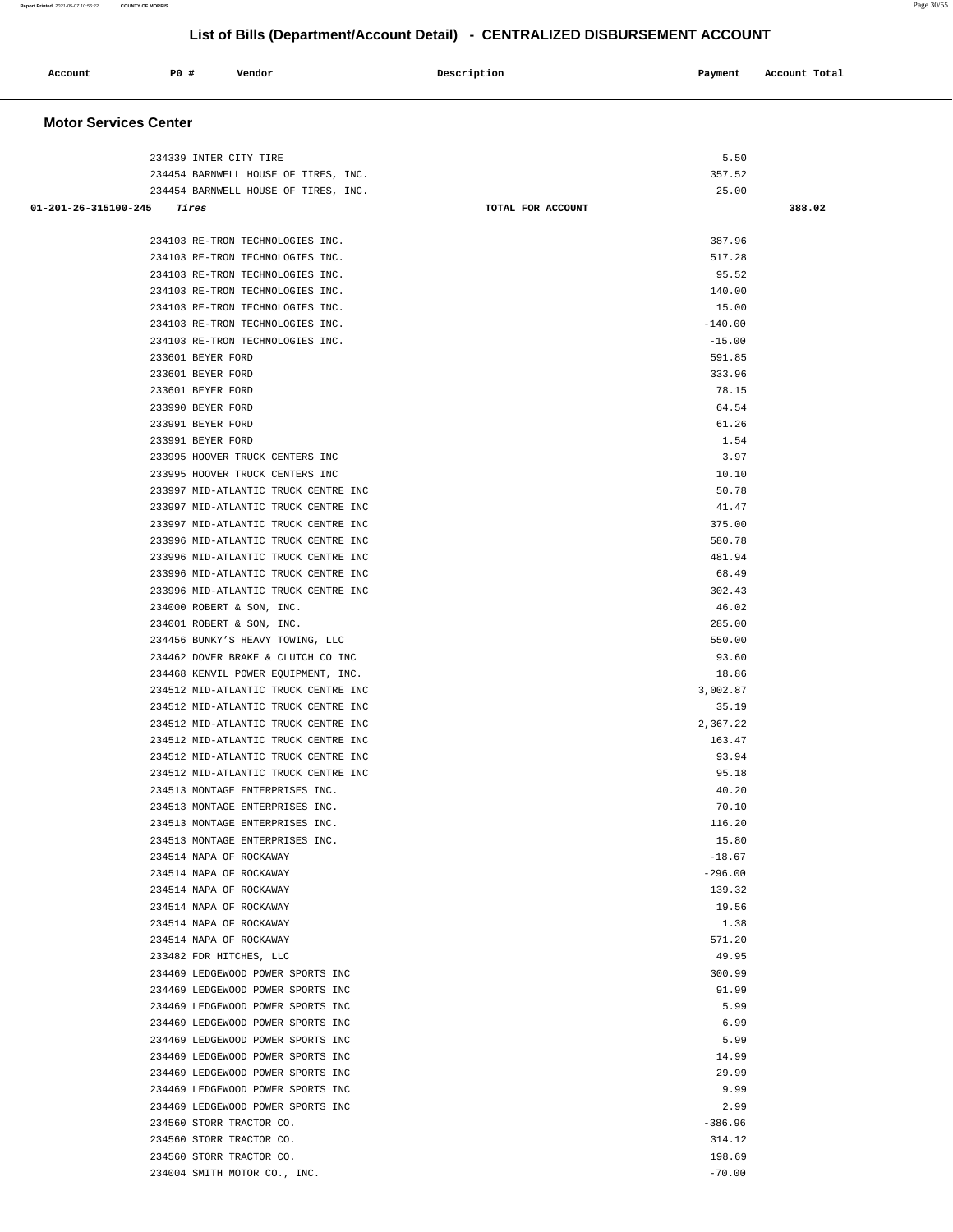| Account<br>. | P0 # | Vendor | Description | Payment | Account Total |
|--------------|------|--------|-------------|---------|---------------|
|              |      |        |             |         |               |

## **Motor Services Center**

| 234339 INTER CITY TIRE                                                       |                   | 5.50            |        |
|------------------------------------------------------------------------------|-------------------|-----------------|--------|
| 234454 BARNWELL HOUSE OF TIRES, INC.                                         |                   | 357.52          |        |
| 234454 BARNWELL HOUSE OF TIRES, INC.                                         |                   | 25.00           |        |
| $01 - 201 - 26 - 315100 - 245$ Tires                                         | TOTAL FOR ACCOUNT |                 | 388.02 |
| 234103 RE-TRON TECHNOLOGIES INC.                                             |                   | 387.96          |        |
| 234103 RE-TRON TECHNOLOGIES INC.                                             |                   | 517.28          |        |
| 234103 RE-TRON TECHNOLOGIES INC.                                             |                   | 95.52           |        |
| 234103 RE-TRON TECHNOLOGIES INC.                                             |                   | 140.00          |        |
| 234103 RE-TRON TECHNOLOGIES INC.                                             |                   | 15.00           |        |
| 234103 RE-TRON TECHNOLOGIES INC.                                             |                   | $-140.00$       |        |
| 234103 RE-TRON TECHNOLOGIES INC.                                             |                   | $-15.00$        |        |
| 233601 BEYER FORD                                                            |                   | 591.85          |        |
| 233601 BEYER FORD                                                            |                   | 333.96          |        |
| 233601 BEYER FORD                                                            |                   | 78.15           |        |
| 233990 BEYER FORD                                                            |                   | 64.54           |        |
| 233991 BEYER FORD                                                            |                   | 61.26           |        |
| 233991 BEYER FORD                                                            |                   | 1.54            |        |
| 233995 HOOVER TRUCK CENTERS INC                                              |                   | 3.97            |        |
| 233995 HOOVER TRUCK CENTERS INC                                              |                   | 10.10           |        |
| 233997 MID-ATLANTIC TRUCK CENTRE INC<br>233997 MID-ATLANTIC TRUCK CENTRE INC |                   | 50.78           |        |
| 233997 MID-ATLANTIC TRUCK CENTRE INC                                         |                   | 41.47<br>375.00 |        |
| 233996 MID-ATLANTIC TRUCK CENTRE INC                                         |                   | 580.78          |        |
| 233996 MID-ATLANTIC TRUCK CENTRE INC                                         |                   | 481.94          |        |
| 233996 MID-ATLANTIC TRUCK CENTRE INC                                         |                   | 68.49           |        |
| 233996 MID-ATLANTIC TRUCK CENTRE INC                                         |                   | 302.43          |        |
| 234000 ROBERT & SON, INC.                                                    |                   | 46.02           |        |
| 234001 ROBERT & SON, INC.                                                    |                   | 285.00          |        |
| 234456 BUNKY'S HEAVY TOWING, LLC                                             |                   | 550.00          |        |
| 234462 DOVER BRAKE & CLUTCH CO INC                                           |                   | 93.60           |        |
| 234468 KENVIL POWER EQUIPMENT, INC.                                          |                   | 18.86           |        |
| 234512 MID-ATLANTIC TRUCK CENTRE INC                                         |                   | 3,002.87        |        |
| 234512 MID-ATLANTIC TRUCK CENTRE INC                                         |                   | 35.19           |        |
| 234512 MID-ATLANTIC TRUCK CENTRE INC                                         |                   | 2,367.22        |        |
| 234512 MID-ATLANTIC TRUCK CENTRE INC                                         |                   | 163.47          |        |
| 234512 MID-ATLANTIC TRUCK CENTRE INC                                         |                   | 93.94           |        |
| 234512 MID-ATLANTIC TRUCK CENTRE INC                                         |                   | 95.18           |        |
| 234513 MONTAGE ENTERPRISES INC.                                              |                   | 40.20           |        |
| 234513 MONTAGE ENTERPRISES INC.                                              |                   | 70.10           |        |
| 234513 MONTAGE ENTERPRISES INC.                                              |                   | 116.20          |        |
| 234513 MONTAGE ENTERPRISES INC.                                              |                   | 15.80           |        |
| 234514 NAPA OF ROCKAWAY                                                      |                   | $-18.67$        |        |
| 234514 NAPA OF ROCKAWAY                                                      |                   | $-296.00$       |        |
| 234514 NAPA OF ROCKAWAY                                                      |                   | 139.32          |        |
| 234514 NAPA OF ROCKAWAY                                                      |                   | 19.56           |        |
| 234514 NAPA OF ROCKAWAY<br>234514 NAPA OF ROCKAWAY                           |                   | 1.38<br>571.20  |        |
| 233482 FDR HITCHES, LLC                                                      |                   | 49.95           |        |
| 234469 LEDGEWOOD POWER SPORTS INC                                            |                   | 300.99          |        |
| 234469 LEDGEWOOD POWER SPORTS INC                                            |                   | 91.99           |        |
| 234469 LEDGEWOOD POWER SPORTS INC                                            |                   | 5.99            |        |
| 234469 LEDGEWOOD POWER SPORTS INC                                            |                   | 6.99            |        |
| 234469 LEDGEWOOD POWER SPORTS INC                                            |                   | 5.99            |        |
| 234469 LEDGEWOOD POWER SPORTS INC                                            |                   | 14.99           |        |
| 234469 LEDGEWOOD POWER SPORTS INC                                            |                   | 29.99           |        |
| 234469 LEDGEWOOD POWER SPORTS INC                                            |                   | 9.99            |        |
| 234469 LEDGEWOOD POWER SPORTS INC                                            |                   | 2.99            |        |
| 234560 STORR TRACTOR CO.                                                     |                   | $-386.96$       |        |
| 234560 STORR TRACTOR CO.                                                     |                   | 314.12          |        |
| 234560 STORR TRACTOR CO.                                                     |                   | 198.69          |        |
| 234004 SMITH MOTOR CO., INC.                                                 |                   | $-70.00$        |        |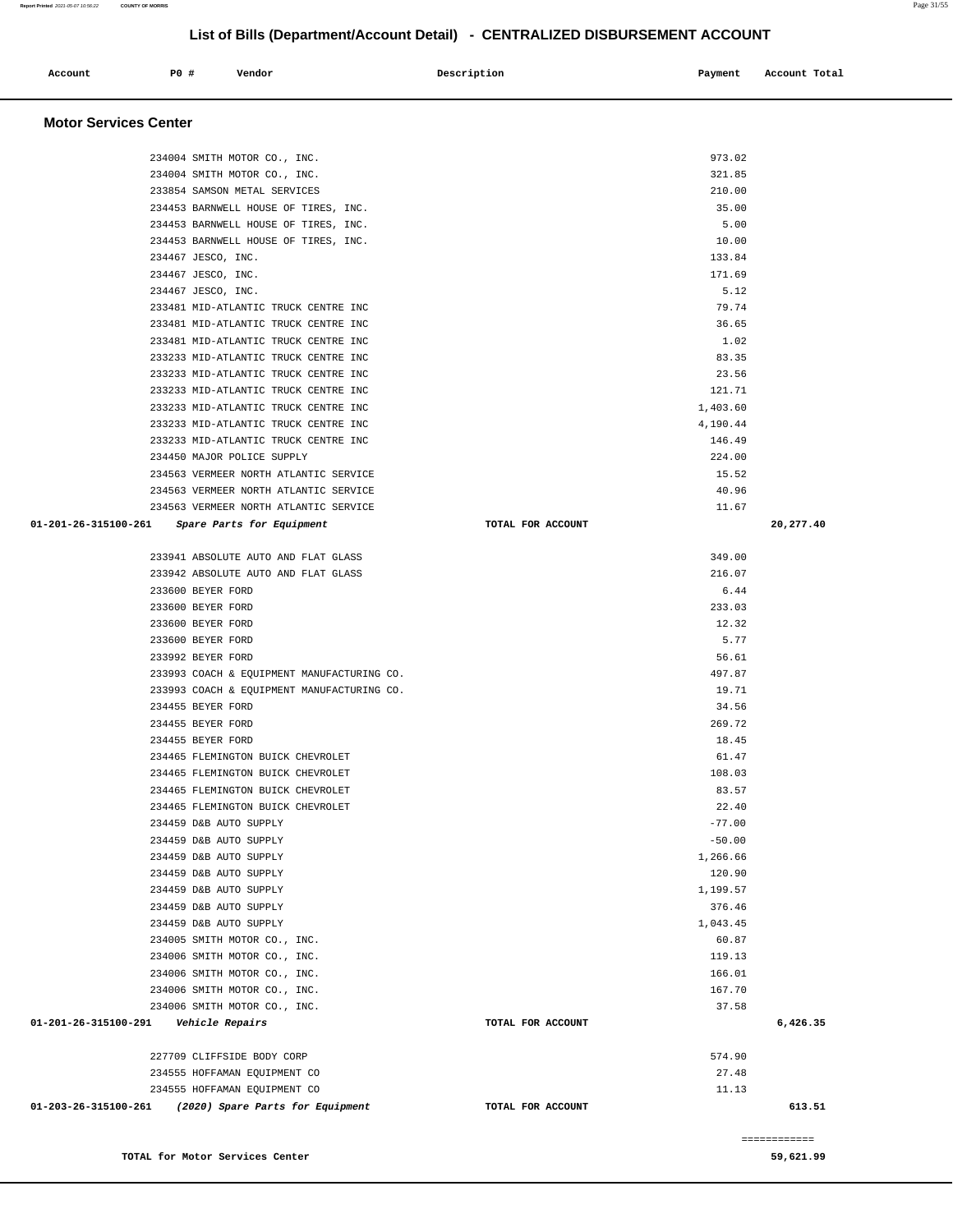| Account                                 | <b>PO #</b> | Vendor                                                                         | Description       | Payment         | Account Total             |
|-----------------------------------------|-------------|--------------------------------------------------------------------------------|-------------------|-----------------|---------------------------|
| <b>Motor Services Center</b>            |             |                                                                                |                   |                 |                           |
|                                         |             |                                                                                |                   |                 |                           |
|                                         |             | 234004 SMITH MOTOR CO., INC.                                                   |                   | 973.02          |                           |
|                                         |             | 234004 SMITH MOTOR CO., INC.                                                   |                   | 321.85          |                           |
|                                         |             | 233854 SAMSON METAL SERVICES<br>234453 BARNWELL HOUSE OF TIRES, INC.           |                   | 210.00<br>35.00 |                           |
|                                         |             | 234453 BARNWELL HOUSE OF TIRES, INC.                                           |                   | 5.00            |                           |
|                                         |             | 234453 BARNWELL HOUSE OF TIRES, INC.                                           |                   | 10.00           |                           |
|                                         |             | 234467 JESCO, INC.                                                             |                   | 133.84          |                           |
|                                         |             | 234467 JESCO, INC.                                                             |                   | 171.69          |                           |
|                                         |             | 234467 JESCO, INC.                                                             |                   | 5.12            |                           |
|                                         |             | 233481 MID-ATLANTIC TRUCK CENTRE INC                                           |                   | 79.74           |                           |
|                                         |             | 233481 MID-ATLANTIC TRUCK CENTRE INC                                           |                   | 36.65           |                           |
|                                         |             | 233481 MID-ATLANTIC TRUCK CENTRE INC                                           |                   | 1.02            |                           |
|                                         |             | 233233 MID-ATLANTIC TRUCK CENTRE INC                                           |                   | 83.35           |                           |
|                                         |             | 233233 MID-ATLANTIC TRUCK CENTRE INC                                           |                   | 23.56           |                           |
|                                         |             | 233233 MID-ATLANTIC TRUCK CENTRE INC                                           |                   | 121.71          |                           |
|                                         |             | 233233 MID-ATLANTIC TRUCK CENTRE INC                                           |                   | 1,403.60        |                           |
|                                         |             | 233233 MID-ATLANTIC TRUCK CENTRE INC                                           |                   | 4,190.44        |                           |
|                                         |             | 233233 MID-ATLANTIC TRUCK CENTRE INC                                           |                   | 146.49          |                           |
|                                         |             | 234450 MAJOR POLICE SUPPLY                                                     |                   | 224.00<br>15.52 |                           |
|                                         |             | 234563 VERMEER NORTH ATLANTIC SERVICE<br>234563 VERMEER NORTH ATLANTIC SERVICE |                   | 40.96           |                           |
|                                         |             | 234563 VERMEER NORTH ATLANTIC SERVICE                                          |                   | 11.67           |                           |
| 01-201-26-315100-261                    |             | <i>Spare Parts for Equipment</i>                                               | TOTAL FOR ACCOUNT |                 | 20,277.40                 |
|                                         |             | 233941 ABSOLUTE AUTO AND FLAT GLASS                                            |                   | 349.00          |                           |
|                                         |             | 233942 ABSOLUTE AUTO AND FLAT GLASS                                            |                   | 216.07          |                           |
|                                         |             | 233600 BEYER FORD                                                              |                   | 6.44            |                           |
|                                         |             | 233600 BEYER FORD                                                              |                   | 233.03          |                           |
|                                         |             | 233600 BEYER FORD                                                              |                   | 12.32           |                           |
|                                         |             | 233600 BEYER FORD                                                              |                   | 5.77            |                           |
|                                         |             | 233992 BEYER FORD                                                              |                   | 56.61           |                           |
|                                         |             | 233993 COACH & EQUIPMENT MANUFACTURING CO.                                     |                   | 497.87          |                           |
|                                         |             | 233993 COACH & EQUIPMENT MANUFACTURING CO.                                     |                   | 19.71           |                           |
|                                         |             | 234455 BEYER FORD                                                              |                   | 34.56           |                           |
|                                         |             | 234455 BEYER FORD                                                              |                   | 269.72          |                           |
|                                         |             | 234455 BEYER FORD                                                              |                   | 18.45<br>61.47  |                           |
|                                         |             | 234465 FLEMINGTON BUICK CHEVROLET<br>234465 FLEMINGTON BUICK CHEVROLET         |                   | 108.03          |                           |
|                                         |             | 234465 FLEMINGTON BUICK CHEVROLET                                              |                   | 83.57           |                           |
|                                         |             | 234465 FLEMINGTON BUICK CHEVROLET                                              |                   | 22.40           |                           |
|                                         |             | 234459 D&B AUTO SUPPLY                                                         |                   | $-77.00$        |                           |
|                                         |             | 234459 D&B AUTO SUPPLY                                                         |                   | $-50.00$        |                           |
|                                         |             | 234459 D&B AUTO SUPPLY                                                         |                   | 1,266.66        |                           |
|                                         |             | 234459 D&B AUTO SUPPLY                                                         |                   | 120.90          |                           |
|                                         |             | 234459 D&B AUTO SUPPLY                                                         |                   | 1,199.57        |                           |
|                                         |             | 234459 D&B AUTO SUPPLY                                                         |                   | 376.46          |                           |
|                                         |             | 234459 D&B AUTO SUPPLY                                                         |                   | 1,043.45        |                           |
|                                         |             | 234005 SMITH MOTOR CO., INC.                                                   |                   | 60.87           |                           |
|                                         |             | 234006 SMITH MOTOR CO., INC.                                                   |                   | 119.13          |                           |
|                                         |             | 234006 SMITH MOTOR CO., INC.                                                   |                   | 166.01          |                           |
|                                         |             | 234006 SMITH MOTOR CO., INC.<br>234006 SMITH MOTOR CO., INC.                   |                   | 167.70<br>37.58 |                           |
| 01-201-26-315100-291    Vehicle Repairs |             |                                                                                | TOTAL FOR ACCOUNT |                 | 6,426.35                  |
|                                         |             |                                                                                |                   |                 |                           |
|                                         |             | 227709 CLIFFSIDE BODY CORP<br>234555 HOFFAMAN EQUIPMENT CO                     |                   | 574.90<br>27.48 |                           |
|                                         |             | 234555 HOFFAMAN EQUIPMENT CO                                                   |                   | 11.13           |                           |
|                                         |             | 01-203-26-315100-261 (2020) Spare Parts for Equipment                          | TOTAL FOR ACCOUNT |                 | 613.51                    |
|                                         |             |                                                                                |                   |                 |                           |
|                                         |             | TOTAL for Motor Services Center                                                |                   |                 | ============<br>59,621.99 |
|                                         |             |                                                                                |                   |                 |                           |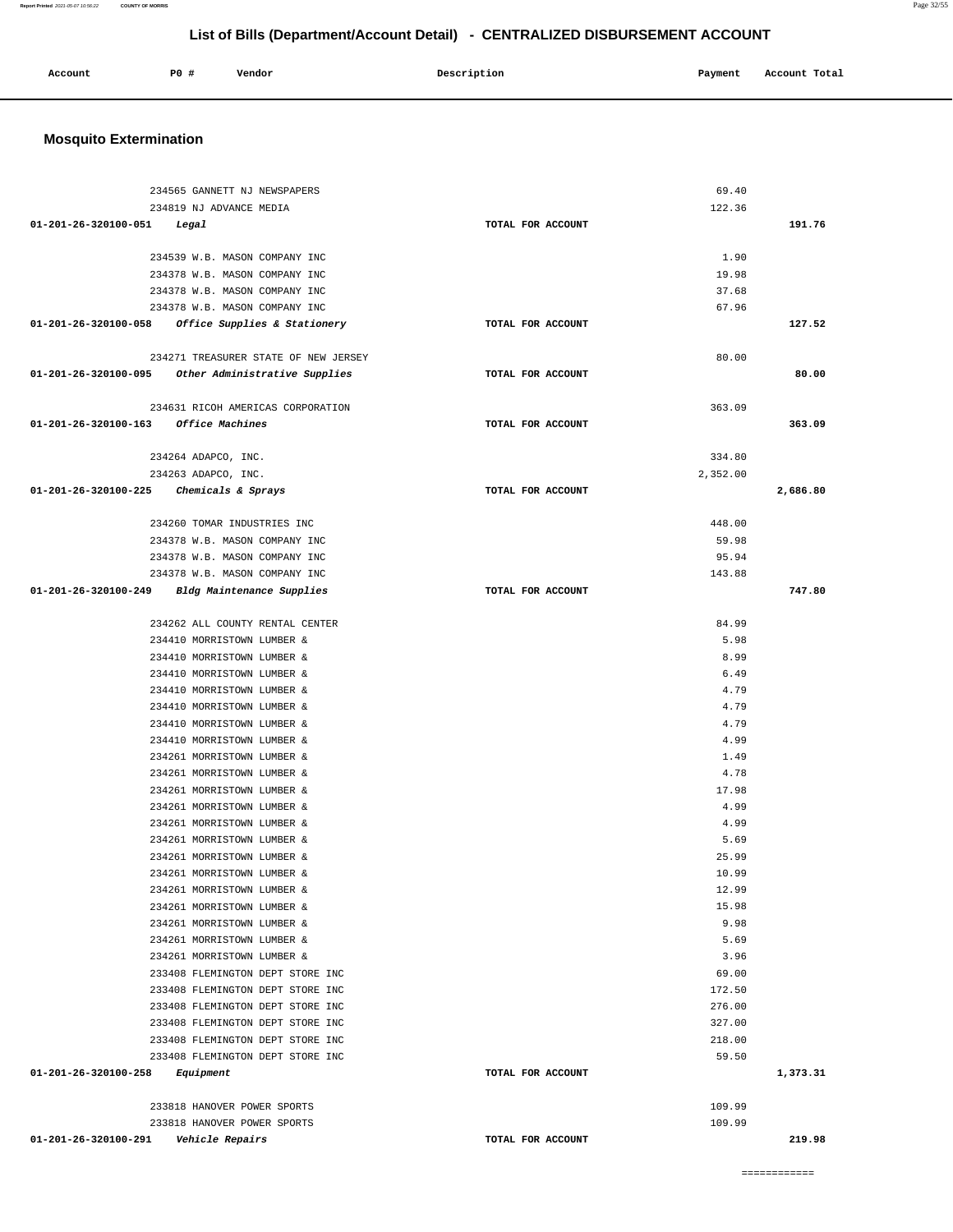| Account<br>. | <b>PO #</b> | Vendor | Description | Payment<br>$\sim$ $\sim$ | Total<br>Account<br>. |
|--------------|-------------|--------|-------------|--------------------------|-----------------------|
|              |             |        |             |                          |                       |

## **Mosquito Extermination**

| 234565 GANNETT NJ NEWSPAPERS                                         |                   | 69.40            |          |
|----------------------------------------------------------------------|-------------------|------------------|----------|
| 234819 NJ ADVANCE MEDIA                                              |                   | 122.36           |          |
| $01 - 201 - 26 - 320100 - 051$ Legal                                 | TOTAL FOR ACCOUNT |                  | 191.76   |
|                                                                      |                   |                  |          |
| 234539 W.B. MASON COMPANY INC                                        |                   | 1.90             |          |
| 234378 W.B. MASON COMPANY INC                                        |                   | 19.98            |          |
| 234378 W.B. MASON COMPANY INC                                        |                   | 37.68            |          |
| 234378 W.B. MASON COMPANY INC                                        |                   | 67.96            |          |
| $01-201-26-320100-058$ Office Supplies & Stationery                  | TOTAL FOR ACCOUNT |                  | 127.52   |
|                                                                      |                   |                  |          |
| 234271 TREASURER STATE OF NEW JERSEY                                 |                   | 80.00            |          |
| 01-201-26-320100-095 Other Administrative Supplies                   | TOTAL FOR ACCOUNT |                  | 80.00    |
|                                                                      |                   |                  |          |
| 234631 RICOH AMERICAS CORPORATION                                    |                   | 363.09           |          |
| 01-201-26-320100-163 Office Machines                                 | TOTAL FOR ACCOUNT |                  | 363.09   |
|                                                                      |                   |                  |          |
| 234264 ADAPCO, INC.                                                  |                   | 334.80           |          |
| 234263 ADAPCO, INC.                                                  |                   | 2,352.00         |          |
| 01-201-26-320100-225 Chemicals & Sprays                              | TOTAL FOR ACCOUNT |                  | 2,686.80 |
| 234260 TOMAR INDUSTRIES INC                                          |                   | 448.00           |          |
| 234378 W.B. MASON COMPANY INC                                        |                   | 59.98            |          |
| 234378 W.B. MASON COMPANY INC                                        |                   | 95.94            |          |
| 234378 W.B. MASON COMPANY INC                                        |                   | 143.88           |          |
| 01-201-26-320100-249 Bldg Maintenance Supplies                       | TOTAL FOR ACCOUNT |                  | 747.80   |
|                                                                      |                   |                  |          |
| 234262 ALL COUNTY RENTAL CENTER                                      |                   | 84.99            |          |
| 234410 MORRISTOWN LUMBER &                                           |                   | 5.98             |          |
| 234410 MORRISTOWN LUMBER &                                           |                   | 8.99             |          |
| 234410 MORRISTOWN LUMBER &                                           |                   | 6.49             |          |
| 234410 MORRISTOWN LUMBER &                                           |                   | 4.79             |          |
| 234410 MORRISTOWN LUMBER &                                           |                   | 4.79             |          |
| 234410 MORRISTOWN LUMBER &                                           |                   | 4.79             |          |
| 234410 MORRISTOWN LUMBER &                                           |                   | 4.99             |          |
| 234261 MORRISTOWN LUMBER &                                           |                   | 1.49             |          |
| 234261 MORRISTOWN LUMBER &                                           |                   | 4.78             |          |
| 234261 MORRISTOWN LUMBER &                                           |                   | 17.98            |          |
| 234261 MORRISTOWN LUMBER &                                           |                   | 4.99             |          |
| 234261 MORRISTOWN LUMBER &                                           |                   | 4.99             |          |
| 234261 MORRISTOWN LUMBER &                                           |                   | 5.69             |          |
| 234261 MORRISTOWN LUMBER &                                           |                   | 25.99            |          |
| 234261 MORRISTOWN LUMBER &                                           |                   | 10.99            |          |
| 234261 MORRISTOWN LUMBER &                                           |                   | 12.99            |          |
| 234261 MORRISTOWN LUMBER &                                           |                   | 15.98            |          |
| 234261 MORRISTOWN LUMBER &                                           |                   | 9.98             |          |
| 234261 MORRISTOWN LUMBER &                                           |                   | 5.69             |          |
| 234261 MORRISTOWN LUMBER &                                           |                   | 3.96             |          |
| 233408 FLEMINGTON DEPT STORE INC                                     |                   | 69.00            |          |
| 233408 FLEMINGTON DEPT STORE INC                                     |                   | 172.50<br>276.00 |          |
| 233408 FLEMINGTON DEPT STORE INC                                     |                   |                  |          |
| 233408 FLEMINGTON DEPT STORE INC<br>233408 FLEMINGTON DEPT STORE INC |                   | 327.00<br>218.00 |          |
| 233408 FLEMINGTON DEPT STORE INC                                     |                   | 59.50            |          |
| 01-201-26-320100-258<br>Equipment                                    | TOTAL FOR ACCOUNT |                  | 1,373.31 |
|                                                                      |                   |                  |          |
| 233818 HANOVER POWER SPORTS                                          |                   | 109.99           |          |
| 233818 HANOVER POWER SPORTS                                          |                   | 109.99           |          |
| 01-201-26-320100-291<br>Vehicle Repairs                              | TOTAL FOR ACCOUNT |                  | 219.98   |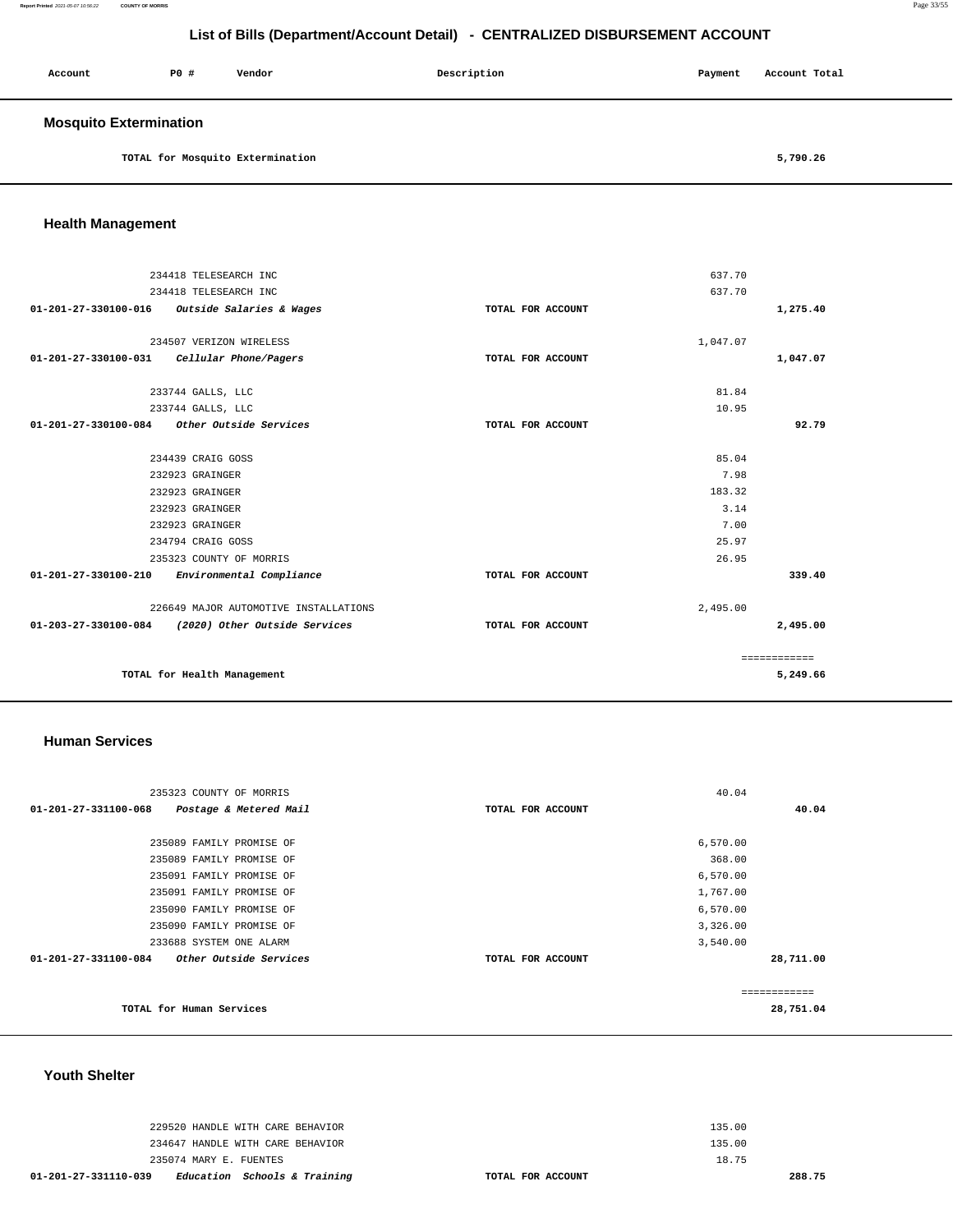**Report Printed** 2021-05-07 10:56:22 **COUNTY OF MORRIS** Page 33/55

## **List of Bills (Department/Account Detail) - CENTRALIZED DISBURSEMENT ACCOUNT**

| Account                       | <b>PO #</b> | Vendor                           | Description | Payment | Account Total |  |
|-------------------------------|-------------|----------------------------------|-------------|---------|---------------|--|
| <b>Mosquito Extermination</b> |             |                                  |             |         |               |  |
|                               |             | TOTAL for Mosquito Extermination |             |         | 5,790.26      |  |

**Health Management** 

|                                |                                       |                   | 637.70   |              |
|--------------------------------|---------------------------------------|-------------------|----------|--------------|
|                                | 234418 TELESEARCH INC                 |                   |          |              |
|                                | 234418 TELESEARCH INC                 |                   | 637.70   |              |
| $01 - 201 - 27 - 330100 - 016$ | Outside Salaries & Wages              | TOTAL FOR ACCOUNT |          | 1,275.40     |
|                                |                                       |                   |          |              |
|                                | 234507 VERIZON WIRELESS               |                   | 1,047.07 |              |
| 01-201-27-330100-031           | Cellular Phone/Pagers                 | TOTAL FOR ACCOUNT |          | 1,047.07     |
|                                |                                       |                   |          |              |
|                                | 233744 GALLS, LLC                     |                   | 81.84    |              |
|                                | 233744 GALLS, LLC                     |                   | 10.95    |              |
| 01-201-27-330100-084           | Other Outside Services                | TOTAL FOR ACCOUNT |          | 92.79        |
|                                |                                       |                   |          |              |
|                                | 234439 CRAIG GOSS                     |                   | 85.04    |              |
|                                | 232923 GRAINGER                       |                   | 7.98     |              |
|                                | 232923 GRAINGER                       |                   | 183.32   |              |
|                                | 232923 GRAINGER                       |                   | 3.14     |              |
|                                | 232923 GRAINGER                       |                   | 7.00     |              |
|                                | 234794 CRAIG GOSS                     |                   | 25.97    |              |
|                                | 235323 COUNTY OF MORRIS               |                   | 26.95    |              |
| $01 - 201 - 27 - 330100 - 210$ | Environmental Compliance              | TOTAL FOR ACCOUNT |          | 339.40       |
|                                | 226649 MAJOR AUTOMOTIVE INSTALLATIONS |                   | 2,495.00 |              |
| 01-203-27-330100-084           | (2020) Other Outside Services         | TOTAL FOR ACCOUNT |          | 2,495.00     |
|                                |                                       |                   |          | ============ |
|                                | TOTAL for Health Management           |                   |          | 5,249.66     |

#### **Human Services**

| 235323 COUNTY OF MORRIS                               |                   | 40.04        |
|-------------------------------------------------------|-------------------|--------------|
| 01-201-27-331100-068<br>Postage & Metered Mail        | TOTAL FOR ACCOUNT | 40.04        |
|                                                       |                   |              |
| 235089 FAMILY PROMISE OF                              |                   | 6,570.00     |
| 235089 FAMILY PROMISE OF                              |                   | 368.00       |
| 235091 FAMILY PROMISE OF                              |                   | 6,570.00     |
| 235091 FAMILY PROMISE OF                              |                   | 1,767.00     |
| 235090 FAMILY PROMISE OF                              |                   | 6,570.00     |
| 235090 FAMILY PROMISE OF                              |                   | 3,326.00     |
| 233688 SYSTEM ONE ALARM                               |                   | 3,540.00     |
| 01-201-27-331100-084<br><i>Other Outside Services</i> | TOTAL FOR ACCOUNT | 28,711.00    |
|                                                       |                   |              |
|                                                       |                   | ============ |
| TOTAL for Human Services                              |                   | 28,751.04    |
|                                                       |                   |              |

#### **Youth Shelter**

| 229520 HANDLE WITH CARE BEHAVIOR                     | 135.00            |
|------------------------------------------------------|-------------------|
| 234647 HANDLE WITH CARE BEHAVIOR                     | 135.00            |
| 235074 MARY E. FUENTES                               | 18.75             |
| Education Schools & Training<br>01-201-27-331110-039 | TOTAL FOR ACCOUNT |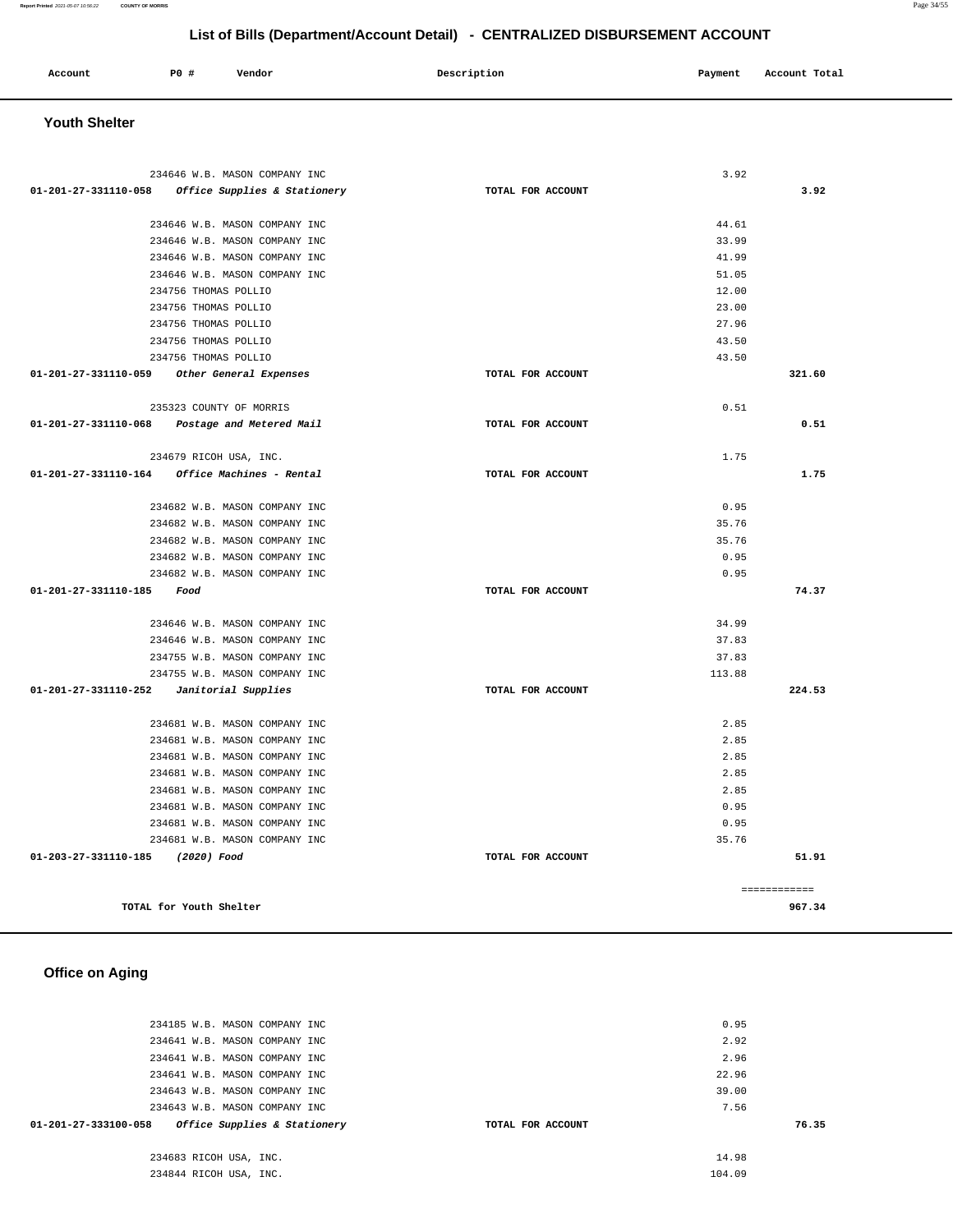| Account<br>. | <b>PO #</b> | Vendor | Description | Payment | Account Total |
|--------------|-------------|--------|-------------|---------|---------------|
|              |             |        |             |         |               |

## **Youth Shelter**

| 234646 W.B. MASON COMPANY INC                                   |                   | 3.92   |              |
|-----------------------------------------------------------------|-------------------|--------|--------------|
| 01-201-27-331110-058<br><i>Office Supplies &amp; Stationery</i> | TOTAL FOR ACCOUNT |        | 3.92         |
| 234646 W.B. MASON COMPANY INC                                   |                   | 44.61  |              |
| 234646 W.B. MASON COMPANY INC                                   |                   | 33.99  |              |
| 234646 W.B. MASON COMPANY INC                                   |                   | 41.99  |              |
| 234646 W.B. MASON COMPANY INC                                   |                   | 51.05  |              |
| 234756 THOMAS POLLIO                                            |                   | 12.00  |              |
| 234756 THOMAS POLLIO                                            |                   | 23.00  |              |
| 234756 THOMAS POLLIO                                            |                   | 27.96  |              |
| 234756 THOMAS POLLIO                                            |                   | 43.50  |              |
| 234756 THOMAS POLLIO                                            |                   | 43.50  |              |
| 01-201-27-331110-059 Other General Expenses                     | TOTAL FOR ACCOUNT |        | 321.60       |
| 235323 COUNTY OF MORRIS                                         |                   | 0.51   |              |
| 01-201-27-331110-068<br>Postage and Metered Mail                | TOTAL FOR ACCOUNT |        | 0.51         |
| 234679 RICOH USA, INC.                                          |                   | 1.75   |              |
|                                                                 | TOTAL FOR ACCOUNT |        | 1.75         |
| 234682 W.B. MASON COMPANY INC                                   |                   | 0.95   |              |
| 234682 W.B. MASON COMPANY INC                                   |                   | 35.76  |              |
| 234682 W.B. MASON COMPANY INC                                   |                   | 35.76  |              |
| 234682 W.B. MASON COMPANY INC                                   |                   | 0.95   |              |
| 234682 W.B. MASON COMPANY INC                                   |                   | 0.95   |              |
| 01-201-27-331110-185<br>Food                                    | TOTAL FOR ACCOUNT |        | 74.37        |
| 234646 W.B. MASON COMPANY INC                                   |                   | 34.99  |              |
| 234646 W.B. MASON COMPANY INC                                   |                   | 37.83  |              |
| 234755 W.B. MASON COMPANY INC                                   |                   | 37.83  |              |
| 234755 W.B. MASON COMPANY INC                                   |                   | 113.88 |              |
| 01-201-27-331110-252<br>Janitorial Supplies                     | TOTAL FOR ACCOUNT |        | 224.53       |
| 234681 W.B. MASON COMPANY INC                                   |                   | 2.85   |              |
| 234681 W.B. MASON COMPANY INC                                   |                   | 2.85   |              |
| 234681 W.B. MASON COMPANY INC                                   |                   | 2.85   |              |
| 234681 W.B. MASON COMPANY INC                                   |                   | 2.85   |              |
| 234681 W.B. MASON COMPANY INC                                   |                   | 2.85   |              |
| 234681 W.B. MASON COMPANY INC                                   |                   | 0.95   |              |
| 234681 W.B. MASON COMPANY INC                                   |                   | 0.95   |              |
| 234681 W.B. MASON COMPANY INC                                   |                   | 35.76  |              |
| 01-203-27-331110-185 (2020) Food                                | TOTAL FOR ACCOUNT |        | 51.91        |
|                                                                 |                   |        | ============ |
| TOTAL for Youth Shelter                                         |                   |        | 967.34       |

## **Office on Aging**

| 234185 W.B. MASON COMPANY INC                        |                   | 0.95   |       |
|------------------------------------------------------|-------------------|--------|-------|
| 234641 W.B. MASON COMPANY INC                        |                   | 2.92   |       |
| 234641 W.B. MASON COMPANY INC                        |                   | 2.96   |       |
| 234641 W.B. MASON COMPANY INC                        |                   | 22.96  |       |
| 234643 W.B. MASON COMPANY INC                        |                   | 39.00  |       |
| 234643 W.B. MASON COMPANY INC                        |                   | 7.56   |       |
| Office Supplies & Stationery<br>01-201-27-333100-058 | TOTAL FOR ACCOUNT |        | 76.35 |
|                                                      |                   |        |       |
| 234683 RICOH USA, INC.                               |                   | 14.98  |       |
| 234844 RICOH USA, INC.                               |                   | 104.09 |       |
|                                                      |                   |        |       |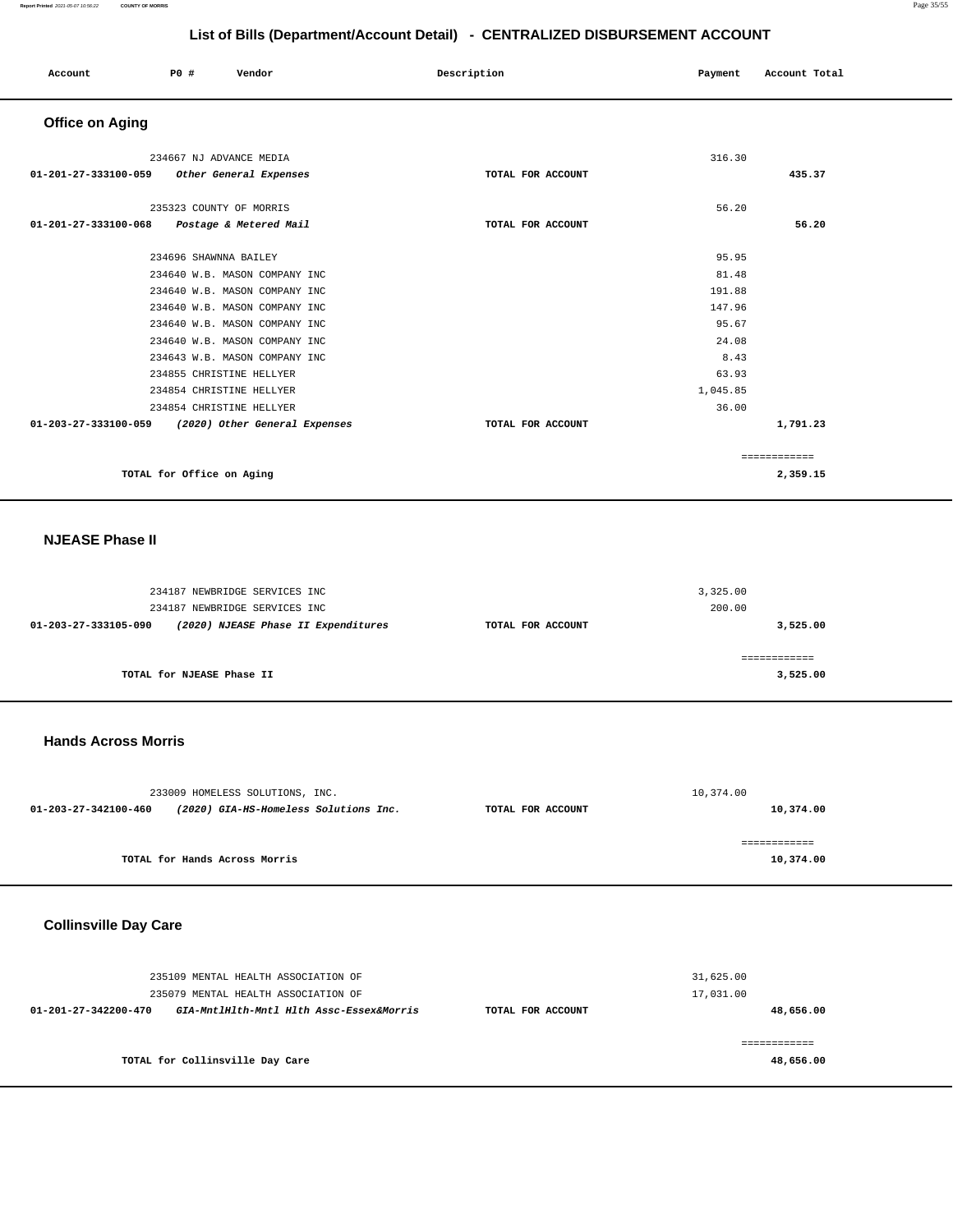| Account                                            | P0 #                      | Vendor                        | Description       | Payment  | Account Total |
|----------------------------------------------------|---------------------------|-------------------------------|-------------------|----------|---------------|
| <b>Office on Aging</b>                             |                           |                               |                   |          |               |
|                                                    | 234667 NJ ADVANCE MEDIA   |                               |                   | 316.30   |               |
| 01-201-27-333100-059                               |                           | Other General Expenses        | TOTAL FOR ACCOUNT |          | 435.37        |
|                                                    | 235323 COUNTY OF MORRIS   |                               |                   | 56.20    |               |
| 01-201-27-333100-068 Postage & Metered Mail        |                           |                               | TOTAL FOR ACCOUNT |          | 56.20         |
|                                                    | 234696 SHAWNNA BAILEY     |                               |                   | 95.95    |               |
|                                                    |                           | 234640 W.B. MASON COMPANY INC |                   | 81.48    |               |
|                                                    |                           | 234640 W.B. MASON COMPANY INC |                   | 191.88   |               |
|                                                    |                           | 234640 W.B. MASON COMPANY INC |                   | 147.96   |               |
|                                                    |                           | 234640 W.B. MASON COMPANY INC |                   | 95.67    |               |
|                                                    |                           | 234640 W.B. MASON COMPANY INC |                   | 24.08    |               |
|                                                    |                           | 234643 W.B. MASON COMPANY INC |                   | 8.43     |               |
|                                                    | 234855 CHRISTINE HELLYER  |                               |                   | 63.93    |               |
|                                                    | 234854 CHRISTINE HELLYER  |                               |                   | 1,045.85 |               |
|                                                    | 234854 CHRISTINE HELLYER  |                               |                   | 36.00    |               |
| 01-203-27-333100-059 (2020) Other General Expenses |                           |                               | TOTAL FOR ACCOUNT |          | 1,791.23      |
|                                                    |                           |                               |                   |          | ============  |
|                                                    | TOTAL for Office on Aging |                               |                   |          | 2,359.15      |

## **NJEASE Phase II**

|                      | 234187 NEWBRIDGE SERVICES INC<br>234187 NEWBRIDGE SERVICES INC |                   | 3,325.00<br>200.00 |
|----------------------|----------------------------------------------------------------|-------------------|--------------------|
| 01-203-27-333105-090 | (2020) NJEASE Phase II Expenditures                            | TOTAL FOR ACCOUNT | 3,525.00           |
|                      | TOTAL for NJEASE Phase II                                      |                   | 3,525.00           |

#### **Hands Across Morris**

|                      | 233009 HOMELESS SOLUTIONS, INC.       |                   | 10,374.00    |
|----------------------|---------------------------------------|-------------------|--------------|
| 01-203-27-342100-460 | (2020) GIA-HS-Homeless Solutions Inc. | TOTAL FOR ACCOUNT | 10,374.00    |
|                      |                                       |                   |              |
|                      |                                       |                   | ============ |
|                      | TOTAL for Hands Across Morris         |                   | 10,374.00    |
|                      |                                       |                   |              |

## **Collinsville Day Care**

| 235109 MENTAL HEALTH ASSOCIATION OF                              |                   | 31,625.00 |
|------------------------------------------------------------------|-------------------|-----------|
| 235079 MENTAL HEALTH ASSOCIATION OF                              |                   | 17,031.00 |
| GIA-MntlHlth-Mntl Hlth Assc-Essex&Morris<br>01-201-27-342200-470 | TOTAL FOR ACCOUNT | 48,656.00 |
|                                                                  |                   |           |
|                                                                  |                   |           |
| TOTAL for Collinsville Day Care                                  |                   | 48,656.00 |
|                                                                  |                   |           |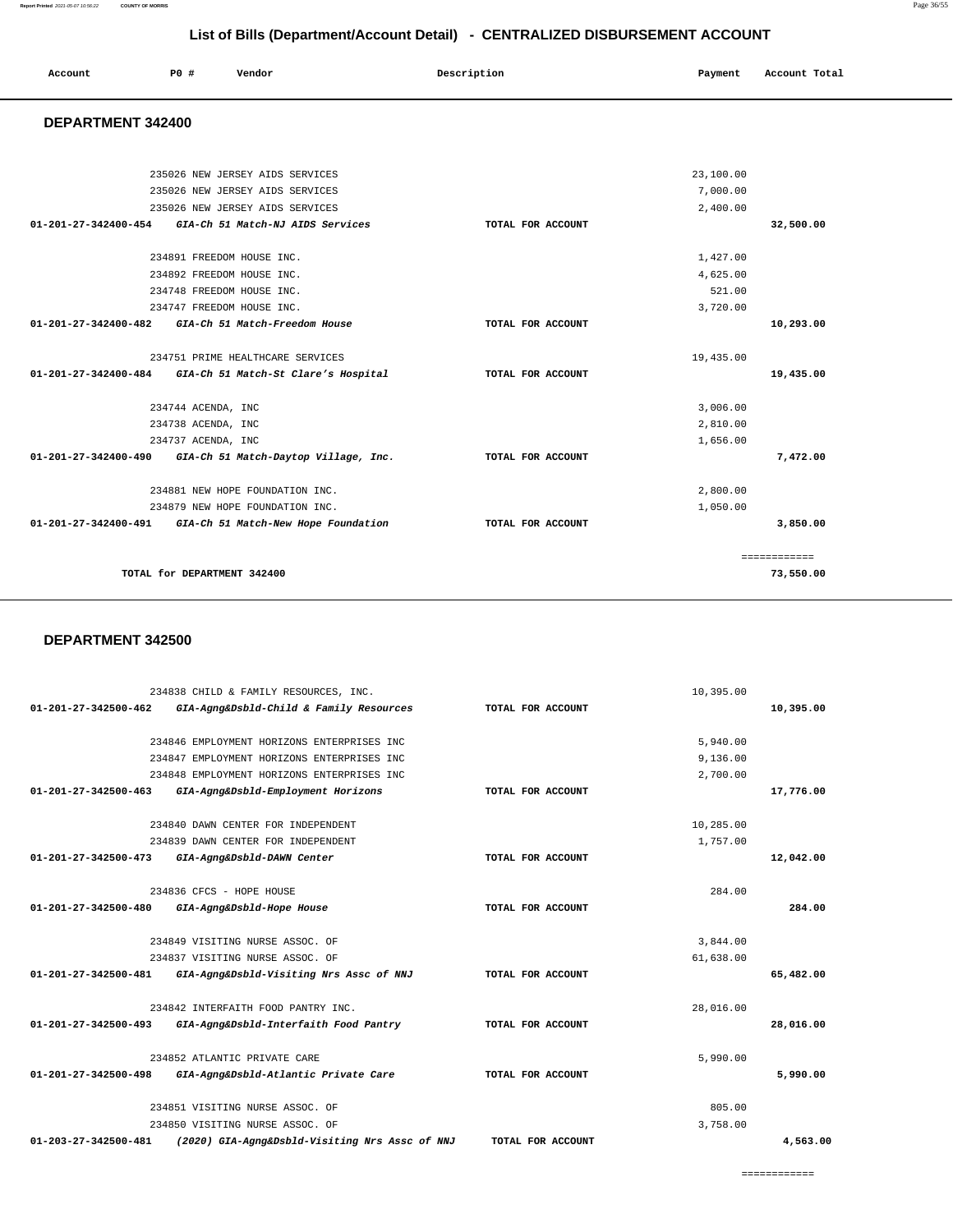10,395.00

**10,395.00**

|                                | 234846 EMPLOYMENT HORIZONS ENTERPRISES INC     |                   | 5.940.00  |           |
|--------------------------------|------------------------------------------------|-------------------|-----------|-----------|
|                                | 234847 EMPLOYMENT HORIZONS ENTERPRISES INC     |                   | 9,136.00  |           |
|                                | 234848 EMPLOYMENT HORIZONS ENTERPRISES INC     |                   | 2,700.00  |           |
| $01 - 201 - 27 - 342500 - 463$ | GIA-Agng&Dsbld-Employment Horizons             | TOTAL FOR ACCOUNT |           | 17,776.00 |
|                                |                                                |                   |           |           |
|                                | 234840 DAWN CENTER FOR INDEPENDENT             |                   | 10,285.00 |           |
|                                | 234839 DAWN CENTER FOR INDEPENDENT             |                   | 1,757.00  |           |
| $01 - 201 - 27 - 342500 - 473$ | GIA-Agng&Dsbld-DAWN Center                     | TOTAL FOR ACCOUNT |           | 12,042.00 |
|                                | 234836 CFCS - HOPE HOUSE                       |                   | 284.00    |           |
| 01-201-27-342500-480           | GIA-Agng&Dsbld-Hope House                      | TOTAL FOR ACCOUNT |           | 284.00    |
|                                | 234849 VISITING NURSE ASSOC. OF                |                   | 3,844.00  |           |
|                                | 234837 VISITING NURSE ASSOC. OF                |                   | 61,638.00 |           |
| 01-201-27-342500-481           | GIA-Agng&Dsbld-Visiting Nrs Assc of NNJ        | TOTAL FOR ACCOUNT |           | 65,482.00 |
|                                | 234842 INTERFAITH FOOD PANTRY INC.             |                   | 28,016.00 |           |
| 01-201-27-342500-493           | GIA-Agng&Dsbld-Interfaith Food Pantry          | TOTAL FOR ACCOUNT |           | 28,016.00 |
|                                | 234852 ATLANTIC PRIVATE CARE                   |                   | 5,990.00  |           |
| 01-201-27-342500-498           | GIA-Agng&Dsbld-Atlantic Private Care           | TOTAL FOR ACCOUNT |           | 5,990.00  |
|                                | 234851 VISITING NURSE ASSOC. OF                |                   | 805.00    |           |
|                                | 234850 VISITING NURSE ASSOC. OF                |                   | 3,758.00  |           |
| 01-203-27-342500-481           | (2020) GIA-Agng&Dsbld-Visiting Nrs Assc of NNJ | TOTAL FOR ACCOUNT |           | 4,563.00  |

#### **DEPARTMENT 342500**

234838 CHILD & FAMILY RESOURCES, INC.

**01-201-27-342500-462 GIA-Agng&Dsbld-Child & Family Resources TOTAL FOR ACCOUNT** 

| 235026 NEW JERSEY AIDS SERVICES                                        |                   | 23,100.00    |  |
|------------------------------------------------------------------------|-------------------|--------------|--|
| 235026 NEW JERSEY AIDS SERVICES                                        |                   | 7,000.00     |  |
| 235026 NEW JERSEY AIDS SERVICES                                        |                   | 2,400.00     |  |
| 01-201-27-342400-454<br>GIA-Ch 51 Match-NJ AIDS Services               | TOTAL FOR ACCOUNT | 32,500.00    |  |
|                                                                        |                   |              |  |
| 234891 FREEDOM HOUSE INC.                                              |                   | 1,427.00     |  |
| 234892 FREEDOM HOUSE INC.                                              |                   | 4,625.00     |  |
| 234748 FREEDOM HOUSE INC.                                              |                   | 521.00       |  |
| 234747 FREEDOM HOUSE INC.                                              |                   | 3,720.00     |  |
| $01 - 201 - 27 - 342400 - 482$<br>GIA-Ch 51 Match-Freedom House        | TOTAL FOR ACCOUNT | 10,293.00    |  |
|                                                                        |                   |              |  |
| 234751 PRIME HEALTHCARE SERVICES                                       |                   | 19,435.00    |  |
| 01-201-27-342400-484 GIA-Ch 51 Match-St Clare's Hospital               | TOTAL FOR ACCOUNT | 19,435.00    |  |
| 234744 ACENDA, INC                                                     |                   | 3,006.00     |  |
| 234738 ACENDA, INC                                                     |                   | 2,810.00     |  |
| 234737 ACENDA, INC                                                     |                   | 1,656.00     |  |
| $01 - 201 - 27 - 342400 - 490$<br>GIA-Ch 51 Match-Daytop Village, Inc. | TOTAL FOR ACCOUNT | 7,472.00     |  |
| 234881 NEW HOPE FOUNDATION INC.                                        |                   | 2,800.00     |  |
| 234879 NEW HOPE FOUNDATION INC.                                        |                   | 1,050.00     |  |
| 01-201-27-342400-491<br>GIA-Ch 51 Match-New Hope Foundation            | TOTAL FOR ACCOUNT | 3,850.00     |  |
|                                                                        |                   | ============ |  |
| TOTAL for DEPARTMENT 342400                                            |                   | 73,550.00    |  |

**List of Bills (Department/Account Detail) - CENTRALIZED DISBURSEMENT ACCOUNT**

#### **DEPARTMENT 342400**

 **Account** 20 **P P**  $\uparrow$  **Payment** Payment Account Total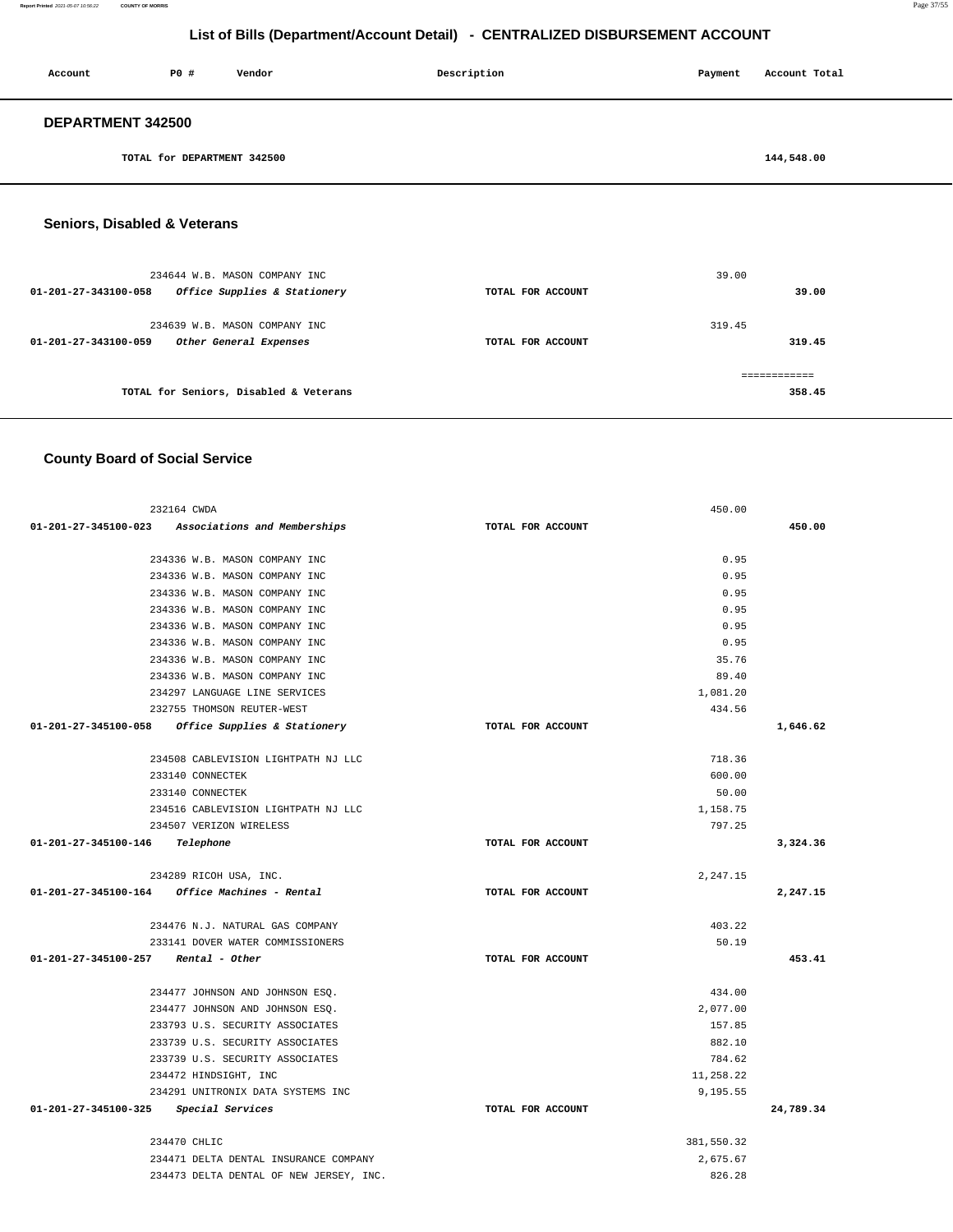**Report Printed** 2021-05-07 10:56:22 **COUNTY OF MORRIS** Page 37/55

============

**358.45**

## **List of Bills (Department/Account Detail) - CENTRALIZED DISBURSEMENT ACCOUNT**

| Account                        | P0 #                        | Vendor                        | Description       | Payment | Account Total |
|--------------------------------|-----------------------------|-------------------------------|-------------------|---------|---------------|
| DEPARTMENT 342500              |                             |                               |                   |         |               |
|                                | TOTAL for DEPARTMENT 342500 |                               |                   |         | 144,548.00    |
| Seniors, Disabled & Veterans   |                             |                               |                   |         |               |
|                                |                             | 234644 W.B. MASON COMPANY INC |                   | 39.00   |               |
| 01-201-27-343100-058           |                             | Office Supplies & Stationery  | TOTAL FOR ACCOUNT |         | 39.00         |
|                                |                             | 234639 W.B. MASON COMPANY INC |                   | 319.45  |               |
| $01 - 201 - 27 - 343100 - 059$ |                             | Other General Expenses        | TOTAL FOR ACCOUNT |         | 319.45        |

**TOTAL for Seniors, Disabled & Veterans** 

## **County Board of Social Service**

| 232164 CWDA                                       |                   | 450.00     |           |
|---------------------------------------------------|-------------------|------------|-----------|
| 01-201-27-345100-023 Associations and Memberships | TOTAL FOR ACCOUNT |            | 450.00    |
| 234336 W.B. MASON COMPANY INC                     |                   | 0.95       |           |
| 234336 W.B. MASON COMPANY INC                     |                   | 0.95       |           |
| 234336 W.B. MASON COMPANY INC                     |                   | 0.95       |           |
| 234336 W.B. MASON COMPANY INC                     |                   | 0.95       |           |
| 234336 W.B. MASON COMPANY INC                     |                   | 0.95       |           |
| 234336 W.B. MASON COMPANY INC                     |                   | 0.95       |           |
| 234336 W.B. MASON COMPANY INC                     |                   | 35.76      |           |
| 234336 W.B. MASON COMPANY INC                     |                   | 89.40      |           |
| 234297 LANGUAGE LINE SERVICES                     |                   | 1,081.20   |           |
| 232755 THOMSON REUTER-WEST                        |                   | 434.56     |           |
| 01-201-27-345100-058 Office Supplies & Stationery | TOTAL FOR ACCOUNT |            | 1,646.62  |
| 234508 CABLEVISION LIGHTPATH NJ LLC               |                   | 718.36     |           |
| 233140 CONNECTEK                                  |                   | 600.00     |           |
| 233140 CONNECTEK                                  |                   | 50.00      |           |
| 234516 CABLEVISION LIGHTPATH NJ LLC               |                   | 1,158.75   |           |
| 234507 VERIZON WIRELESS                           |                   | 797.25     |           |
| 01-201-27-345100-146<br>Telephone                 | TOTAL FOR ACCOUNT |            | 3,324.36  |
| 234289 RICOH USA, INC.                            |                   | 2,247.15   |           |
| $01-201-27-345100-164$ Office Machines - Rental   | TOTAL FOR ACCOUNT |            | 2,247.15  |
| 234476 N.J. NATURAL GAS COMPANY                   |                   | 403.22     |           |
| 233141 DOVER WATER COMMISSIONERS                  |                   | 50.19      |           |
| $01-201-27-345100-257$ Rental - Other             | TOTAL FOR ACCOUNT |            | 453.41    |
| 234477 JOHNSON AND JOHNSON ESO.                   |                   | 434.00     |           |
| 234477 JOHNSON AND JOHNSON ESO.                   |                   | 2,077.00   |           |
| 233793 U.S. SECURITY ASSOCIATES                   |                   | 157.85     |           |
| 233739 U.S. SECURITY ASSOCIATES                   |                   | 882.10     |           |
| 233739 U.S. SECURITY ASSOCIATES                   |                   | 784.62     |           |
| 234472 HINDSIGHT, INC                             |                   | 11,258.22  |           |
| 234291 UNITRONIX DATA SYSTEMS INC                 |                   | 9,195.55   |           |
| 01-201-27-345100-325<br>Special Services          | TOTAL FOR ACCOUNT |            | 24,789.34 |
| 234470 CHLIC                                      |                   | 381,550.32 |           |
| 234471 DELTA DENTAL INSURANCE COMPANY             |                   | 2.675.67   |           |
| 234473 DELTA DENTAL OF NEW JERSEY, INC.           |                   | 826.28     |           |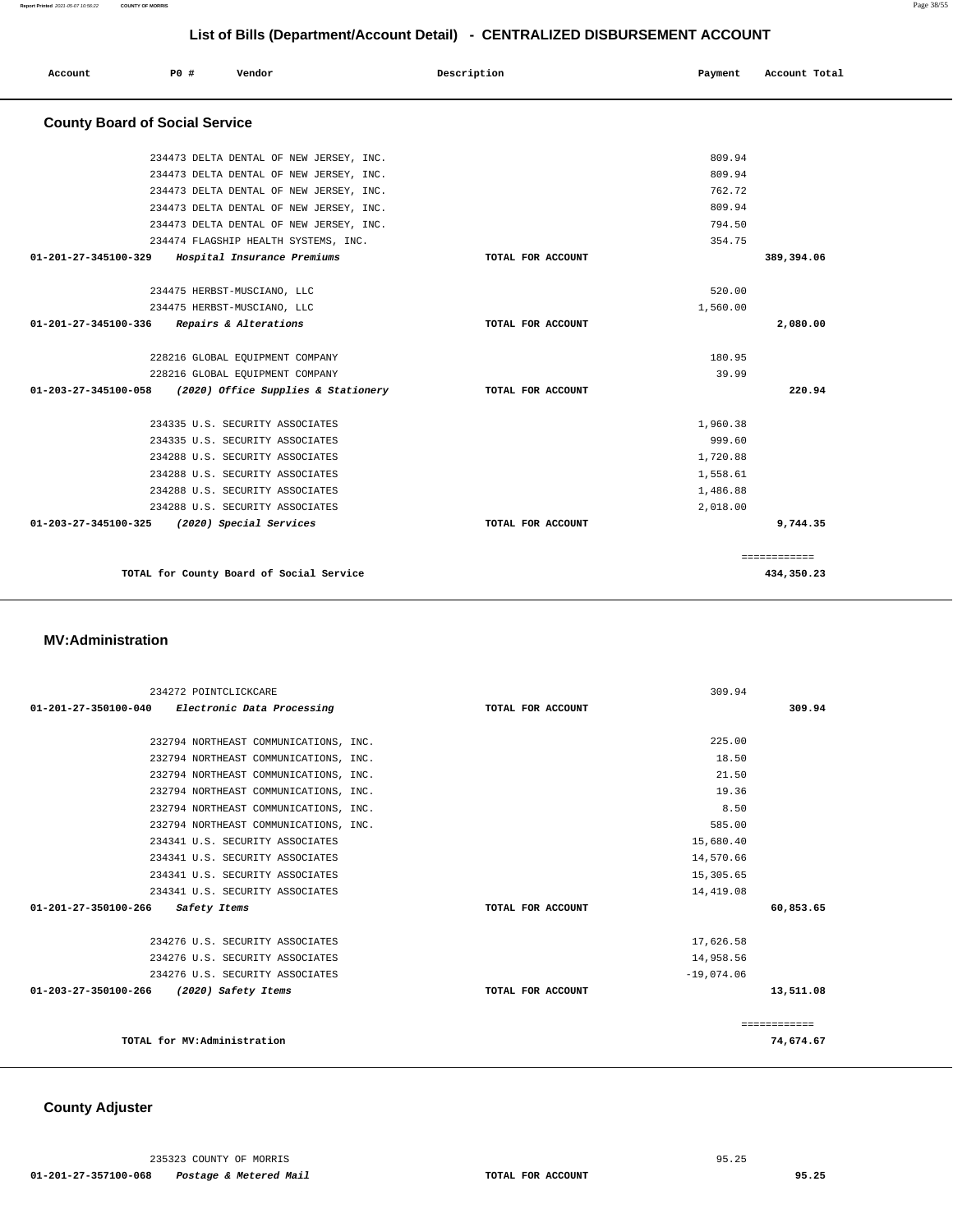| Account                               | P0 # | Vendor                                   | Description       | Payment  | Account Total |
|---------------------------------------|------|------------------------------------------|-------------------|----------|---------------|
| <b>County Board of Social Service</b> |      |                                          |                   |          |               |
|                                       |      | 234473 DELTA DENTAL OF NEW JERSEY, INC.  |                   | 809.94   |               |
|                                       |      | 234473 DELTA DENTAL OF NEW JERSEY, INC.  |                   | 809.94   |               |
|                                       |      | 234473 DELTA DENTAL OF NEW JERSEY, INC.  |                   | 762.72   |               |
|                                       |      | 234473 DELTA DENTAL OF NEW JERSEY, INC.  |                   | 809.94   |               |
|                                       |      | 234473 DELTA DENTAL OF NEW JERSEY, INC.  |                   | 794.50   |               |
|                                       |      | 234474 FLAGSHIP HEALTH SYSTEMS, INC.     |                   | 354.75   |               |
| 01-201-27-345100-329                  |      | Hospital Insurance Premiums              | TOTAL FOR ACCOUNT |          | 389,394.06    |
|                                       |      | 234475 HERBST-MUSCIANO, LLC              |                   | 520.00   |               |
|                                       |      | 234475 HERBST-MUSCIANO, LLC              |                   | 1,560.00 |               |
| 01-201-27-345100-336                  |      | Repairs & Alterations                    | TOTAL FOR ACCOUNT |          | 2,080.00      |
|                                       |      | 228216 GLOBAL EQUIPMENT COMPANY          |                   | 180.95   |               |
|                                       |      | 228216 GLOBAL EQUIPMENT COMPANY          |                   | 39.99    |               |
| 01-203-27-345100-058                  |      | (2020) Office Supplies & Stationery      | TOTAL FOR ACCOUNT |          | 220.94        |
|                                       |      | 234335 U.S. SECURITY ASSOCIATES          |                   | 1,960.38 |               |
|                                       |      | 234335 U.S. SECURITY ASSOCIATES          |                   | 999.60   |               |
|                                       |      | 234288 U.S. SECURITY ASSOCIATES          |                   | 1,720.88 |               |
|                                       |      | 234288 U.S. SECURITY ASSOCIATES          |                   | 1,558.61 |               |
|                                       |      | 234288 U.S. SECURITY ASSOCIATES          |                   | 1,486.88 |               |
|                                       |      | 234288 U.S. SECURITY ASSOCIATES          |                   | 2,018.00 |               |
| 01-203-27-345100-325                  |      | (2020) Special Services                  | TOTAL FOR ACCOUNT |          | 9,744.35      |
|                                       |      |                                          |                   |          | ============  |
|                                       |      | TOTAL for County Board of Social Service |                   |          | 434,350.23    |

#### **MV:Administration**

|                                          | 234272 POINTCLICKCARE                           | 309.94            |              |
|------------------------------------------|-------------------------------------------------|-------------------|--------------|
|                                          | 01-201-27-350100-040 Electronic Data Processing | TOTAL FOR ACCOUNT | 309.94       |
|                                          |                                                 |                   |              |
|                                          | 232794 NORTHEAST COMMUNICATIONS, INC.           | 225.00            |              |
|                                          | 232794 NORTHEAST COMMUNICATIONS, INC.           | 18.50             |              |
|                                          | 232794 NORTHEAST COMMUNICATIONS, INC.           | 21.50             |              |
|                                          | 232794 NORTHEAST COMMUNICATIONS, INC.           | 19.36             |              |
|                                          | 232794 NORTHEAST COMMUNICATIONS, INC.           | 8.50              |              |
|                                          | 232794 NORTHEAST COMMUNICATIONS, INC.           | 585.00            |              |
|                                          | 234341 U.S. SECURITY ASSOCIATES                 | 15,680.40         |              |
|                                          | 234341 U.S. SECURITY ASSOCIATES                 | 14,570.66         |              |
|                                          | 234341 U.S. SECURITY ASSOCIATES                 | 15,305.65         |              |
|                                          | 234341 U.S. SECURITY ASSOCIATES                 | 14,419.08         |              |
| 01-201-27-350100-266                     | Safety Items                                    | TOTAL FOR ACCOUNT | 60,853.65    |
|                                          | 234276 U.S. SECURITY ASSOCIATES                 | 17,626.58         |              |
|                                          | 234276 U.S. SECURITY ASSOCIATES                 | 14,958.56         |              |
|                                          | 234276 U.S. SECURITY ASSOCIATES                 | $-19,074.06$      |              |
| 01-203-27-350100-266 (2020) Safety Items |                                                 | TOTAL FOR ACCOUNT | 13,511.08    |
|                                          |                                                 |                   | ============ |
|                                          | TOTAL for MV:Administration                     |                   | 74,674.67    |

## **County Adjuster**

235323 COUNTY OF MORRIS 95.25

 **01-201-27-357100-068 Postage & Metered Mail TOTAL FOR ACCOUNT 95.25**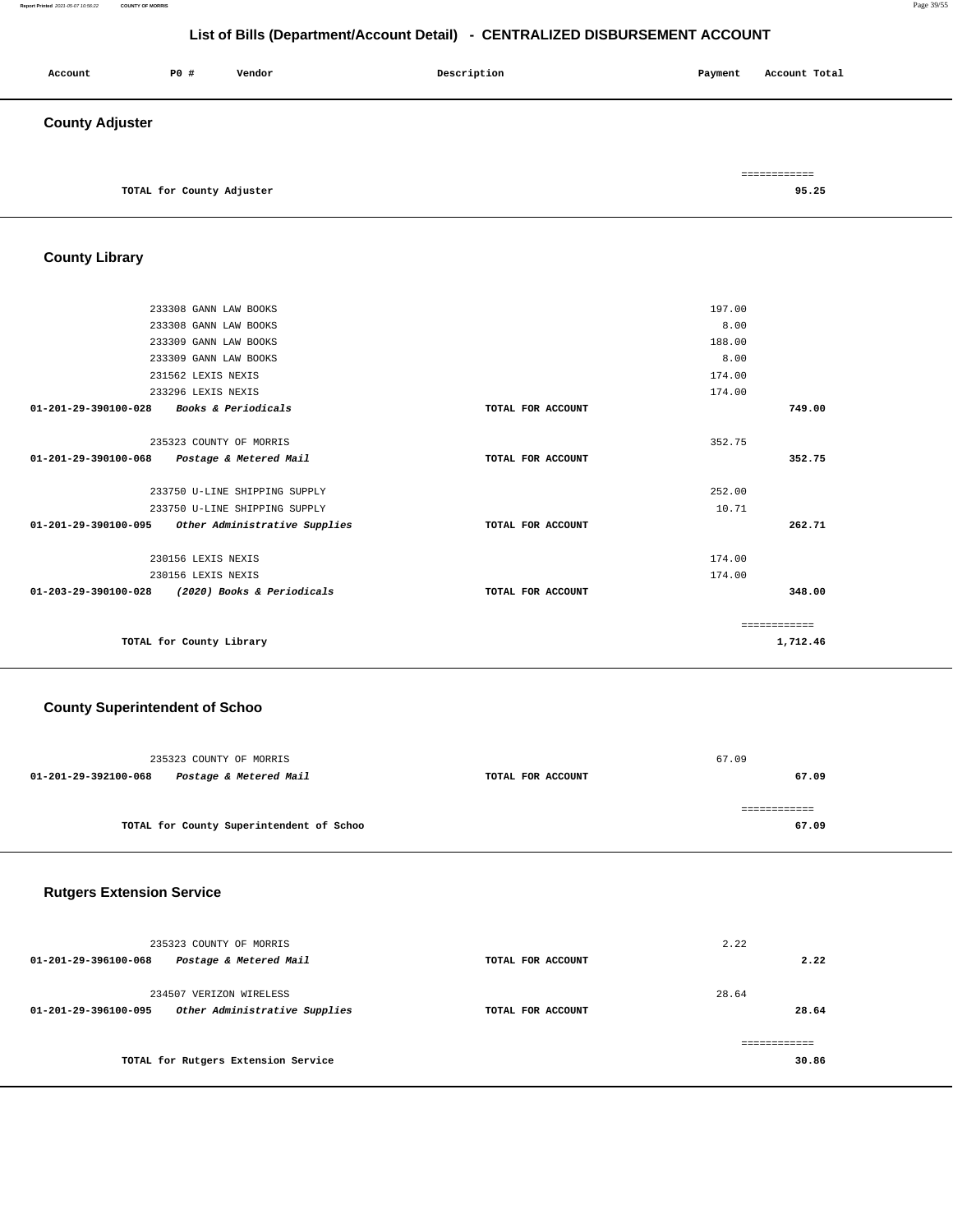#### **Report Printed** 2021-05-07 10:56:22 **COUNTY OF MORRIS** Page 39/55

## **List of Bills (Department/Account Detail) - CENTRALIZED DISBURSEMENT ACCOUNT**

| Account                | P0 #                      | Vendor | Description | Payment | Account Total         |  |
|------------------------|---------------------------|--------|-------------|---------|-----------------------|--|
| <b>County Adjuster</b> |                           |        |             |         |                       |  |
|                        | TOTAL for County Adjuster |        |             |         | ============<br>95.25 |  |

**County Library** 

|                                | 233308 GANN LAW BOOKS                           |                   | 197.00       |          |
|--------------------------------|-------------------------------------------------|-------------------|--------------|----------|
|                                | 233308 GANN LAW BOOKS                           |                   | 8.00         |          |
|                                | 233309 GANN LAW BOOKS                           |                   | 188.00       |          |
|                                | 233309 GANN LAW BOOKS                           |                   | 8.00         |          |
|                                | 231562 LEXIS NEXIS                              |                   | 174.00       |          |
|                                | 233296 LEXIS NEXIS                              |                   | 174.00       |          |
| $01 - 201 - 29 - 390100 - 028$ | Books & Periodicals                             | TOTAL FOR ACCOUNT |              | 749.00   |
|                                | 235323 COUNTY OF MORRIS                         |                   | 352.75       |          |
| 01-201-29-390100-068           | Postage & Metered Mail                          | TOTAL FOR ACCOUNT |              | 352.75   |
|                                |                                                 |                   |              |          |
|                                | 233750 U-LINE SHIPPING SUPPLY                   |                   | 252.00       |          |
|                                | 233750 U-LINE SHIPPING SUPPLY                   |                   | 10.71        |          |
| 01-201-29-390100-095           | Other Administrative Supplies                   | TOTAL FOR ACCOUNT |              | 262.71   |
|                                | 230156 LEXIS NEXIS                              |                   | 174.00       |          |
|                                | 230156 LEXIS NEXIS                              |                   | 174.00       |          |
|                                | 01-203-29-390100-028 (2020) Books & Periodicals | TOTAL FOR ACCOUNT |              | 348.00   |
|                                |                                                 |                   |              |          |
|                                |                                                 |                   | ============ |          |
|                                | TOTAL for County Library                        |                   |              | 1,712.46 |
|                                |                                                 |                   |              |          |

#### **County Superintendent of Schoo**

| 235323 COUNTY OF MORRIS                        |                   | 67.09 |
|------------------------------------------------|-------------------|-------|
| Postage & Metered Mail<br>01-201-29-392100-068 | TOTAL FOR ACCOUNT | 67.09 |
|                                                |                   |       |
|                                                |                   |       |
| TOTAL for County Superintendent of Schoo       |                   | 67.09 |
|                                                |                   |       |

## **Rutgers Extension Service**

| 235323 COUNTY OF MORRIS<br>Postage & Metered Mail<br>01-201-29-396100-068        | TOTAL FOR ACCOUNT | 2.22<br>2.22   |
|----------------------------------------------------------------------------------|-------------------|----------------|
| 234507 VERIZON WIRELESS<br>Other Administrative Supplies<br>01-201-29-396100-095 | TOTAL FOR ACCOUNT | 28.64<br>28.64 |
| TOTAL for Rutgers Extension Service                                              |                   | 30.86          |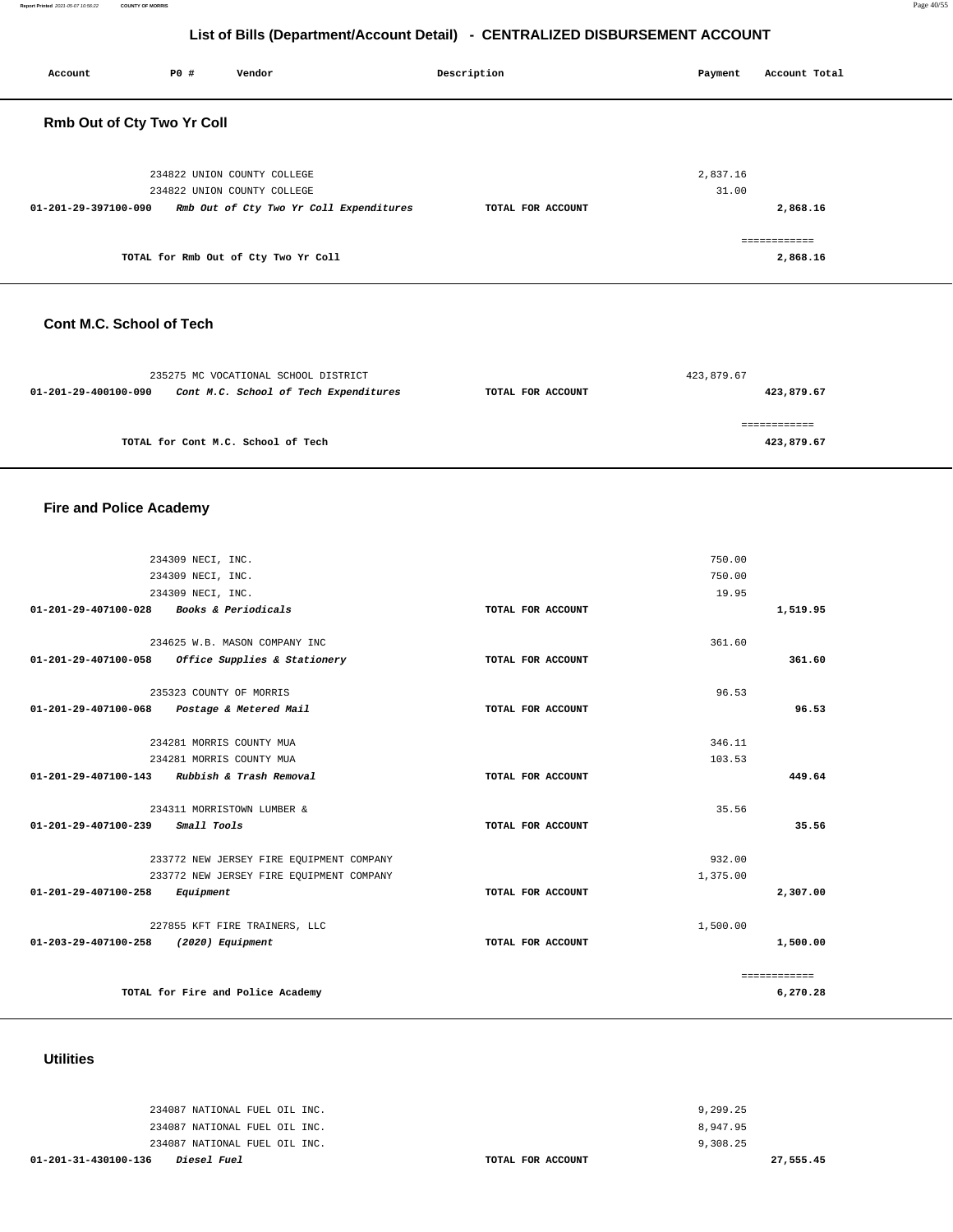| Account                    | P0 # | Vendor                                                     | Description       | Payment           | Account Total |
|----------------------------|------|------------------------------------------------------------|-------------------|-------------------|---------------|
| Rmb Out of Cty Two Yr Coll |      |                                                            |                   |                   |               |
|                            |      | 234822 UNION COUNTY COLLEGE<br>234822 UNION COUNTY COLLEGE |                   | 2,837.16<br>31.00 |               |
| 01-201-29-397100-090       |      | Rmb Out of Cty Two Yr Coll Expenditures                    | TOTAL FOR ACCOUNT |                   | 2,868.16      |
|                            |      |                                                            |                   |                   | ============  |
|                            |      | TOTAL for Rmb Out of Cty Two Yr Coll                       |                   |                   | 2,868.16      |

#### **Cont M.C. School of Tech**

|                      | 235275 MC VOCATIONAL SCHOOL DISTRICT  |                   | 423,879.67 |
|----------------------|---------------------------------------|-------------------|------------|
| 01-201-29-400100-090 | Cont M.C. School of Tech Expenditures | TOTAL FOR ACCOUNT | 423,879.67 |
|                      | TOTAL for Cont M.C. School of Tech    |                   | 423,879.67 |
|                      |                                       |                   |            |

## **Fire and Police Academy**

|                                | 234309 NECI, INC.                        |                   | 750.00   |              |
|--------------------------------|------------------------------------------|-------------------|----------|--------------|
| 234309 NECI, INC.              |                                          | 750.00            |          |              |
|                                | 234309 NECI, INC.                        |                   | 19.95    |              |
| 01-201-29-407100-028           | Books & Periodicals                      | TOTAL FOR ACCOUNT |          | 1,519.95     |
|                                | 234625 W.B. MASON COMPANY INC            |                   | 361.60   |              |
| 01-201-29-407100-058           | Office Supplies & Stationery             | TOTAL FOR ACCOUNT |          | 361.60       |
|                                | 235323 COUNTY OF MORRIS                  |                   | 96.53    |              |
| 01-201-29-407100-068           | Postage & Metered Mail                   | TOTAL FOR ACCOUNT |          | 96.53        |
|                                | 234281 MORRIS COUNTY MUA                 |                   | 346.11   |              |
|                                | 234281 MORRIS COUNTY MUA                 |                   | 103.53   |              |
| 01-201-29-407100-143           | Rubbish & Trash Removal                  | TOTAL FOR ACCOUNT |          | 449.64       |
|                                | 234311 MORRISTOWN LUMBER &               |                   | 35.56    |              |
| 01-201-29-407100-239           | Small Tools                              | TOTAL FOR ACCOUNT |          | 35.56        |
|                                | 233772 NEW JERSEY FIRE EQUIPMENT COMPANY |                   | 932.00   |              |
|                                | 233772 NEW JERSEY FIRE EQUIPMENT COMPANY |                   | 1,375.00 |              |
| $01 - 201 - 29 - 407100 - 258$ | Equipment                                | TOTAL FOR ACCOUNT |          | 2,307.00     |
|                                | 227855 KFT FIRE TRAINERS, LLC            |                   | 1,500.00 |              |
| 01-203-29-407100-258           | (2020) Equipment                         | TOTAL FOR ACCOUNT |          | 1,500.00     |
|                                |                                          |                   |          | ============ |
|                                | TOTAL for Fire and Police Academy        |                   |          | 6,270.28     |

#### **Utilities**

| 01-201-31-430100-136 | <i>Diesel Fuel</i>            | TOTAL FOR ACCOUNT | 27,555.45 |  |
|----------------------|-------------------------------|-------------------|-----------|--|
|                      | 234087 NATIONAL FUEL OIL INC. |                   | 9,308.25  |  |
|                      | 234087 NATIONAL FUEL OIL INC. |                   | 8,947.95  |  |
|                      | 234087 NATIONAL FUEL OIL INC. |                   | 9,299.25  |  |
|                      |                               |                   |           |  |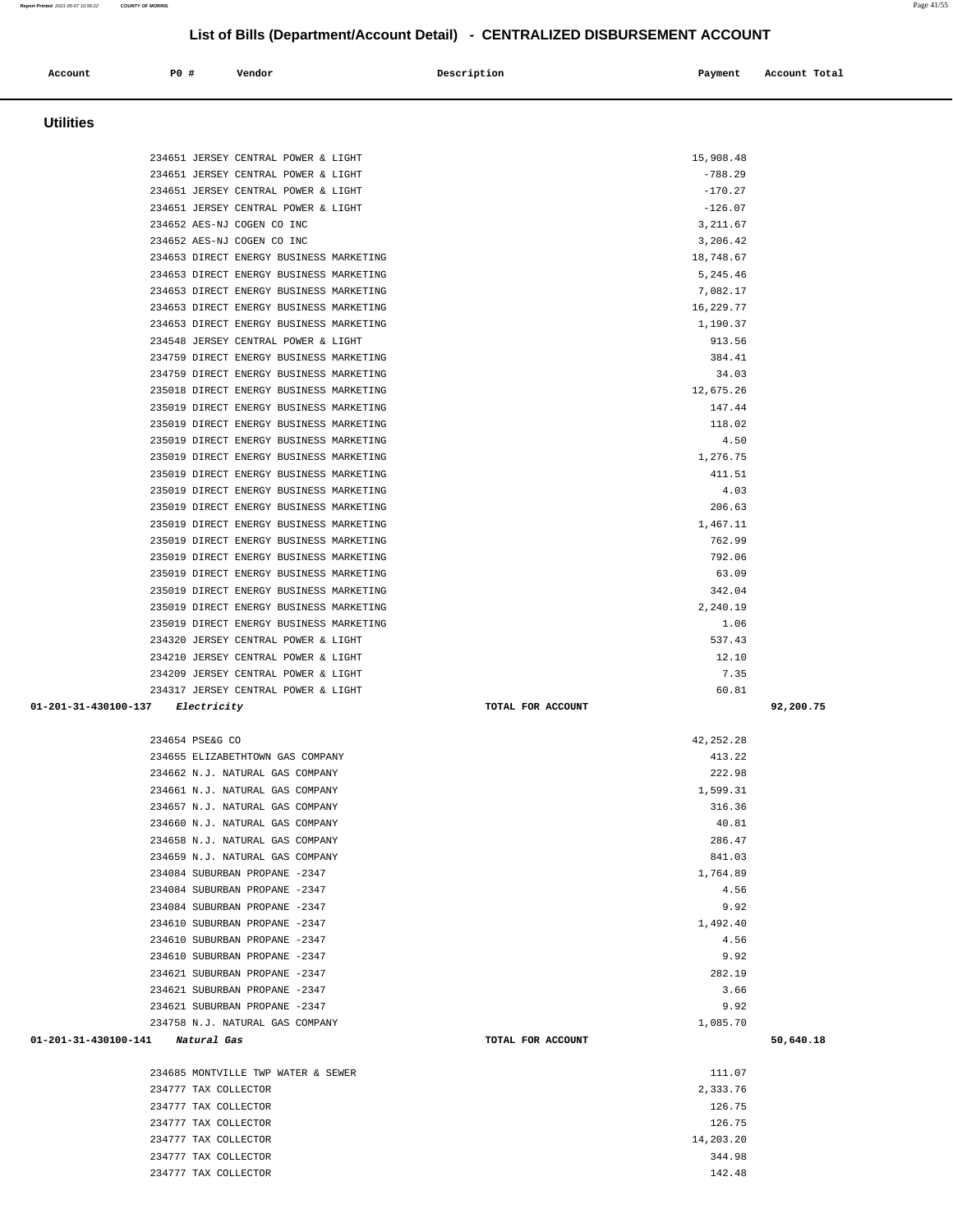| 234685 MONTVILLE TWP WATER & SEWER | 111.07    |
|------------------------------------|-----------|
| 234777 TAX COLLECTOR               | 2,333.76  |
| 234777 TAX COLLECTOR               | 126.75    |
| 234777 TAX COLLECTOR               | 126.75    |
| 234777 TAX COLLECTOR               | 14,203.20 |
| 234777 TAX COLLECTOR               | 344.98    |
| 234777<br>TAX COLLECTOR            | 142.48    |

| 235019 DIRECT ENERGY BUSINESS MARKETING       | 63.09             |           |
|-----------------------------------------------|-------------------|-----------|
| 235019 DIRECT ENERGY BUSINESS MARKETING       | 342.04            |           |
| 235019 DIRECT ENERGY BUSINESS MARKETING       | 2,240.19          |           |
| 235019 DIRECT ENERGY BUSINESS MARKETING       | 1.06              |           |
| 234320 JERSEY CENTRAL POWER & LIGHT           | 537.43            |           |
| 234210 JERSEY CENTRAL POWER & LIGHT           | 12.10             |           |
| 234209 JERSEY CENTRAL POWER & LIGHT           | 7.35              |           |
| 234317 JERSEY CENTRAL POWER & LIGHT           | 60.81             |           |
| 01-201-31-430100-137<br><i>Electricity</i>    | TOTAL FOR ACCOUNT | 92,200.75 |
| 234654 PSE&G CO                               | 42, 252. 28       |           |
| 234655 ELIZABETHTOWN GAS COMPANY              | 413.22            |           |
| 234662 N.J. NATURAL GAS COMPANY               | 222.98            |           |
| 234661 N.J. NATURAL GAS COMPANY               | 1,599.31          |           |
| 234657 N.J. NATURAL GAS COMPANY               | 316.36            |           |
| 234660 N.J. NATURAL GAS COMPANY               | 40.81             |           |
| 234658 N.J. NATURAL GAS COMPANY               | 286.47            |           |
| 234659 N.J. NATURAL GAS COMPANY               | 841.03            |           |
| 234084 SUBURBAN PROPANE -2347                 | 1,764.89          |           |
| 234084 SUBURBAN PROPANE -2347                 | 4.56              |           |
| 234084 SUBURBAN PROPANE -2347                 | 9.92              |           |
| 234610 SUBURBAN PROPANE -2347                 | 1,492.40          |           |
| 234610 SUBURBAN PROPANE -2347                 | 4.56              |           |
| 234610 SUBURBAN PROPANE -2347                 | 9.92              |           |
| 234621 SUBURBAN PROPANE -2347                 | 282.19            |           |
| 234621 SUBURBAN PROPANE -2347                 | 3.66              |           |
| 234621 SUBURBAN PROPANE -2347                 | 9.92              |           |
| 234758 N.J. NATURAL GAS COMPANY               | 1,085.70          |           |
| $01 - 201 - 31 - 430100 - 141$<br>Natural Gas | TOTAL FOR ACCOUNT | 50,640.18 |

 **Utilities** 

| 234651 JERSEY CENTRAL POWER & LIGHT     | $-788.29$ |
|-----------------------------------------|-----------|
| 234651 JERSEY CENTRAL POWER & LIGHT     | $-170.27$ |
| 234651 JERSEY CENTRAL POWER & LIGHT     | $-126.07$ |
| 234652 AES-NJ COGEN CO INC              | 3, 211.67 |
| 234652 AES-NJ COGEN CO INC              | 3,206.42  |
| 234653 DIRECT ENERGY BUSINESS MARKETING | 18,748.67 |
| 234653 DIRECT ENERGY BUSINESS MARKETING | 5,245.46  |
| 234653 DIRECT ENERGY BUSINESS MARKETING | 7,082.17  |
| 234653 DIRECT ENERGY BUSINESS MARKETING | 16,229.77 |
| 234653 DIRECT ENERGY BUSINESS MARKETING | 1,190.37  |
| 234548 JERSEY CENTRAL POWER & LIGHT     | 913.56    |
| 234759 DIRECT ENERGY BUSINESS MARKETING | 384.41    |
| 234759 DIRECT ENERGY BUSINESS MARKETING | 34.03     |
| 235018 DIRECT ENERGY BUSINESS MARKETING | 12,675.26 |
| 235019 DIRECT ENERGY BUSINESS MARKETING | 147.44    |
| 235019 DIRECT ENERGY BUSINESS MARKETING | 118.02    |
| 235019 DIRECT ENERGY BUSINESS MARKETING | 4.50      |
| 235019 DIRECT ENERGY BUSINESS MARKETING | 1,276.75  |
| 235019 DIRECT ENERGY BUSINESS MARKETING | 411.51    |
| 235019 DIRECT ENERGY BUSINESS MARKETING | 4.03      |
| 235019 DIRECT ENERGY BUSINESS MARKETING | 206.63    |
| 235019 DIRECT ENERGY BUSINESS MARKETING | 1,467.11  |
| 235019 DIRECT ENERGY BUSINESS MARKETING | 762.99    |
| 235019 DIRECT ENERGY BUSINESS MARKETING | 792.06    |
| 235019 DIRECT ENERGY BUSINESS MARKETING | 63.09     |
| 235019 DIRECT ENERGY BUSINESS MARKETING | 342.04    |
| 235019 DIRECT ENERGY BUSINESS MARKETING | 2,240.19  |
| 235019 DIRECT ENERGY BUSINESS MARKETING | 1.06      |
| 234320 JERSEY CENTRAL POWER & LIGHT     | 537.43    |
| 234210 JERSEY CENTRAL POWER & LIGHT     | 12.10     |
| 234209 JERSEY CENTRAL POWER & LIGHT     | 7.35      |

 **Account P0 # Vendor Description Payment Account Total**

234651 JERSEY CENTRAL POWER & LIGHT 15,908.48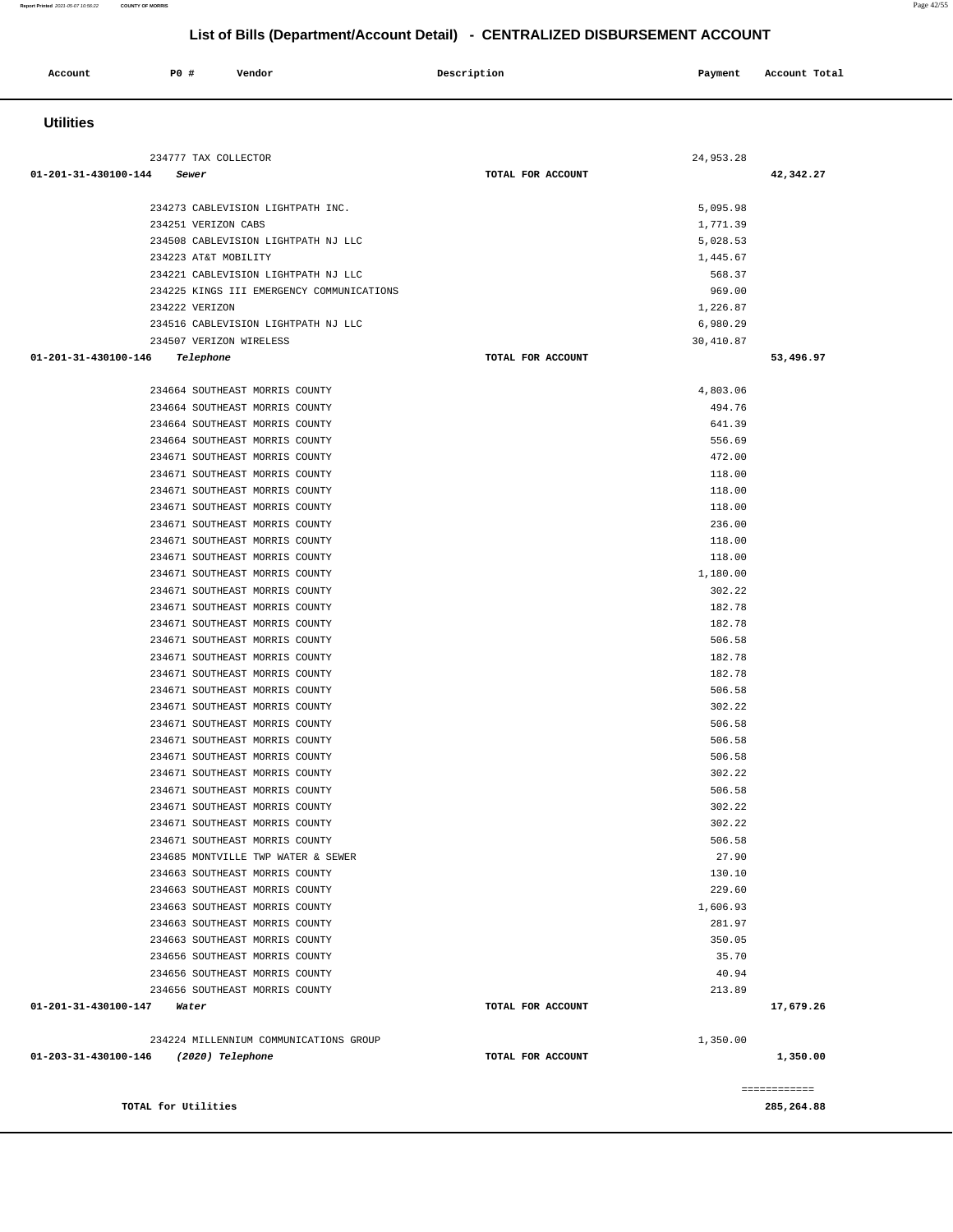| Account              | P0 #<br>Vendor                                                                  | Description       | Payment            | Account Total |
|----------------------|---------------------------------------------------------------------------------|-------------------|--------------------|---------------|
| <b>Utilities</b>     |                                                                                 |                   |                    |               |
|                      |                                                                                 |                   |                    |               |
| 01-201-31-430100-144 | 234777 TAX COLLECTOR<br>Sewer                                                   | TOTAL FOR ACCOUNT | 24,953.28          | 42,342.27     |
|                      |                                                                                 |                   |                    |               |
|                      | 234273 CABLEVISION LIGHTPATH INC.                                               |                   | 5,095.98           |               |
|                      | 234251 VERIZON CABS                                                             |                   | 1,771.39           |               |
|                      | 234508 CABLEVISION LIGHTPATH NJ LLC                                             |                   | 5,028.53           |               |
|                      | 234223 AT&T MOBILITY<br>234221 CABLEVISION LIGHTPATH NJ LLC                     |                   | 1,445.67<br>568.37 |               |
|                      | 234225 KINGS III EMERGENCY COMMUNICATIONS                                       |                   | 969.00             |               |
|                      | 234222 VERIZON                                                                  |                   | 1,226.87           |               |
|                      | 234516 CABLEVISION LIGHTPATH NJ LLC                                             |                   | 6,980.29           |               |
|                      | 234507 VERIZON WIRELESS                                                         |                   | 30,410.87          |               |
| 01-201-31-430100-146 | Telephone                                                                       | TOTAL FOR ACCOUNT |                    | 53,496.97     |
|                      | 234664 SOUTHEAST MORRIS COUNTY                                                  |                   | 4,803.06           |               |
|                      | 234664 SOUTHEAST MORRIS COUNTY                                                  |                   | 494.76             |               |
|                      | 234664 SOUTHEAST MORRIS COUNTY                                                  |                   | 641.39             |               |
|                      | 234664 SOUTHEAST MORRIS COUNTY                                                  |                   | 556.69             |               |
|                      | 234671 SOUTHEAST MORRIS COUNTY                                                  |                   | 472.00             |               |
|                      | 234671 SOUTHEAST MORRIS COUNTY<br>234671 SOUTHEAST MORRIS COUNTY                |                   | 118.00<br>118.00   |               |
|                      | 234671 SOUTHEAST MORRIS COUNTY                                                  |                   | 118.00             |               |
|                      | 234671 SOUTHEAST MORRIS COUNTY                                                  |                   | 236.00             |               |
|                      | 234671 SOUTHEAST MORRIS COUNTY                                                  |                   | 118.00             |               |
|                      | 234671 SOUTHEAST MORRIS COUNTY                                                  |                   | 118.00             |               |
|                      | 234671 SOUTHEAST MORRIS COUNTY                                                  |                   | 1,180.00           |               |
|                      | 234671 SOUTHEAST MORRIS COUNTY                                                  |                   | 302.22             |               |
|                      | 234671 SOUTHEAST MORRIS COUNTY<br>234671 SOUTHEAST MORRIS COUNTY                |                   | 182.78<br>182.78   |               |
|                      | 234671 SOUTHEAST MORRIS COUNTY                                                  |                   | 506.58             |               |
|                      | 234671 SOUTHEAST MORRIS COUNTY                                                  |                   | 182.78             |               |
|                      | 234671 SOUTHEAST MORRIS COUNTY                                                  |                   | 182.78             |               |
|                      | 234671 SOUTHEAST MORRIS COUNTY                                                  |                   | 506.58             |               |
|                      | 234671 SOUTHEAST MORRIS COUNTY<br>234671 SOUTHEAST MORRIS COUNTY                |                   | 302.22             |               |
|                      | 234671 SOUTHEAST MORRIS COUNTY                                                  |                   | 506.58<br>506.58   |               |
|                      | 234671 SOUTHEAST MORRIS COUNTY                                                  |                   | 506.58             |               |
|                      | 234671 SOUTHEAST MORRIS COUNTY                                                  |                   | 302.22             |               |
|                      | 234671 SOUTHEAST MORRIS COUNTY                                                  |                   | 506.58             |               |
|                      | 234671 SOUTHEAST MORRIS COUNTY                                                  |                   | 302.22             |               |
|                      | 234671 SOUTHEAST MORRIS COUNTY                                                  |                   | 302.22             |               |
|                      | 234671 SOUTHEAST MORRIS COUNTY<br>234685 MONTVILLE TWP WATER & SEWER            |                   | 506.58<br>27.90    |               |
|                      | 234663 SOUTHEAST MORRIS COUNTY                                                  |                   | 130.10             |               |
|                      | 234663 SOUTHEAST MORRIS COUNTY                                                  |                   | 229.60             |               |
|                      | 234663 SOUTHEAST MORRIS COUNTY                                                  |                   | 1,606.93           |               |
|                      | 234663 SOUTHEAST MORRIS COUNTY                                                  |                   | 281.97             |               |
|                      | 234663 SOUTHEAST MORRIS COUNTY                                                  |                   | 350.05             |               |
|                      | 234656 SOUTHEAST MORRIS COUNTY<br>234656 SOUTHEAST MORRIS COUNTY                |                   | 35.70<br>40.94     |               |
|                      | 234656 SOUTHEAST MORRIS COUNTY                                                  |                   | 213.89             |               |
| 01-201-31-430100-147 | Water                                                                           | TOTAL FOR ACCOUNT |                    | 17,679.26     |
|                      |                                                                                 |                   |                    |               |
|                      | 234224 MILLENNIUM COMMUNICATIONS GROUP<br>01-203-31-430100-146 (2020) Telephone | TOTAL FOR ACCOUNT | 1,350.00           | 1,350.00      |
|                      |                                                                                 |                   |                    |               |
|                      |                                                                                 |                   |                    | ============  |
|                      | TOTAL for Utilities                                                             |                   |                    | 285,264.88    |

**Report Printed** 2021-05-07 10:56:22 **COUNTY OF MORRIS** Page 42/55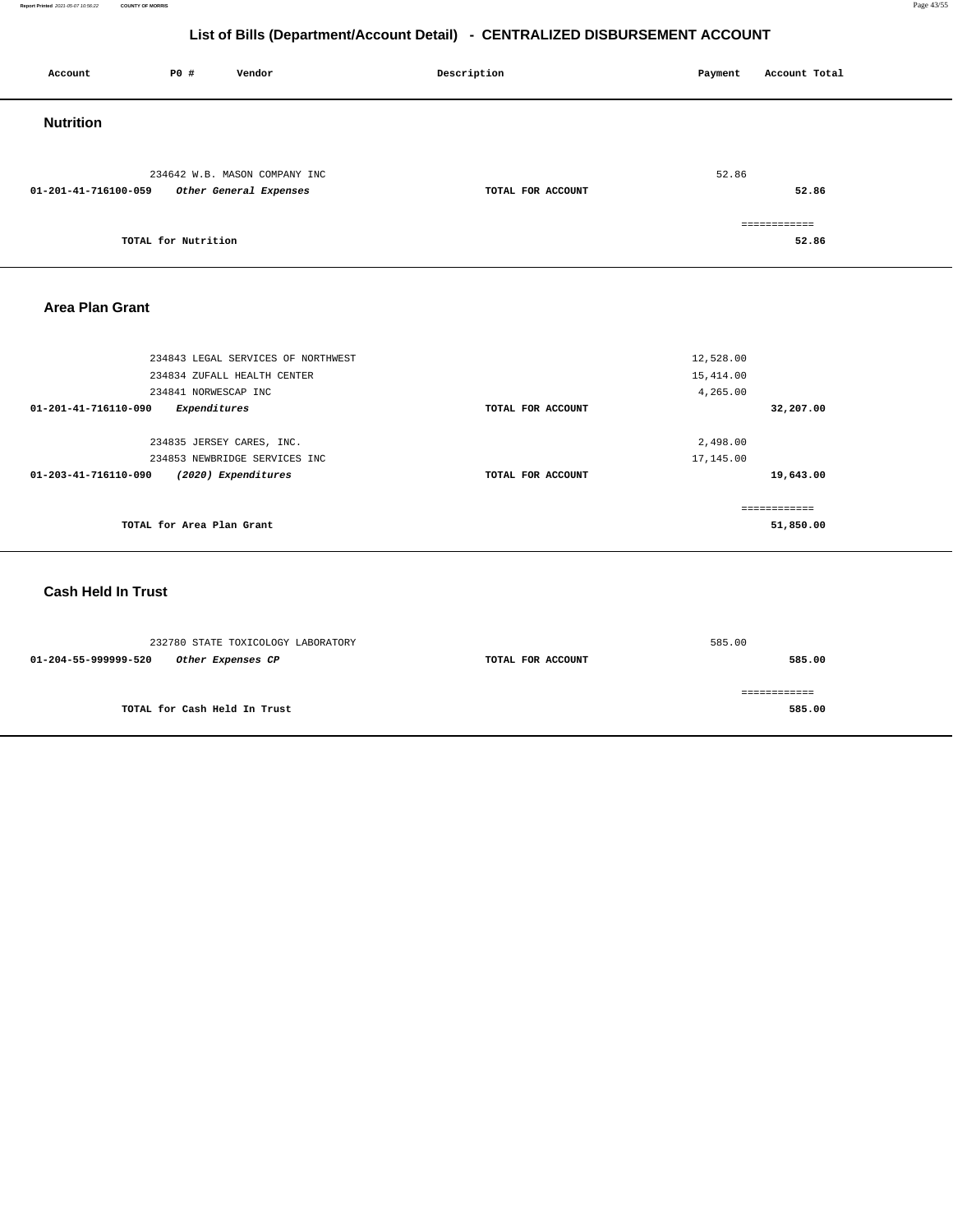**Report Printed** 2021-05-07 10:56:22 **COUNTY OF MORRIS** Page 43/55

## **List of Bills (Department/Account Detail) - CENTRALIZED DISBURSEMENT ACCOUNT**

| Account                | P0 #                | Vendor                                                  | Description       | Payment | Account Total         |
|------------------------|---------------------|---------------------------------------------------------|-------------------|---------|-----------------------|
| <b>Nutrition</b>       |                     |                                                         |                   |         |                       |
| 01-201-41-716100-059   |                     | 234642 W.B. MASON COMPANY INC<br>Other General Expenses | TOTAL FOR ACCOUNT | 52.86   | 52.86                 |
|                        | TOTAL for Nutrition |                                                         |                   |         | ============<br>52.86 |
| <b>Area Plan Grant</b> |                     |                                                         |                   |         |                       |

| 234843 LEGAL SERVICES OF NORTHWEST                    |                   | 12,528.00    |
|-------------------------------------------------------|-------------------|--------------|
| 234834 ZUFALL HEALTH CENTER                           |                   | 15,414.00    |
| 234841 NORWESCAP INC                                  |                   | 4,265.00     |
| 01-201-41-716110-090<br>Expenditures                  | TOTAL FOR ACCOUNT | 32,207.00    |
|                                                       |                   |              |
| 234835 JERSEY CARES, INC.                             |                   | 2,498.00     |
| 234853 NEWBRIDGE SERVICES INC                         |                   | 17,145.00    |
| (2020) Expenditures<br>$01 - 203 - 41 - 716110 - 090$ | TOTAL FOR ACCOUNT | 19,643.00    |
|                                                       |                   |              |
|                                                       |                   | ------------ |
| TOTAL for Area Plan Grant                             |                   | 51,850.00    |
|                                                       |                   |              |

## **Cash Held In Trust**

| 232780 STATE TOXICOLOGY LABORATORY |                              |                   | 585.00 |
|------------------------------------|------------------------------|-------------------|--------|
| 01-204-55-999999-520               | Other Expenses CP            | TOTAL FOR ACCOUNT | 585.00 |
|                                    |                              |                   |        |
|                                    |                              |                   |        |
|                                    | TOTAL for Cash Held In Trust |                   | 585.00 |
|                                    |                              |                   |        |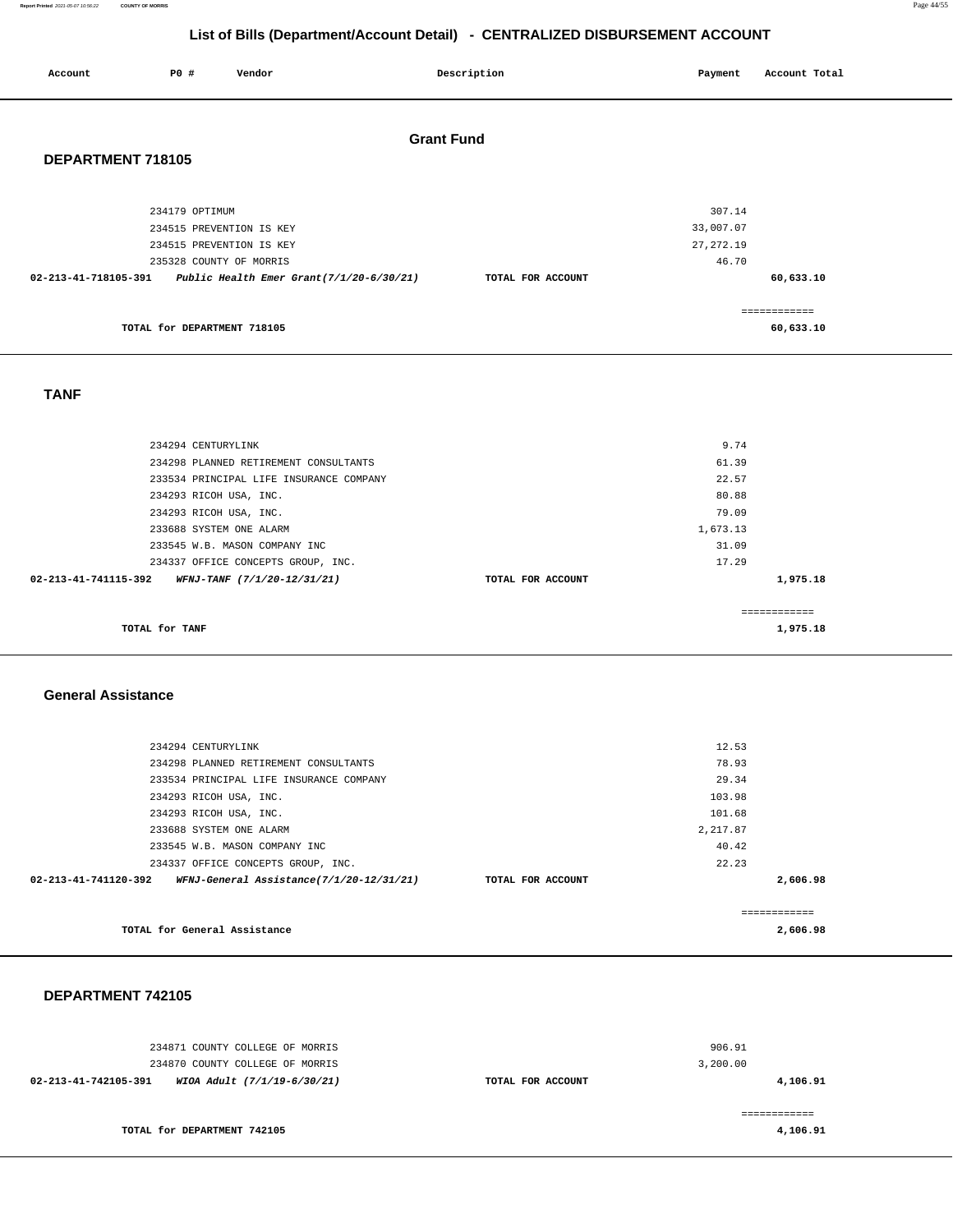#### **Report Printed** 2021-05-07 10:56:22 **COUNTY OF MORRIS** Page 44/55

## **List of Bills (Department/Account Detail) - CENTRALIZED DISBURSEMENT ACCOUNT**

| Account              | P0 #                                                                                              | Vendor                                   |                   | Description       | Payment                                    | Account Total             |
|----------------------|---------------------------------------------------------------------------------------------------|------------------------------------------|-------------------|-------------------|--------------------------------------------|---------------------------|
| DEPARTMENT 718105    |                                                                                                   |                                          | <b>Grant Fund</b> |                   |                                            |                           |
| 02-213-41-718105-391 | 234179 OPTIMUM<br>234515 PREVENTION IS KEY<br>234515 PREVENTION IS KEY<br>235328 COUNTY OF MORRIS | Public Health Emer Grant(7/1/20-6/30/21) |                   | TOTAL FOR ACCOUNT | 307.14<br>33,007.07<br>27, 272.19<br>46.70 | 60,633.10                 |
|                      | TOTAL for DEPARTMENT 718105                                                                       |                                          |                   |                   |                                            | ============<br>60,633.10 |
| <b>TANF</b>          |                                                                                                   |                                          |                   |                   |                                            |                           |
|                      | 234294 CENTURYLINK                                                                                |                                          |                   |                   | 9.74                                       |                           |

| TOTAL for TANF                                      |                   | 1,975.18     |  |
|-----------------------------------------------------|-------------------|--------------|--|
|                                                     |                   | ------------ |  |
| 02-213-41-741115-392<br>WFNJ-TANF (7/1/20-12/31/21) | TOTAL FOR ACCOUNT | 1,975.18     |  |
| 234337 OFFICE CONCEPTS GROUP, INC.                  |                   | 17.29        |  |
| 233545 W.B. MASON COMPANY INC                       |                   | 31.09        |  |
| 233688 SYSTEM ONE ALARM                             |                   | 1,673.13     |  |
| 234293 RICOH USA, INC.                              |                   | 79.09        |  |
| 234293 RICOH USA, INC.                              |                   | 80.88        |  |
| 233534 PRINCIPAL LIFE INSURANCE COMPANY             |                   | 22.57        |  |
| 234298 PLANNED RETIREMENT CONSULTANTS               |                   | 61.39        |  |

#### **General Assistance**

| 234294 CENTURYLINK                                               |                   | 12.53      |  |
|------------------------------------------------------------------|-------------------|------------|--|
| 234298 PLANNED RETIREMENT CONSULTANTS                            |                   | 78.93      |  |
| 233534 PRINCIPAL LIFE INSURANCE COMPANY                          |                   | 29.34      |  |
| 234293 RICOH USA, INC.                                           |                   | 103.98     |  |
| 234293 RICOH USA, INC.                                           |                   | 101.68     |  |
| 233688 SYSTEM ONE ALARM                                          |                   | 2, 217.87  |  |
| 233545 W.B. MASON COMPANY INC                                    |                   | 40.42      |  |
| 234337 OFFICE CONCEPTS GROUP, INC.                               |                   | 22.23      |  |
| WFNJ-General Assistance(7/1/20-12/31/21)<br>02-213-41-741120-392 | TOTAL FOR ACCOUNT | 2,606.98   |  |
|                                                                  |                   |            |  |
|                                                                  |                   | :========= |  |
| TOTAL for General Assistance                                     |                   | 2,606.98   |  |

#### **DEPARTMENT 742105**

| 234871 COUNTY COLLEGE OF MORRIS<br>234870 COUNTY COLLEGE OF MORRIS |                   | 906.91<br>3,200.00 |
|--------------------------------------------------------------------|-------------------|--------------------|
| 02-213-41-742105-391<br>WIOA Adult (7/1/19-6/30/21)                | TOTAL FOR ACCOUNT | 4,106.91           |
|                                                                    |                   |                    |
| TOTAL for DEPARTMENT 742105                                        |                   | 4,106.91           |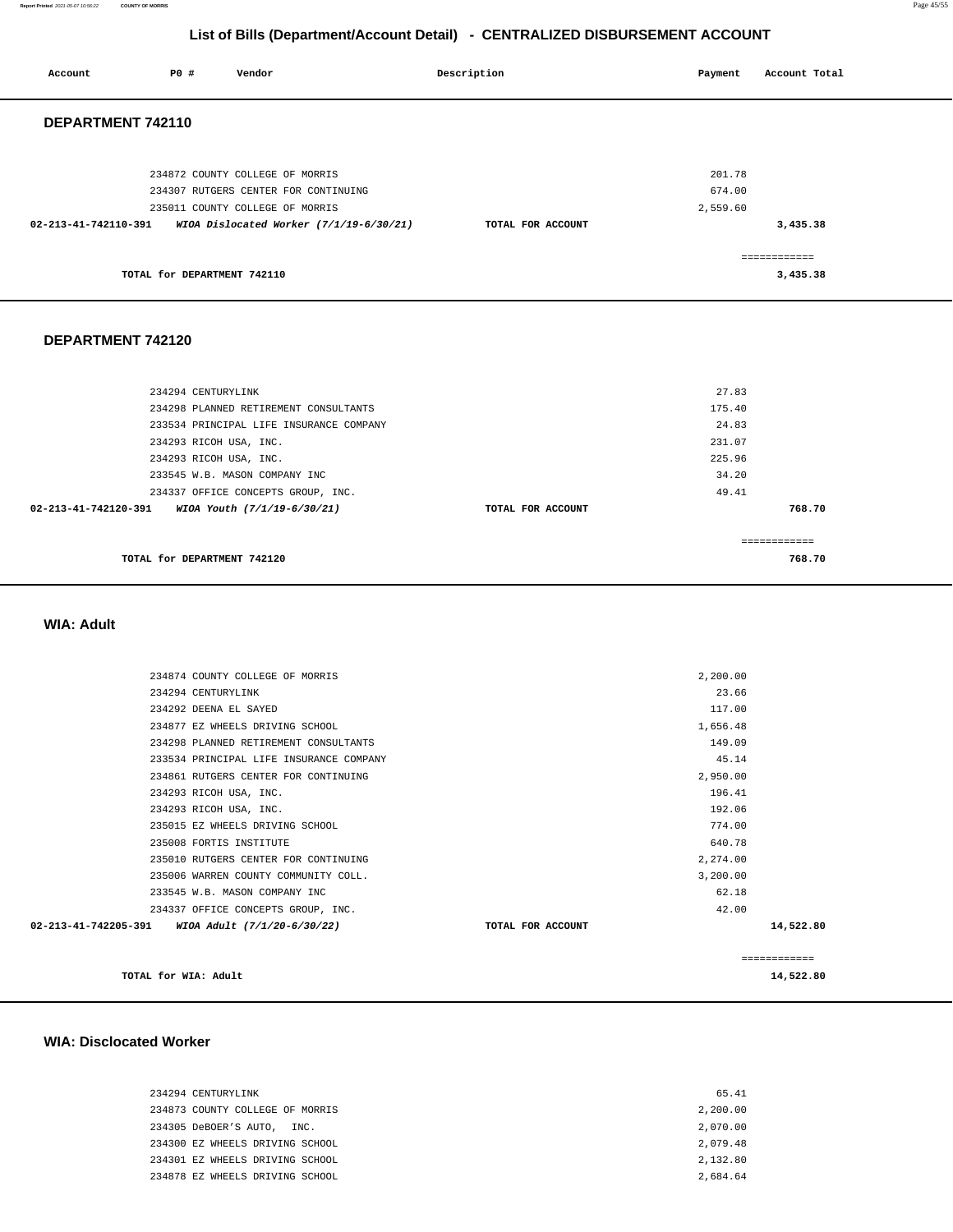**Report Printed** 2021-05-07 10:56:22 **COUNTY OF MORRIS** Page 45/55

## **List of Bills (Department/Account Detail) - CENTRALIZED DISBURSEMENT ACCOUNT**

| Account                     | PO#                |  | Vendor                                                                                                     |                                         | Description       | Payment                      | Account Total            |
|-----------------------------|--------------------|--|------------------------------------------------------------------------------------------------------------|-----------------------------------------|-------------------|------------------------------|--------------------------|
| DEPARTMENT 742110           |                    |  |                                                                                                            |                                         |                   |                              |                          |
|                             |                    |  | 234872 COUNTY COLLEGE OF MORRIS<br>234307 RUTGERS CENTER FOR CONTINUING<br>235011 COUNTY COLLEGE OF MORRIS |                                         |                   | 201.78<br>674.00<br>2,559.60 |                          |
| 02-213-41-742110-391        |                    |  |                                                                                                            | WIOA Dislocated Worker (7/1/19-6/30/21) | TOTAL FOR ACCOUNT |                              | 3,435.38                 |
|                             |                    |  | TOTAL for DEPARTMENT 742110                                                                                |                                         |                   |                              | ============<br>3,435.38 |
| DEPARTMENT 742120           |                    |  |                                                                                                            |                                         |                   |                              |                          |
|                             | 234294 CENTURYLINK |  |                                                                                                            |                                         |                   | 27.83                        |                          |
|                             |                    |  | 234298 PLANNED RETIREMENT CONSULTANTS                                                                      |                                         |                   | 175.40                       |                          |
|                             |                    |  | 233534 PRINCIPAL LIFE INSURANCE COMPANY                                                                    |                                         |                   | 24.83<br>231.07              |                          |
|                             |                    |  | 234293 RICOH USA, INC.<br>234293 RICOH USA, INC.                                                           |                                         |                   | 225.96                       |                          |
|                             |                    |  | 233545 W.B. MASON COMPANY INC                                                                              |                                         |                   | 34.20                        |                          |
|                             |                    |  | 234337 OFFICE CONCEPTS GROUP, INC.                                                                         |                                         |                   | 49.41                        |                          |
| 02-213-41-742120-391        |                    |  | WIOA Youth (7/1/19-6/30/21)                                                                                |                                         | TOTAL FOR ACCOUNT |                              | 768.70                   |
|                             |                    |  |                                                                                                            |                                         |                   |                              |                          |
| TOTAL for DEPARTMENT 742120 |                    |  |                                                                                                            |                                         | ============      |                              |                          |
|                             |                    |  |                                                                                                            |                                         |                   |                              | 768.70                   |
|                             |                    |  |                                                                                                            |                                         |                   |                              |                          |
|                             |                    |  |                                                                                                            |                                         |                   |                              |                          |

#### **WIA: Adult**

| ============ |
|--------------|
| 14,522.80    |
|              |
|              |
|              |
|              |
|              |
|              |
|              |
|              |
|              |
|              |
|              |
|              |
|              |
|              |
|              |
|              |

#### **WIA: Disclocated Worker**

| 234294 CENTURYLINK              | 65.41    |
|---------------------------------|----------|
| 234873 COUNTY COLLEGE OF MORRIS | 2,200.00 |
| 234305 DeBOER'S AUTO, INC.      | 2,070.00 |
| 234300 EZ WHEELS DRIVING SCHOOL | 2,079.48 |
| 234301 EZ WHEELS DRIVING SCHOOL | 2,132.80 |
| 234878 EZ WHEELS DRIVING SCHOOL | 2.684.64 |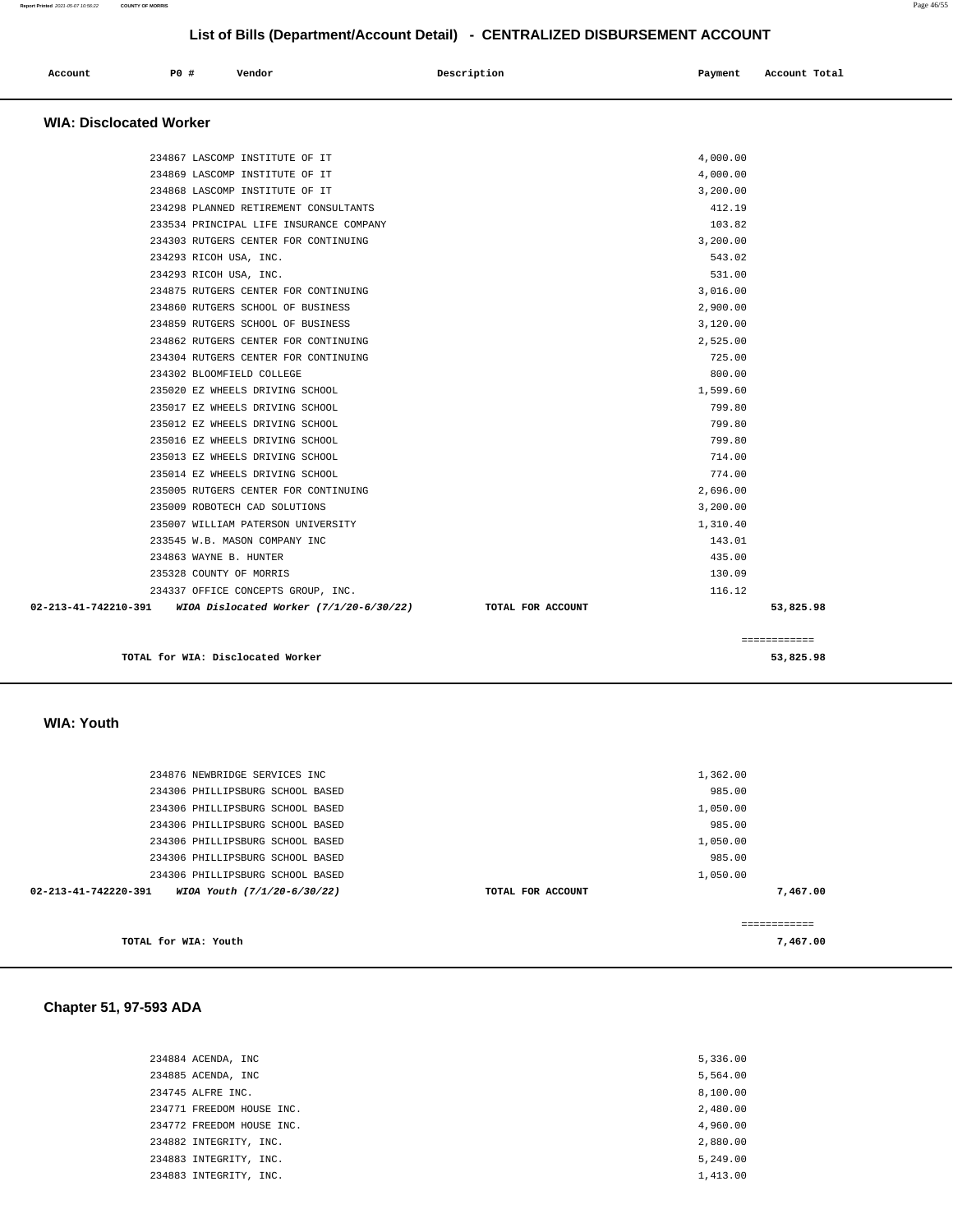| Account                        | P0 # | Vendor | Description | Payment | Account Total |
|--------------------------------|------|--------|-------------|---------|---------------|
| <b>WIA: Disclocated Worker</b> |      |        |             |         |               |

| TOTAL for WIA: Disclocated Worker                                 |                   |          | 53,825.98    |
|-------------------------------------------------------------------|-------------------|----------|--------------|
|                                                                   |                   |          | ============ |
| 02-213-41-742210-391<br>WIOA Dislocated Worker $(7/1/20-6/30/22)$ | TOTAL FOR ACCOUNT |          | 53,825.98    |
| 234337 OFFICE CONCEPTS GROUP, INC.                                |                   | 116.12   |              |
| 235328 COUNTY OF MORRIS                                           |                   | 130.09   |              |
| 234863 WAYNE B. HUNTER                                            |                   | 435.00   |              |
| 233545 W.B. MASON COMPANY INC                                     |                   | 143.01   |              |
| 235007 WILLIAM PATERSON UNIVERSITY                                |                   | 1,310.40 |              |
| 235009 ROBOTECH CAD SOLUTIONS                                     |                   | 3,200.00 |              |
| 235005 RUTGERS CENTER FOR CONTINUING                              |                   | 2,696.00 |              |
| 235014 EZ WHEELS DRIVING SCHOOL                                   |                   | 774.00   |              |
| 235013 EZ WHEELS DRIVING SCHOOL                                   |                   | 714.00   |              |
| 235016 EZ WHEELS DRIVING SCHOOL                                   |                   | 799.80   |              |
| 235012 EZ WHEELS DRIVING SCHOOL                                   |                   | 799.80   |              |
| 235017 EZ WHEELS DRIVING SCHOOL                                   |                   | 799.80   |              |
| 235020 EZ WHEELS DRIVING SCHOOL                                   |                   | 1,599.60 |              |
| 234302 BLOOMFIELD COLLEGE                                         |                   | 800.00   |              |
| 234304 RUTGERS CENTER FOR CONTINUING                              |                   | 725.00   |              |
| 234862 RUTGERS CENTER FOR CONTINUING                              |                   | 2,525.00 |              |
| 234859 RUTGERS SCHOOL OF BUSINESS                                 |                   | 3,120.00 |              |
| 234860 RUTGERS SCHOOL OF BUSINESS                                 |                   | 2,900.00 |              |
| 234875 RUTGERS CENTER FOR CONTINUING                              |                   | 3,016.00 |              |
| 234293 RICOH USA, INC.                                            |                   | 531.00   |              |
| 234293 RICOH USA, INC.                                            |                   | 543.02   |              |
| 234303 RUTGERS CENTER FOR CONTINUING                              |                   | 3,200.00 |              |
| 233534 PRINCIPAL LIFE INSURANCE COMPANY                           |                   | 103.82   |              |
| 234298 PLANNED RETIREMENT CONSULTANTS                             |                   | 412.19   |              |
| 234868 LASCOMP INSTITUTE OF IT                                    |                   | 3,200.00 |              |
| 234869 LASCOMP INSTITUTE OF IT                                    |                   | 4,000.00 |              |
| 234867 LASCOMP INSTITUTE OF IT                                    |                   | 4,000.00 |              |

 **WIA: Youth** 

| 234876 NEWBRIDGE SERVICES INC                                 | 1,362.00          |          |
|---------------------------------------------------------------|-------------------|----------|
|                                                               |                   |          |
| 234306 PHILLIPSBURG SCHOOL BASED                              | 985.00            |          |
| 234306 PHILLIPSBURG SCHOOL BASED                              | 1,050.00          |          |
| 234306 PHILLIPSBURG SCHOOL BASED                              | 985.00            |          |
| 234306 PHILLIPSBURG SCHOOL BASED                              | 1,050.00          |          |
| 234306 PHILLIPSBURG SCHOOL BASED                              | 985.00            |          |
| 234306 PHILLIPSBURG SCHOOL BASED                              | 1,050.00          |          |
| $02 - 213 - 41 - 742220 - 391$<br>WIOA Youth (7/1/20-6/30/22) | TOTAL FOR ACCOUNT | 7,467.00 |
|                                                               |                   |          |
|                                                               |                   |          |
| TOTAL for WIA: Youth                                          |                   | 7,467,00 |

## **Chapter 51, 97-593 ADA**

| 234884 ACENDA, INC        | 5,336.00 |
|---------------------------|----------|
| 234885 ACENDA, INC        | 5,564.00 |
| 234745 ALFRE INC.         | 8,100.00 |
| 234771 FREEDOM HOUSE INC. | 2,480.00 |
| 234772 FREEDOM HOUSE INC. | 4,960.00 |
| 234882 INTEGRITY, INC.    | 2,880.00 |
| 234883 INTEGRITY, INC.    | 5,249.00 |
| 234883 INTEGRITY, INC.    | 1,413.00 |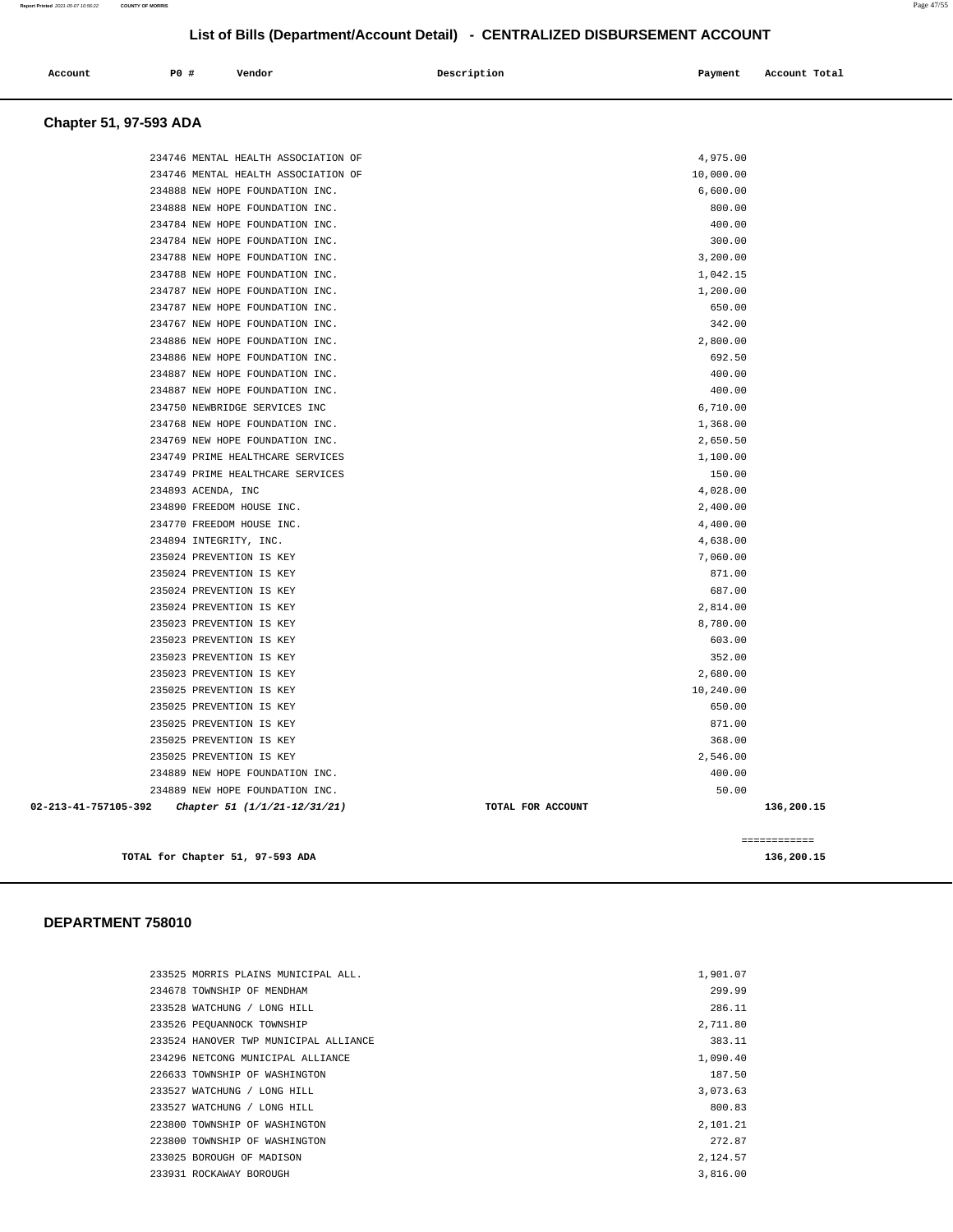|                               |                    |                                     | List of Bills (Department/Account Detail) - CENTRALIZED DISBURSEMENT ACCOUNT |           |               |
|-------------------------------|--------------------|-------------------------------------|------------------------------------------------------------------------------|-----------|---------------|
| Account                       | P0 #               | Vendor                              | Description                                                                  | Payment   | Account Total |
| <b>Chapter 51, 97-593 ADA</b> |                    |                                     |                                                                              |           |               |
|                               |                    | 234746 MENTAL HEALTH ASSOCIATION OF |                                                                              | 4,975.00  |               |
|                               |                    | 234746 MENTAL HEALTH ASSOCIATION OF |                                                                              | 10,000.00 |               |
|                               |                    | 234888 NEW HOPE FOUNDATION INC.     |                                                                              | 6,600.00  |               |
|                               |                    | 234888 NEW HOPE FOUNDATION INC.     |                                                                              | 800.00    |               |
|                               |                    | 234784 NEW HOPE FOUNDATION INC.     |                                                                              | 400.00    |               |
|                               |                    | 234784 NEW HOPE FOUNDATION INC.     |                                                                              | 300.00    |               |
|                               |                    | 234788 NEW HOPE FOUNDATION INC.     |                                                                              | 3,200.00  |               |
|                               |                    | 234788 NEW HOPE FOUNDATION INC.     |                                                                              | 1,042.15  |               |
|                               |                    | 234787 NEW HOPE FOUNDATION INC.     |                                                                              | 1,200.00  |               |
|                               |                    | 234787 NEW HOPE FOUNDATION INC.     |                                                                              | 650.00    |               |
|                               |                    | 234767 NEW HOPE FOUNDATION INC.     |                                                                              | 342.00    |               |
|                               |                    | 234886 NEW HOPE FOUNDATION INC.     |                                                                              | 2,800.00  |               |
|                               |                    | 234886 NEW HOPE FOUNDATION INC.     |                                                                              | 692.50    |               |
|                               |                    | 234887 NEW HOPE FOUNDATION INC.     |                                                                              | 400.00    |               |
|                               |                    | 234887 NEW HOPE FOUNDATION INC.     |                                                                              | 400.00    |               |
|                               |                    | 234750 NEWBRIDGE SERVICES INC       |                                                                              | 6,710.00  |               |
|                               |                    | 234768 NEW HOPE FOUNDATION INC.     |                                                                              | 1,368.00  |               |
|                               |                    | 234769 NEW HOPE FOUNDATION INC.     |                                                                              | 2,650.50  |               |
|                               |                    | 234749 PRIME HEALTHCARE SERVICES    |                                                                              | 1,100.00  |               |
|                               |                    | 234749 PRIME HEALTHCARE SERVICES    |                                                                              | 150.00    |               |
|                               | 234893 ACENDA, INC |                                     |                                                                              | 4,028.00  |               |
|                               |                    | 234890 FREEDOM HOUSE INC.           |                                                                              | 2,400.00  |               |
|                               |                    | 234770 FREEDOM HOUSE INC.           |                                                                              | 4,400.00  |               |
|                               |                    | 234894 INTEGRITY, INC.              |                                                                              | 4,638.00  |               |
|                               |                    | 235024 PREVENTION IS KEY            |                                                                              | 7,060.00  |               |
|                               |                    | 235024 PREVENTION IS KEY            |                                                                              | 871.00    |               |
|                               |                    | 235024 PREVENTION IS KEY            |                                                                              | 687.00    |               |
|                               |                    | 235024 PREVENTION IS KEY            |                                                                              | 2,814.00  |               |
|                               |                    | 235023 PREVENTION IS KEY            |                                                                              | 8,780.00  |               |
|                               |                    | 235023 PREVENTION IS KEY            |                                                                              | 603.00    |               |

#### **DEPARTMENT 758010**

| 233525 MORRIS PLAINS MUNICIPAL ALL.   | 1,901.07 |
|---------------------------------------|----------|
| 234678 TOWNSHIP OF MENDHAM            | 299.99   |
| 233528 WATCHUNG / LONG HILL           | 286.11   |
| 233526 PEOUANNOCK TOWNSHIP            | 2,711.80 |
| 233524 HANOVER TWP MUNICIPAL ALLIANCE | 383.11   |
| 234296 NETCONG MUNICIPAL ALLIANCE     | 1,090.40 |
| 226633 TOWNSHIP OF WASHINGTON         | 187.50   |
| 233527 WATCHUNG / LONG HILL           | 3,073.63 |
| 233527 WATCHUNG / LONG HILL           | 800.83   |
| 223800 TOWNSHIP OF WASHINGTON         | 2,101.21 |
| 223800 TOWNSHIP OF WASHINGTON         | 272.87   |
| 233025 BOROUGH OF MADISON             | 2.124.57 |
| 233931 ROCKAWAY BOROUGH               | 3,816,00 |

 235023 PREVENTION IS KEY 352.00 235023 PREVENTION IS KEY 2,680.00 235025 PREVENTION IS KEY 10,240.00 235025 PREVENTION IS KEY 650.00 235025 PREVENTION IS KEY 871.00 235025 PREVENTION IS KEY 368.00 235025 PREVENTION IS KEY 2,546.00 234889 NEW HOPE FOUNDATION INC. 400.00 234889 NEW HOPE FOUNDATION INC. 50.00  **02-213-41-757105-392 Chapter 51 (1/1/21-12/31/21) TOTAL FOR ACCOUNT 136,200.15**

**TOTAL for Chapter 51, 97-593 ADA 136,200.15**

============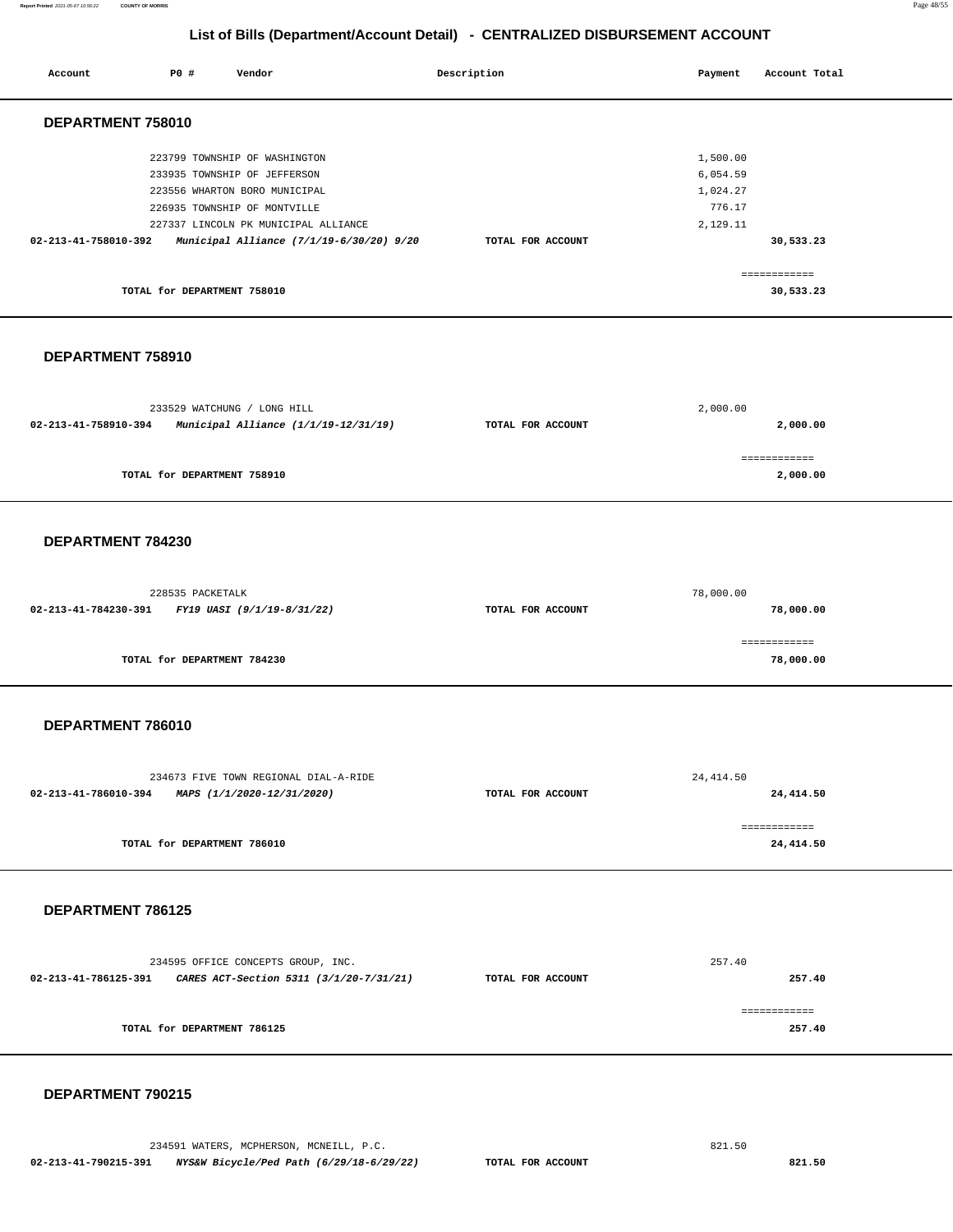#### **Report Printed** 2021-05-07 10:56:22 **COUNTY OF MORRIS** Page 48/55

## **List of Bills (Department/Account Detail) - CENTRALIZED DISBURSEMENT ACCOUNT**

| Account                                                      | <b>PO #</b>                 | Vendor                                                                                                                                                                                                             | Description       | Payment                                                | Account Total                          |  |
|--------------------------------------------------------------|-----------------------------|--------------------------------------------------------------------------------------------------------------------------------------------------------------------------------------------------------------------|-------------------|--------------------------------------------------------|----------------------------------------|--|
| DEPARTMENT 758010                                            |                             |                                                                                                                                                                                                                    |                   |                                                        |                                        |  |
| 02-213-41-758010-392                                         | TOTAL for DEPARTMENT 758010 | 223799 TOWNSHIP OF WASHINGTON<br>233935 TOWNSHIP OF JEFFERSON<br>223556 WHARTON BORO MUNICIPAL<br>226935 TOWNSHIP OF MONTVILLE<br>227337 LINCOLN PK MUNICIPAL ALLIANCE<br>Municipal Alliance (7/1/19-6/30/20) 9/20 | TOTAL FOR ACCOUNT | 1,500.00<br>6,054.59<br>1,024.27<br>776.17<br>2,129.11 | 30,533.23<br>============<br>30,533.23 |  |
| DEPARTMENT 758910                                            |                             |                                                                                                                                                                                                                    |                   |                                                        |                                        |  |
| 02-213-41-758910-394                                         |                             | 233529 WATCHUNG / LONG HILL<br>Municipal Alliance (1/1/19-12/31/19)                                                                                                                                                | TOTAL FOR ACCOUNT | 2,000.00                                               | 2,000.00                               |  |
|                                                              | TOTAL for DEPARTMENT 758910 |                                                                                                                                                                                                                    |                   |                                                        | ============<br>2,000.00               |  |
| DEPARTMENT 784230                                            |                             |                                                                                                                                                                                                                    |                   |                                                        |                                        |  |
| 02-213-41-784230-391                                         | 228535 PACKETALK            | FY19 UASI (9/1/19-8/31/22)                                                                                                                                                                                         | TOTAL FOR ACCOUNT | 78,000.00                                              | 78,000.00<br>============              |  |
|                                                              | TOTAL for DEPARTMENT 784230 |                                                                                                                                                                                                                    |                   |                                                        | 78,000.00                              |  |
| DEPARTMENT 786010                                            |                             |                                                                                                                                                                                                                    |                   |                                                        |                                        |  |
| 02-213-41-786010-394 MAPS (1/1/2020-12/31/2020)              |                             | 234673 FIVE TOWN REGIONAL DIAL-A-RIDE                                                                                                                                                                              | TOTAL FOR ACCOUNT | 24, 414.50                                             | 24,414.50                              |  |
|                                                              | TOTAL for DEPARTMENT 786010 |                                                                                                                                                                                                                    |                   |                                                        | ------------<br>24,414.50              |  |
| DEPARTMENT 786125                                            |                             |                                                                                                                                                                                                                    |                   |                                                        |                                        |  |
| 02-213-41-786125-391 CARES ACT-Section 5311 (3/1/20-7/31/21) |                             | 234595 OFFICE CONCEPTS GROUP, INC.                                                                                                                                                                                 | TOTAL FOR ACCOUNT | 257.40                                                 | 257.40                                 |  |
|                                                              | TOTAL for DEPARTMENT 786125 |                                                                                                                                                                                                                    |                   |                                                        | ============<br>257.40                 |  |
|                                                              |                             |                                                                                                                                                                                                                    |                   |                                                        |                                        |  |

#### **DEPARTMENT 790215**

234591 WATERS, MCPHERSON, MCNEILL, P.C. 821.50  **02-213-41-790215-391 NYS&W Bicycle/Ped Path (6/29/18-6/29/22) TOTAL FOR ACCOUNT 821.50**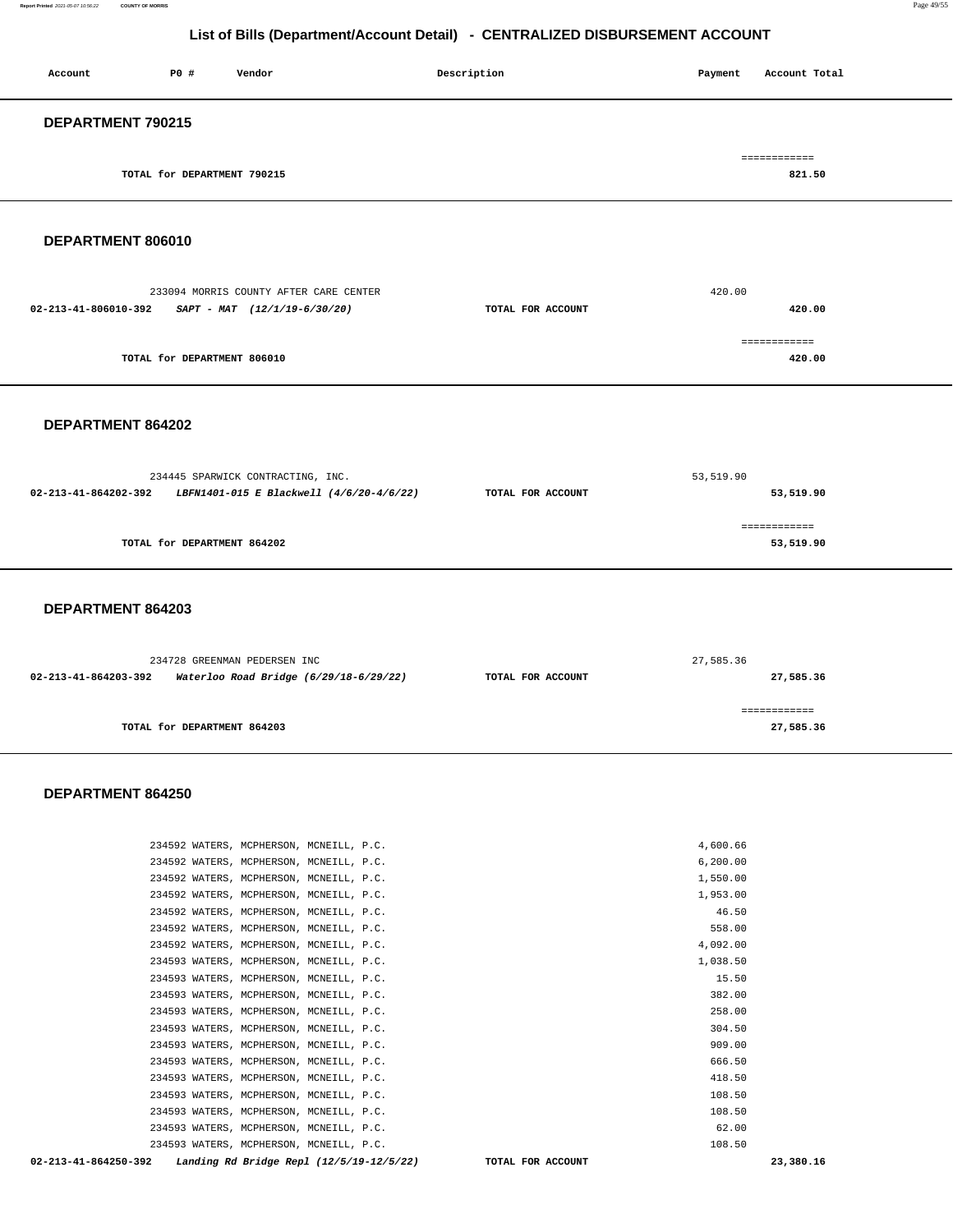| Account           | P0 #                        | Vendor | Description | Account Total<br>Payment |  |  |  |
|-------------------|-----------------------------|--------|-------------|--------------------------|--|--|--|
| DEPARTMENT 790215 |                             |        |             |                          |  |  |  |
|                   | TOTAL for DEPARTMENT 790215 |        |             | ============<br>821.50   |  |  |  |

## **DEPARTMENT 806010**

| 233094 MORRIS COUNTY AFTER CARE CENTER                 |                   | 420.00 |
|--------------------------------------------------------|-------------------|--------|
| 02-213-41-806010-392<br>$SAPT - MAT$ (12/1/19-6/30/20) | TOTAL FOR ACCOUNT | 420.00 |
|                                                        |                   |        |
|                                                        |                   |        |
| TOTAL for DEPARTMENT 806010                            |                   | 420.00 |
|                                                        |                   |        |

#### **DEPARTMENT 864202**

|                      | 234445 SPARWICK CONTRACTING, INC.        |                   | 53,519.90                 |  |  |
|----------------------|------------------------------------------|-------------------|---------------------------|--|--|
| 02-213-41-864202-392 | LBFN1401-015 E Blackwell (4/6/20-4/6/22) | TOTAL FOR ACCOUNT | 53,519.90                 |  |  |
|                      |                                          |                   |                           |  |  |
|                      | TOTAL for DEPARTMENT 864202              |                   | ============<br>53,519.90 |  |  |
|                      |                                          |                   |                           |  |  |

#### **DEPARTMENT 864203**

|                      | 234728 GREENMAN PEDERSEN INC           |                   | 27,585.36 |  |  |
|----------------------|----------------------------------------|-------------------|-----------|--|--|
| 02-213-41-864203-392 | Waterloo Road Bridge (6/29/18-6/29/22) | TOTAL FOR ACCOUNT | 27,585.36 |  |  |
|                      |                                        |                   |           |  |  |
|                      |                                        |                   |           |  |  |
|                      | TOTAL for DEPARTMENT 864203            |                   | 27,585.36 |  |  |
|                      |                                        |                   |           |  |  |

#### **DEPARTMENT 864250**

| 02-213-41-864250-392 | Landing Rd Bridge Repl $(12/5/19-12/5/22)$ |  | TOTAL FOR ACCOUNT |           | 23,380.16 |
|----------------------|--------------------------------------------|--|-------------------|-----------|-----------|
|                      | 234593 WATERS, MCPHERSON, MCNEILL, P.C.    |  |                   | 108.50    |           |
|                      | 234593 WATERS, MCPHERSON, MCNEILL, P.C.    |  |                   | 62.00     |           |
|                      | 234593 WATERS, MCPHERSON, MCNEILL, P.C.    |  |                   | 108.50    |           |
|                      | 234593 WATERS, MCPHERSON, MCNEILL, P.C.    |  |                   | 108.50    |           |
|                      | 234593 WATERS, MCPHERSON, MCNEILL, P.C.    |  |                   | 418.50    |           |
|                      | 234593 WATERS, MCPHERSON, MCNEILL, P.C.    |  |                   | 666.50    |           |
|                      | 234593 WATERS, MCPHERSON, MCNEILL, P.C.    |  |                   | 909.00    |           |
|                      | 234593 WATERS, MCPHERSON, MCNEILL, P.C.    |  |                   | 304.50    |           |
|                      | 234593 WATERS, MCPHERSON, MCNEILL, P.C.    |  |                   | 258.00    |           |
|                      | 234593 WATERS, MCPHERSON, MCNEILL, P.C.    |  |                   | 382.00    |           |
|                      | 234593 WATERS, MCPHERSON, MCNEILL, P.C.    |  |                   | 15.50     |           |
|                      | 234593 WATERS, MCPHERSON, MCNEILL, P.C.    |  |                   | 1,038.50  |           |
|                      | 234592 WATERS, MCPHERSON, MCNEILL, P.C.    |  |                   | 4,092.00  |           |
|                      | 234592 WATERS, MCPHERSON, MCNEILL, P.C.    |  |                   | 558.00    |           |
|                      | 234592 WATERS, MCPHERSON, MCNEILL, P.C.    |  |                   | 46.50     |           |
|                      | 234592 WATERS, MCPHERSON, MCNEILL, P.C.    |  |                   | 1,953.00  |           |
|                      | 234592 WATERS, MCPHERSON, MCNEILL, P.C.    |  |                   | 1,550.00  |           |
|                      | 234592 WATERS, MCPHERSON, MCNEILL, P.C.    |  |                   | 6, 200.00 |           |
|                      | 234592 WATERS, MCPHERSON, MCNEILL, P.C.    |  |                   | 4,600.66  |           |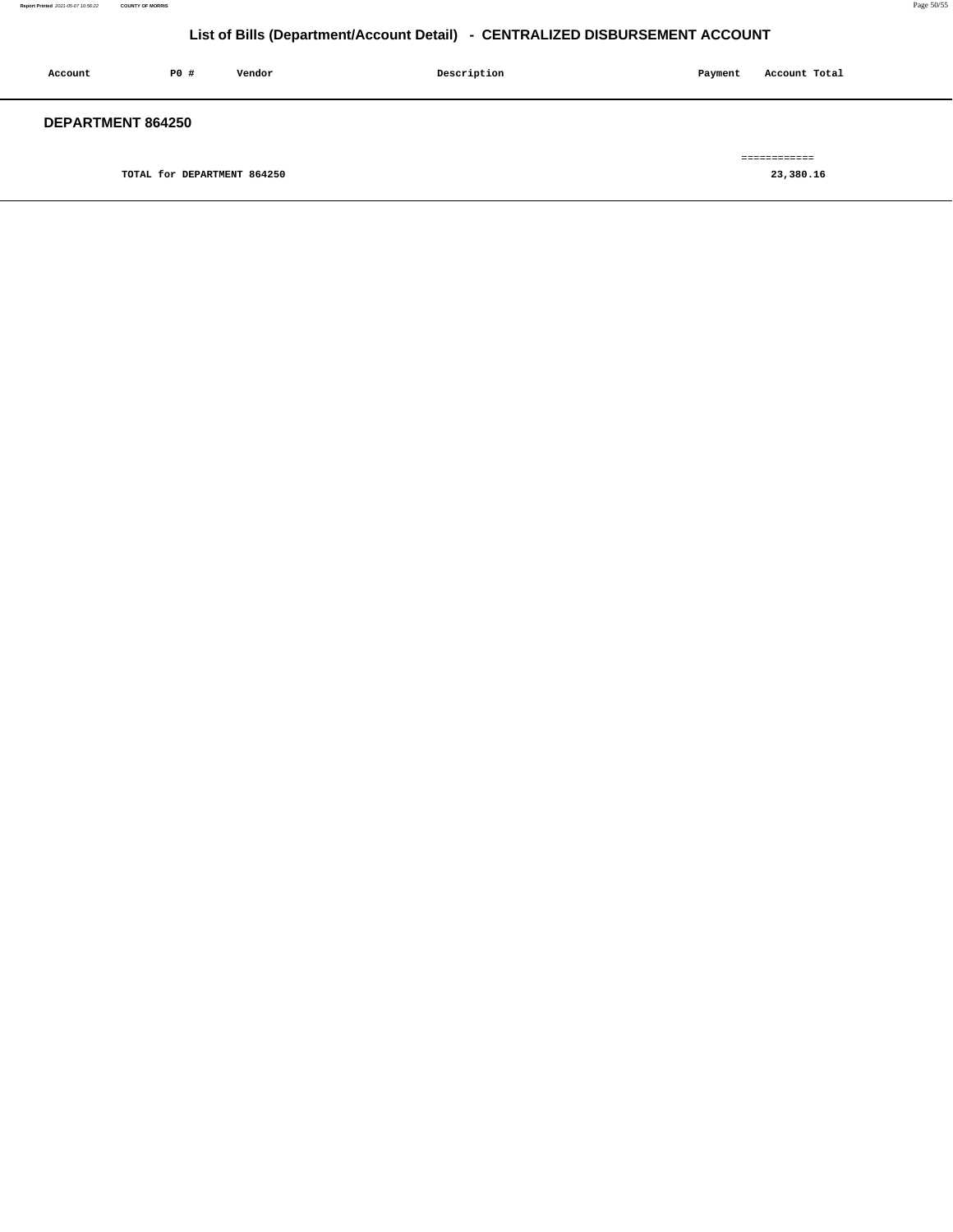| Account                  | PO# | Vendor | Description | Payment | Account Total |
|--------------------------|-----|--------|-------------|---------|---------------|
| <b>DEPARTMENT 864250</b> |     |        |             |         | ============  |

**TOTAL for DEPARTMENT 864250 [23,380.16](https://23,380.16)**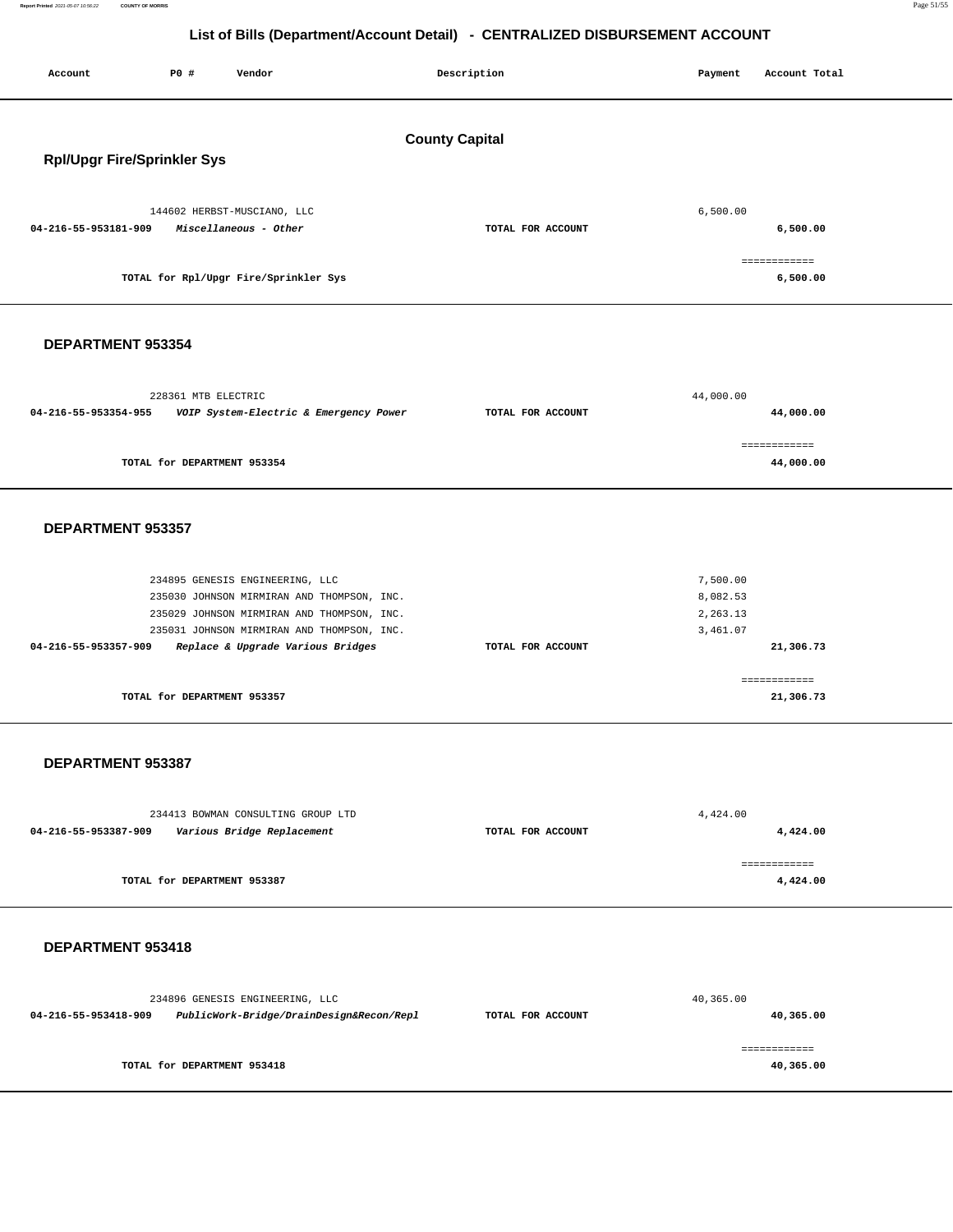**Report Printed** 2021-05-07 10:56:22 **COUNTY OF MORRIS** Page 51/55

# **List of Bills (Department/Account Detail) - CENTRALIZED DISBURSEMENT ACCOUNT**

| P0 #<br>Account<br>Vendor                                                                                                                                                                                                              | Description       | Payment<br>Account Total                                  |  |  |  |  |  |  |  |
|----------------------------------------------------------------------------------------------------------------------------------------------------------------------------------------------------------------------------------------|-------------------|-----------------------------------------------------------|--|--|--|--|--|--|--|
| <b>County Capital</b><br><b>Rpl/Upgr Fire/Sprinkler Sys</b>                                                                                                                                                                            |                   |                                                           |  |  |  |  |  |  |  |
| 144602 HERBST-MUSCIANO, LLC<br>04-216-55-953181-909<br>Miscellaneous - Other                                                                                                                                                           | TOTAL FOR ACCOUNT | 6,500.00<br>6,500.00                                      |  |  |  |  |  |  |  |
| TOTAL for Rpl/Upgr Fire/Sprinkler Sys                                                                                                                                                                                                  |                   | ============<br>6,500.00                                  |  |  |  |  |  |  |  |
| DEPARTMENT 953354                                                                                                                                                                                                                      |                   |                                                           |  |  |  |  |  |  |  |
| 228361 MTB ELECTRIC<br>04-216-55-953354-955<br>VOIP System-Electric & Emergency Power                                                                                                                                                  | TOTAL FOR ACCOUNT | 44,000.00<br>44,000.00                                    |  |  |  |  |  |  |  |
| TOTAL for DEPARTMENT 953354                                                                                                                                                                                                            |                   | ============<br>44,000.00                                 |  |  |  |  |  |  |  |
| DEPARTMENT 953357                                                                                                                                                                                                                      |                   |                                                           |  |  |  |  |  |  |  |
| 234895 GENESIS ENGINEERING, LLC<br>235030 JOHNSON MIRMIRAN AND THOMPSON, INC.<br>235029 JOHNSON MIRMIRAN AND THOMPSON, INC.<br>235031 JOHNSON MIRMIRAN AND THOMPSON, INC.<br>04-216-55-953357-909<br>Replace & Upgrade Various Bridges | TOTAL FOR ACCOUNT | 7,500.00<br>8,082.53<br>2,263.13<br>3,461.07<br>21,306.73 |  |  |  |  |  |  |  |
| TOTAL for DEPARTMENT 953357                                                                                                                                                                                                            |                   | ============<br>21,306.73                                 |  |  |  |  |  |  |  |
| DEPARTMENT 953387                                                                                                                                                                                                                      |                   |                                                           |  |  |  |  |  |  |  |
| 234413 BOWMAN CONSULTING GROUP LTD<br>04-216-55-953387-909<br>Various Bridge Replacement                                                                                                                                               | TOTAL FOR ACCOUNT | 4,424.00<br>4,424.00                                      |  |  |  |  |  |  |  |
| TOTAL for DEPARTMENT 953387                                                                                                                                                                                                            |                   | ============<br>4,424.00                                  |  |  |  |  |  |  |  |
| DEPARTMENT 953418                                                                                                                                                                                                                      |                   |                                                           |  |  |  |  |  |  |  |
| 234896 GENESIS ENGINEERING, LLC<br>PublicWork-Bridge/DrainDesign&Recon/Repl<br>04-216-55-953418-909                                                                                                                                    | TOTAL FOR ACCOUNT | 40,365.00<br>40,365.00                                    |  |  |  |  |  |  |  |
| TOTAL for DEPARTMENT 953418                                                                                                                                                                                                            |                   | ============<br>40,365.00                                 |  |  |  |  |  |  |  |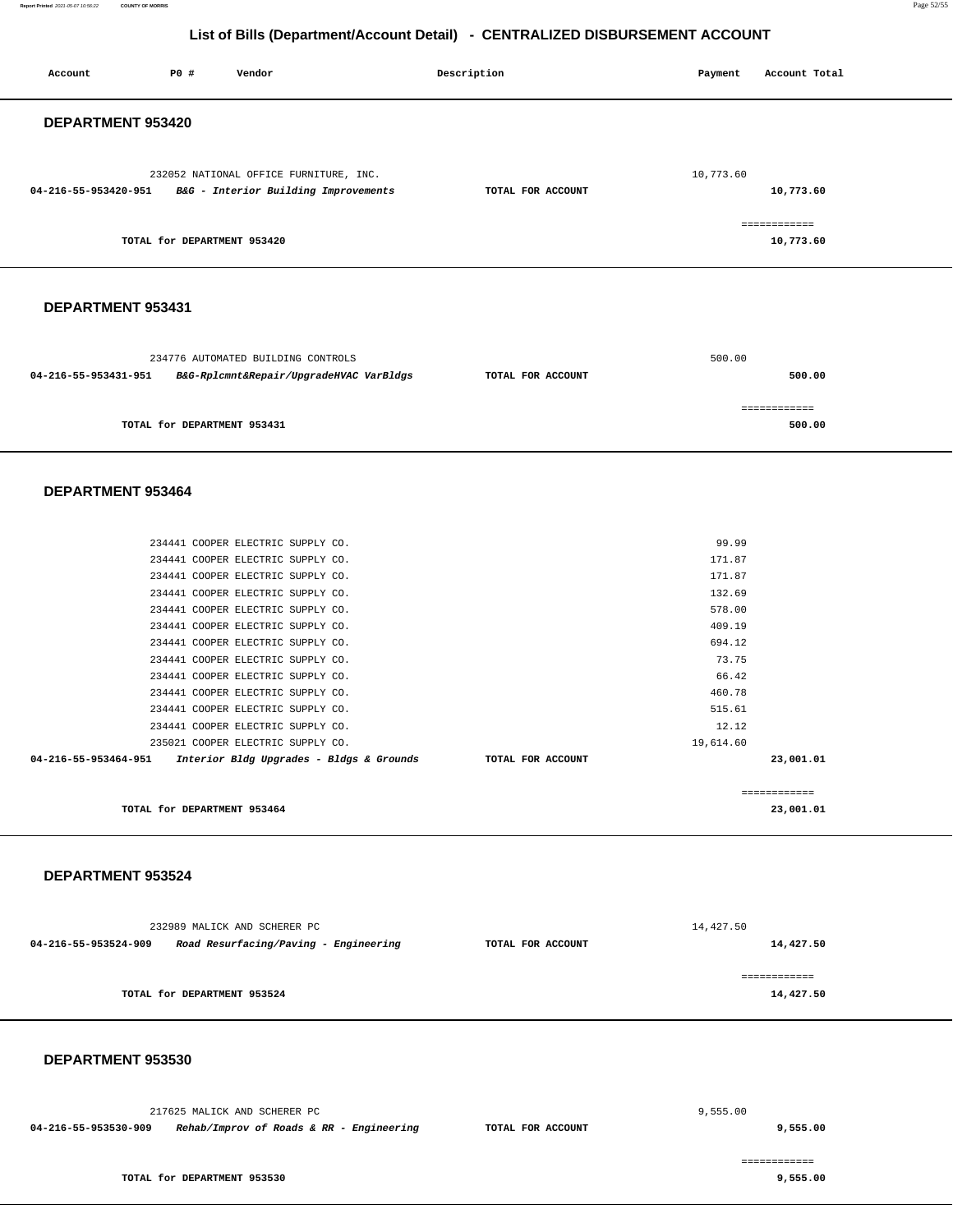| Account              | <b>PO #</b>                 | Vendor                                                        | Description       | Payment   | Account Total          |
|----------------------|-----------------------------|---------------------------------------------------------------|-------------------|-----------|------------------------|
|                      |                             |                                                               |                   |           |                        |
| DEPARTMENT 953420    |                             |                                                               |                   |           |                        |
|                      |                             |                                                               |                   |           |                        |
|                      |                             | 232052 NATIONAL OFFICE FURNITURE, INC.                        |                   | 10,773.60 |                        |
|                      |                             | 04-216-55-953420-951 B&G - Interior Building Improvements     | TOTAL FOR ACCOUNT |           | 10,773.60              |
|                      |                             |                                                               |                   |           |                        |
|                      |                             |                                                               |                   |           | ============           |
|                      | TOTAL for DEPARTMENT 953420 |                                                               |                   |           | 10,773.60              |
|                      |                             |                                                               |                   |           |                        |
|                      |                             |                                                               |                   |           |                        |
| DEPARTMENT 953431    |                             |                                                               |                   |           |                        |
|                      |                             |                                                               |                   |           |                        |
|                      |                             | 234776 AUTOMATED BUILDING CONTROLS                            |                   | 500.00    |                        |
| 04-216-55-953431-951 |                             | B&G-Rplcmnt&Repair/UpgradeHVAC VarBldgs                       | TOTAL FOR ACCOUNT |           | 500.00                 |
|                      |                             |                                                               |                   |           |                        |
|                      | TOTAL for DEPARTMENT 953431 |                                                               |                   |           | ------------<br>500.00 |
|                      |                             |                                                               |                   |           |                        |
|                      |                             |                                                               |                   |           |                        |
| DEPARTMENT 953464    |                             |                                                               |                   |           |                        |
|                      |                             |                                                               |                   |           |                        |
|                      |                             |                                                               |                   |           |                        |
|                      |                             | 234441 COOPER ELECTRIC SUPPLY CO.                             |                   | 99.99     |                        |
|                      |                             | 234441 COOPER ELECTRIC SUPPLY CO.                             |                   | 171.87    |                        |
|                      |                             | 234441 COOPER ELECTRIC SUPPLY CO.                             |                   | 171.87    |                        |
|                      |                             | 234441 COOPER ELECTRIC SUPPLY CO.                             |                   | 132.69    |                        |
|                      |                             | 234441 COOPER ELECTRIC SUPPLY CO.                             |                   | 578.00    |                        |
|                      |                             | 234441 COOPER ELECTRIC SUPPLY CO.                             |                   | 409.19    |                        |
|                      |                             | 234441 COOPER ELECTRIC SUPPLY CO.                             |                   | 694.12    |                        |
|                      |                             | 234441 COOPER ELECTRIC SUPPLY CO.                             |                   | 73.75     |                        |
|                      |                             | 234441 COOPER ELECTRIC SUPPLY CO.                             |                   | 66.42     |                        |
|                      |                             | 234441 COOPER ELECTRIC SUPPLY CO.                             |                   | 460.78    |                        |
|                      |                             | 234441 COOPER ELECTRIC SUPPLY CO.                             |                   | 515.61    |                        |
|                      |                             | 234441 COOPER ELECTRIC SUPPLY CO.                             |                   | 12.12     |                        |
|                      |                             | 235021 COOPER ELECTRIC SUPPLY CO.                             | TOTAL FOR ACCOUNT | 19,614.60 |                        |
|                      |                             | 04-216-55-953464-951 Interior Bldg Upgrades - Bldgs & Grounds |                   |           | 23,001.01              |
|                      |                             |                                                               |                   |           | ============           |
|                      | TOTAL for DEPARTMENT 953464 |                                                               |                   |           | 23,001.01              |
|                      |                             |                                                               |                   |           |                        |
|                      |                             |                                                               |                   |           |                        |
| DEPARTMENT 953524    |                             |                                                               |                   |           |                        |
|                      |                             |                                                               |                   |           |                        |
|                      |                             | 232989 MALICK AND SCHERER PC                                  |                   | 14,427.50 |                        |
| 04-216-55-953524-909 |                             | Road Resurfacing/Paving - Engineering                         | TOTAL FOR ACCOUNT |           | 14,427.50              |
|                      |                             |                                                               |                   |           |                        |
|                      |                             |                                                               |                   |           | ============           |
|                      | TOTAL for DEPARTMENT 953524 |                                                               |                   |           | 14,427.50              |
|                      |                             |                                                               |                   |           |                        |
|                      |                             |                                                               |                   |           |                        |
| DEPARTMENT 953530    |                             |                                                               |                   |           |                        |
|                      |                             |                                                               |                   |           |                        |
|                      |                             |                                                               |                   |           |                        |
|                      |                             | 217625 MALICK AND SCHERER PC                                  |                   | 9,555.00  |                        |
| 04-216-55-953530-909 |                             | Rehab/Improv of Roads & RR - Engineering                      | TOTAL FOR ACCOUNT |           | 9,555.00               |

**TOTAL for DEPARTMENT 953530** 

============

**9,555.00** 

**Report Printed** 2021-05-07 10:56:22 **COUNTY OF MORRIS** Page 52/55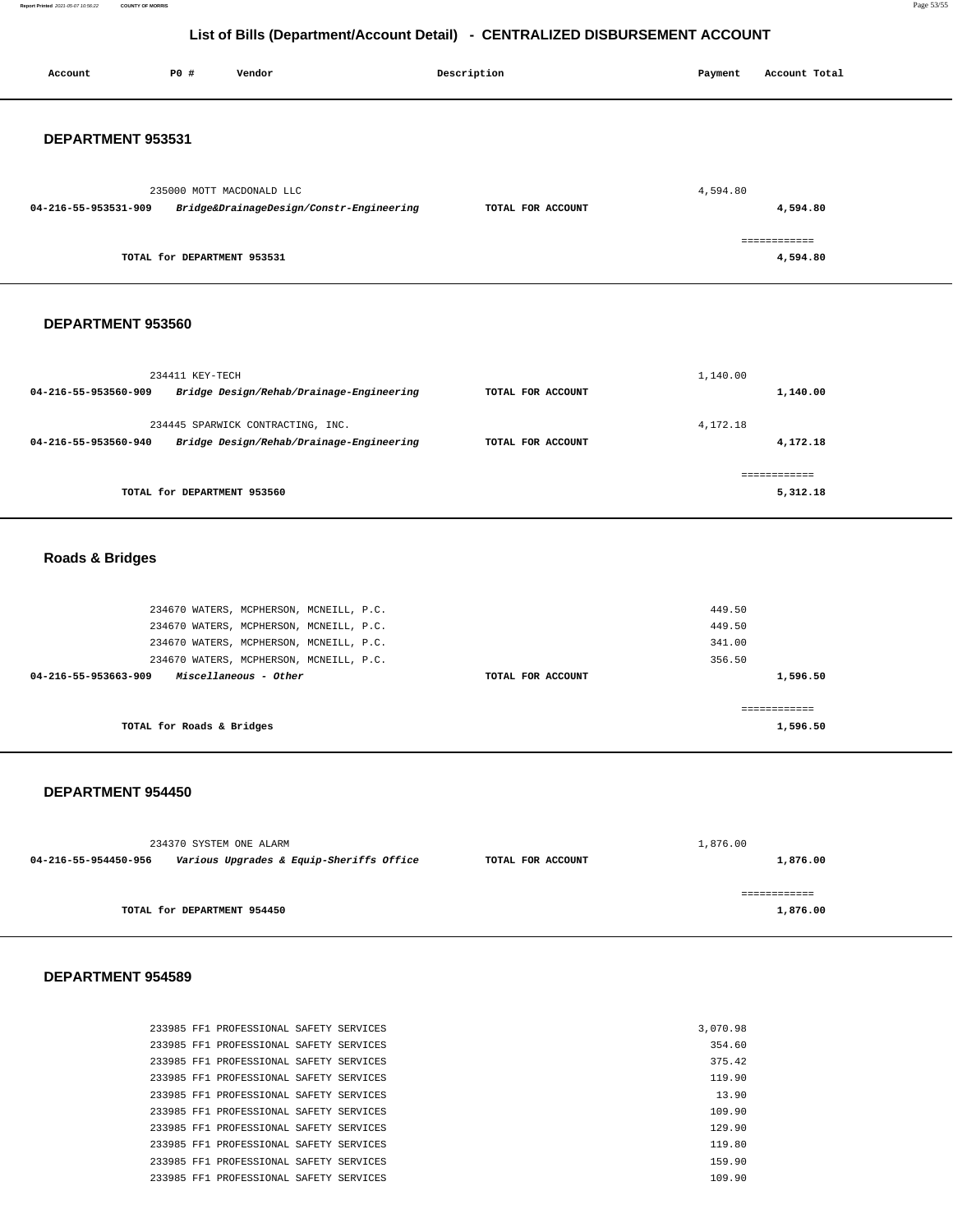**Report Printed** 2021-05-07 10:56:22 **COUNTY OF MORRIS** Page 53/55

## **List of Bills (Department/Account Detail) - CENTRALIZED DISBURSEMENT ACCOUNT**

| Account                    | P0 #                        | Vendor                                                                                                      | Description       | Payment          | Account Total            |
|----------------------------|-----------------------------|-------------------------------------------------------------------------------------------------------------|-------------------|------------------|--------------------------|
| DEPARTMENT 953531          |                             |                                                                                                             |                   |                  |                          |
| 04-216-55-953531-909       |                             | 235000 MOTT MACDONALD LLC<br>Bridge&DrainageDesign/Constr-Engineering                                       | TOTAL FOR ACCOUNT | 4,594.80         | 4,594.80                 |
|                            | TOTAL for DEPARTMENT 953531 |                                                                                                             |                   |                  | ============<br>4,594.80 |
| DEPARTMENT 953560          |                             |                                                                                                             |                   |                  |                          |
| 04-216-55-953560-909       | 234411 KEY-TECH             | Bridge Design/Rehab/Drainage-Engineering                                                                    | TOTAL FOR ACCOUNT | 1,140.00         | 1,140.00                 |
| 04-216-55-953560-940       |                             | 234445 SPARWICK CONTRACTING, INC.<br>Bridge Design/Rehab/Drainage-Engineering                               | TOTAL FOR ACCOUNT | 4,172.18         | 4,172.18                 |
|                            | TOTAL for DEPARTMENT 953560 |                                                                                                             |                   |                  | ============<br>5,312.18 |
| <b>Roads &amp; Bridges</b> |                             |                                                                                                             |                   |                  |                          |
|                            |                             | 234670 WATERS, MCPHERSON, MCNEILL, P.C.<br>234670 WATERS, MCPHERSON, MCNEILL, P.C.                          |                   | 449.50<br>449.50 |                          |
| 04-216-55-953663-909       |                             | 234670 WATERS, MCPHERSON, MCNEILL, P.C.<br>234670 WATERS, MCPHERSON, MCNEILL, P.C.<br>Miscellaneous - Other | TOTAL FOR ACCOUNT | 341.00<br>356.50 | 1,596.50                 |
|                            | TOTAL for Roads & Bridges   |                                                                                                             |                   |                  | ============<br>1,596.50 |

#### **DEPARTMENT 954450**

|                      | 234370 SYSTEM ONE ALARM                  |                   | 1,876.00 |  |  |
|----------------------|------------------------------------------|-------------------|----------|--|--|
| 04-216-55-954450-956 | Various Upgrades & Equip-Sheriffs Office | TOTAL FOR ACCOUNT | 1,876.00 |  |  |
|                      |                                          |                   |          |  |  |
|                      |                                          |                   |          |  |  |
|                      | TOTAL for DEPARTMENT 954450              |                   | 1,876.00 |  |  |

#### **DEPARTMENT 954589**

|  | 233985 FF1 PROFESSIONAL SAFETY SERVICES |  | 3,070.98 |
|--|-----------------------------------------|--|----------|
|  | 233985 FF1 PROFESSIONAL SAFETY SERVICES |  | 354.60   |
|  | 233985 FF1 PROFESSIONAL SAFETY SERVICES |  | 375.42   |
|  | 233985 FF1 PROFESSIONAL SAFETY SERVICES |  | 119.90   |
|  | 233985 FF1 PROFESSIONAL SAFETY SERVICES |  | 13.90    |
|  | 233985 FF1 PROFESSIONAL SAFETY SERVICES |  | 109.90   |
|  | 233985 FF1 PROFESSIONAL SAFETY SERVICES |  | 129.90   |
|  | 233985 FF1 PROFESSIONAL SAFETY SERVICES |  | 119.80   |
|  | 233985 FF1 PROFESSIONAL SAFETY SERVICES |  | 159.90   |
|  | 233985 FF1 PROFESSIONAL SAFETY SERVICES |  | 109.90   |
|  |                                         |  |          |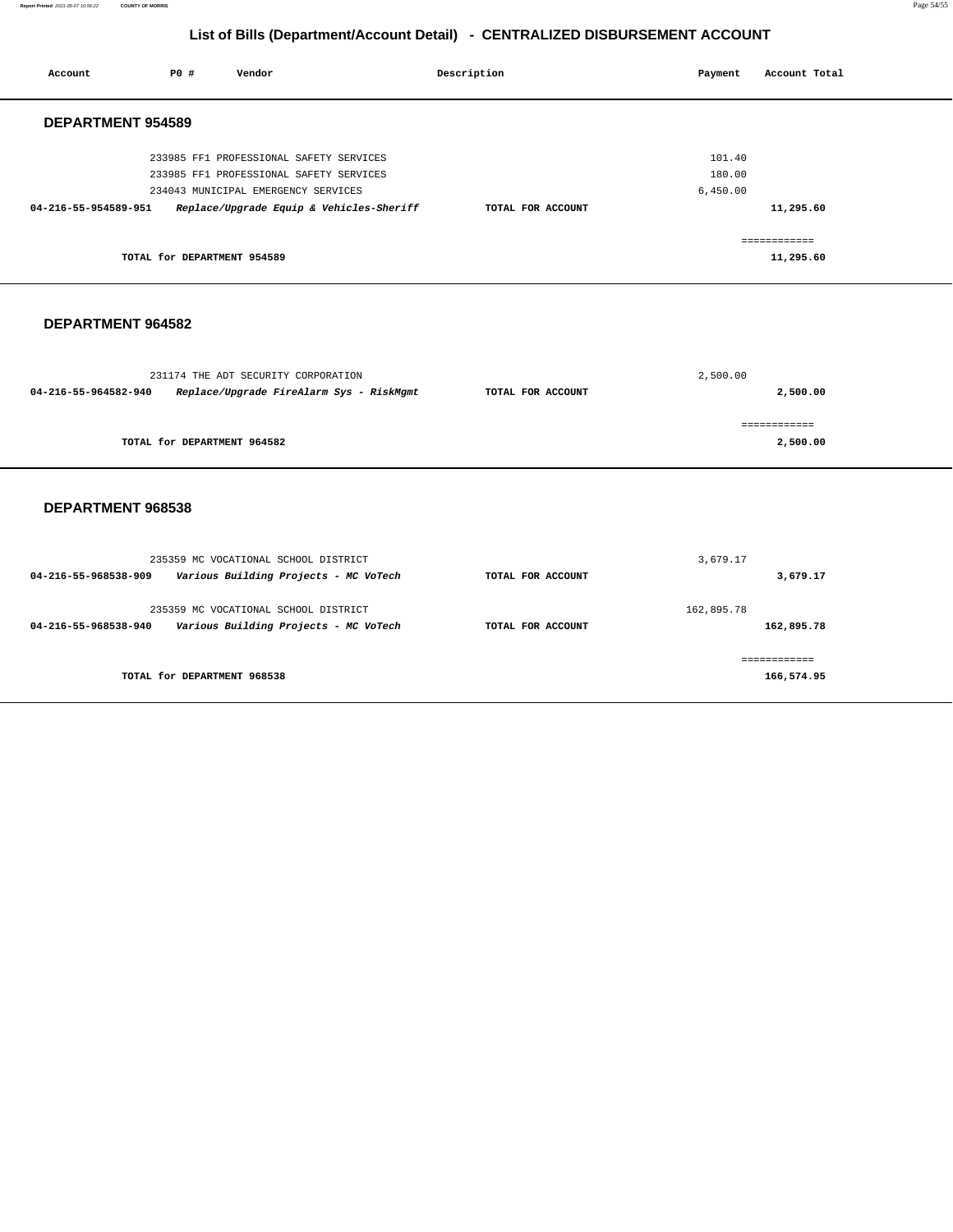**Report Printed** 2021-05-07 10:56:22 **COUNTY OF MORRIS** Page 54/55

## **List of Bills (Department/Account Detail) - CENTRALIZED DISBURSEMENT ACCOUNT**

| Account              | PO#                         | Vendor                                                                                                                                                                |  | Description       | Payment                      | Account Total             |  |
|----------------------|-----------------------------|-----------------------------------------------------------------------------------------------------------------------------------------------------------------------|--|-------------------|------------------------------|---------------------------|--|
|                      | <b>DEPARTMENT 954589</b>    |                                                                                                                                                                       |  |                   |                              |                           |  |
| 04-216-55-954589-951 |                             | 233985 FF1 PROFESSIONAL SAFETY SERVICES<br>233985 FF1 PROFESSIONAL SAFETY SERVICES<br>234043 MUNICIPAL EMERGENCY SERVICES<br>Replace/Upgrade Equip & Vehicles-Sheriff |  | TOTAL FOR ACCOUNT | 101.40<br>180.00<br>6,450.00 | 11,295.60                 |  |
|                      | TOTAL for DEPARTMENT 954589 |                                                                                                                                                                       |  |                   |                              | ============<br>11,295.60 |  |
|                      | DEPARTMENT 964582           |                                                                                                                                                                       |  |                   |                              |                           |  |
| 04-216-55-964582-940 |                             | 231174 THE ADT SECURITY CORPORATION<br>Replace/Upgrade FireAlarm Sys - RiskMgmt                                                                                       |  | TOTAL FOR ACCOUNT | 2,500.00                     | 2,500.00                  |  |
|                      | TOTAL for DEPARTMENT 964582 |                                                                                                                                                                       |  |                   |                              | ============<br>2,500.00  |  |
| DEPARTMENT 968538    |                             |                                                                                                                                                                       |  |                   |                              |                           |  |
| 04-216-55-968538-909 |                             | 235359 MC VOCATIONAL SCHOOL DISTRICT<br>Various Building Projects - MC VoTech                                                                                         |  | TOTAL FOR ACCOUNT | 3,679.17                     | 3,679.17                  |  |
| 04-216-55-968538-940 |                             | 235359 MC VOCATIONAL SCHOOL DISTRICT<br>Various Building Projects - MC VoTech                                                                                         |  | TOTAL FOR ACCOUNT | 162,895.78                   | 162,895.78                |  |

**TOTAL for DEPARTMENT 968538** 

============ **166,574.95**